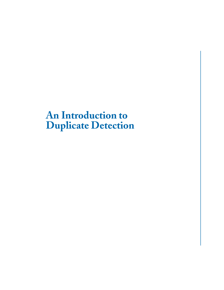**An Introduction to Duplicate Detection**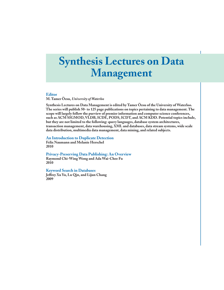# **Synthesis Lectures on Data Management**

#### **Editor**

#### **M. Tamer Özsu,** *University of Waterloo*

**Synthesis Lectures on Data Management is edited by Tamer Özsu of the University of Waterloo. The series will publish 50- to 125 page publications on topics pertaining to data management. The scope will largely follow the purview of premier information and computer science conferences, such as ACM SIGMOD, VLDB, ICDE, PODS, ICDT, and ACM KDD. Potential topics include, but they are not limited to the following: query languages, database system architectures, transaction management, data warehousing, XML and databases, data stream systems, wide scale data distribution, multimedia data management, data mining, and related subjects.**

**An Introduction to Duplicate Detection Felix Naumann and Melanie Herschel 2010**

**Privacy-Preserving Data Publishing: An Overview Raymond Chi-Wing Wong and Ada Wai-Chee Fu 2010**

#### **Keyword Search in Databases**

**Jeffrey Xu Yu, Lu Qin, and Lijun Chang 2009**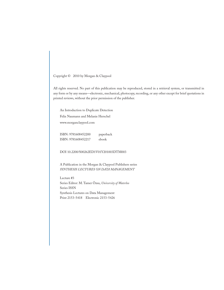Copyright © 2010 by Morgan & Claypool

All rights reserved. No part of this publication may be reproduced, stored in a retrieval system, or transmitted in any form or by any means—electronic, mechanical, photocopy, recording, or any other except for brief quotations in printed reviews, without the prior permission of the publisher.

An Introduction to Duplicate Detection Felix Naumann and Melanie Herschel www.morganclaypool.com

ISBN: 9781608452200 paperback ISBN: 9781608452217 ebook

DOI 10.2200/S00262ED1V01Y201003DTM003

A Publication in the Morgan & Claypool Publishers series *SYNTHESIS LECTURES ON DATA MANAGEMENT*

Lecture #3 Series Editor: M. Tamer Özsu, *University of Waterloo* Series ISSN Synthesis Lectures on Data Management Print 2153-5418 Electronic 2153-5426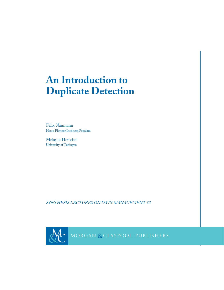# **An Introduction to Duplicate Detection**

Felix Naumann Hasso Plattner Institute, Potsdam

Melanie Herschel University of Tübingen

*SYNTHESIS LECTURES ON DATA MANAGEMENT #3*

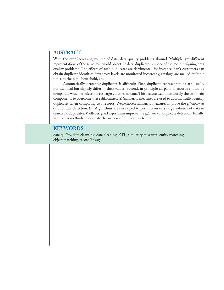# **ABSTRACT**

With the ever increasing volume of data, data quality problems abound. Multiple, yet different representations of the same real-world objects in data, duplicates, are one of the most intriguing data quality problems. The effects of such duplicates are detrimental; for instance, bank customers can obtain duplicate identities, inventory levels are monitored incorrectly, catalogs are mailed multiple times to the same household, etc.

Automatically detecting duplicates is difficult: First, duplicate representations are usually not identical but slightly differ in their values. Second, in principle all pairs of records should be compared, which is infeasible for large volumes of data. This lecture examines closely the two main components to overcome these difficulties: (i) Similarity measures are used to automatically identify duplicates when comparing two records. Well-chosen similarity measures improve the *effectiveness* of duplicate detection. (ii) Algorithms are developed to perform on very large volumes of data in search for duplicates. Well-designed algorithms improve the *efficiency* of duplicate detection. Finally, we discuss methods to evaluate the success of duplicate detection.

## **KEYWORDS**

data quality, data cleansing, data cleaning, ETL, similarity measures, entity matching, object matching, record linkage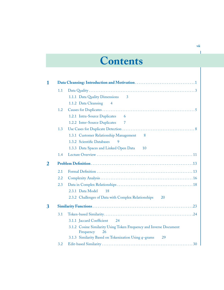# **Contents**

| 1            |                        |                                                                                       |  |  |  |
|--------------|------------------------|---------------------------------------------------------------------------------------|--|--|--|
|              | 1.1                    |                                                                                       |  |  |  |
|              |                        | 1.1.1 Data Quality Dimensions 3                                                       |  |  |  |
|              |                        | 1.1.2 Data Cleansing<br>$\overline{4}$                                                |  |  |  |
|              | 1.2                    |                                                                                       |  |  |  |
|              |                        | 1.2.1 Intra-Source Duplicates<br>$6\overline{6}$                                      |  |  |  |
|              |                        | 1.2.2 Inter-Source Duplicates<br>7                                                    |  |  |  |
|              | 1.3                    |                                                                                       |  |  |  |
|              |                        | 1.3.1 Customer Relationship Management<br>-8                                          |  |  |  |
|              |                        | 1.3.2 Scientific Databases<br>9                                                       |  |  |  |
|              |                        | 1.3.3 Data Spaces and Linked Open Data<br>10                                          |  |  |  |
|              | 1.4                    |                                                                                       |  |  |  |
| $\mathbf{2}$ |                        |                                                                                       |  |  |  |
|              | 2.1                    |                                                                                       |  |  |  |
|              | 2.2                    |                                                                                       |  |  |  |
| 2.3          |                        |                                                                                       |  |  |  |
|              | 2.3.1 Data Model<br>18 |                                                                                       |  |  |  |
|              |                        | 2.3.2 Challenges of Data with Complex Relationships<br><b>20</b>                      |  |  |  |
| 3            |                        |                                                                                       |  |  |  |
|              | 3.1                    |                                                                                       |  |  |  |
|              |                        | 3.1.1 Jaccard Coefficient<br>24                                                       |  |  |  |
|              |                        | 3.1.2 Cosine Similarity Using Token Frequency and Inverse Document<br>Frequency<br>26 |  |  |  |
|              |                        | 3.1.3 Similarity Based on Tokenization Using q-grams<br>29                            |  |  |  |
|              | 3.2                    |                                                                                       |  |  |  |

**vii**

 $\overline{1}$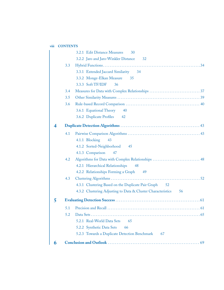**viii CONTENTS**

|   |     | 3.2.1 Edit Distance Measures<br>30                                 |
|---|-----|--------------------------------------------------------------------|
|   |     | 3.2.2 Jaro and Jaro-Winkler Distance<br>32                         |
|   | 3.3 |                                                                    |
|   |     | 3.3.1 Extended Jaccard Similarity 34                               |
|   |     | 3.3.2 Monge-Elkan Measure<br>35                                    |
|   |     | 3.3.3 Soft TF/IDF<br>36                                            |
|   | 3.4 |                                                                    |
|   | 3.5 |                                                                    |
|   | 3.6 |                                                                    |
|   |     | 3.6.1 Equational Theory<br>40                                      |
|   |     | 3.6.2 Duplicate Profiles<br>42                                     |
| 4 |     |                                                                    |
|   | 4.1 |                                                                    |
|   |     | 4.1.1 Blocking<br>43                                               |
|   |     | 4.1.2 Sorted-Neighborhood<br>45                                    |
|   |     | 4.1.3 Comparison<br>47                                             |
|   | 4.2 | Algorithms for Data with Complex Relationships  48                 |
|   |     | 4.2.1 Hierarchical Relationships<br>48                             |
|   |     | 4.2.2 Relationships Forming a Graph 49                             |
|   | 4.3 |                                                                    |
|   |     | 4.3.1 Clustering Based on the Duplicate Pair Graph<br>52           |
|   |     | 4.3.2 Clustering Adjusting to Data & Cluster Characteristics<br>56 |
| 5 |     |                                                                    |
|   | 5.1 |                                                                    |
|   | 5.2 |                                                                    |
|   |     | 5.2.1 Real-World Data Sets<br>65                                   |
|   |     | 5.2.2 Synthetic Data Sets<br>66                                    |
|   |     | 5.2.3 Towards a Duplicate Detection Benchmark<br>67                |
| 6 |     |                                                                    |
|   |     |                                                                    |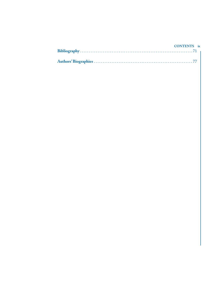# **CONTENTS** ix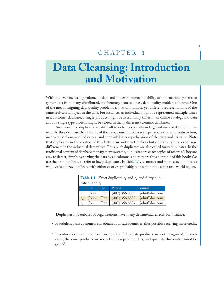# CHAPTER 1

# <span id="page-10-0"></span>**Data Cleansing: Introduction and Motivation**

With the ever increasing volume of data and the ever improving ability of information systems to gather data from many, distributed, and heterogeneous sources, data quality problems abound. One of the most intriguing data quality problems is that of multiple, yet different representations of the same real-world object in the data. For instance, an individual might be represented multiple times in a customer database, a single product might be listed many times in an online catalog, and data about a single type protein might be stored in many different scientific databases.

Such so-called duplicates are difficult to detect, especially in large volumes of data. Simultaneously, they decrease the usability of the data, cause unnecessary expenses, customer dissatisfaction, incorrect performance indicators, and they inhibit comprehension of the data and its value. Note that duplicates in the context of this lecture are not exact replicas but exhibit slight or even large differences in the individual data values.Thus, such duplicates are also called fuzzy duplicates. In the traditional context of database management systems, duplicates are exact copies of records. They are easy to detect, simply by sorting the data by all columns, and they are thus not topic of this book: We use the term duplicate to refer to fuzzy duplicates. In Table 1.1, records  $r_1$  and  $r_2$  are exact duplicates while *r*<sub>3</sub> is a fuzzy duplicate with either *r*<sub>1</sub> or *r*<sub>2</sub>, probably representing the same real-world object.

| <b>Table 1.1:</b> Exact duplicate $r_1$ and $r_2$ and fuzzy dupli- |           |                |                  |              |
|--------------------------------------------------------------------|-----------|----------------|------------------|--------------|
| cate $r_1$ and $r_3$                                               |           |                |                  |              |
|                                                                    | <b>FN</b> | $\overline{N}$ | Phone            | email        |
| $r_1$                                                              | John      | Doe            | $(407)$ 356 8888 | john@doe.com |
| $r_2$                                                              | John      | Doe            | $(407)$ 356 8888 | john@doe.com |
| $r_3$                                                              | Jon       | Doe            | $(407)$ 356 8887 | john@doe.com |

Duplicates in databases of organizations have many detrimental effects, for instance:

- Fraudulent bank customers can obtain duplicate identities, thus possibly receiving more credit.
- Inventory levels are monitored incorrectly if duplicate products are not recognized. In such cases, the same products are restocked in separate orders, and quantity discounts cannot be gained.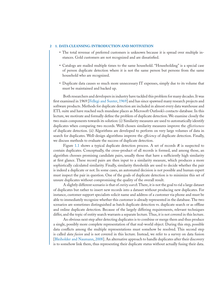#### **2 1. DATA CLEANSING: INTRODUCTION AND MOTIVATION**

- The total revenue of preferred customers is unknown because it is spread over multiple instances. Gold customers are not recognized and are dissatisfied.
- Catalogs are mailed multiple times to the same household. "Householding" is a special case of person duplicate detection where it is not the same person but persons from the same household who are recognized.
- Duplicate data causes so much more unnecessary IT expenses, simply due to its volume that must be maintained and backed up.

Both researchers and developers in industry have tackled this problem for many decades.It was first examined in 1969 [\[Fellegi and Sunter,](#page-82-0) [1969](#page-82-0)] and has since spawned many research projects and software products. Methods for duplicate detection are included in almost every data warehouse and ETL suite and have reached such mundane places as Microsoft Outlook's contacts-database. In this lecture, we motivate and formally define the problem of duplicate detection. We examine closely the two main components towards its solution: (i) Similarity measures are used to automatically identify duplicates when comparing two records. Well-chosen similarity measures improve the *effectiveness* of duplicate detection. (ii) Algorithms are developed to perform on very large volumes of data in search for duplicates. Well-design algorithms improve the *efficiency* of duplicate detection. Finally, we discuss methods to evaluate the success of duplicate detection.

Figure [1.1](#page-12-0) shows a typical duplicate detection process. A set of records *R* is suspected to contain duplicates. Conceptually, the cross-product of all records is formed, and among those, an algorithm chooses promising candidate pairs, usually those that have a sufficiently high similarity at first glance. These record pairs are then input to a similarity measure, which produces a more sophistically calculated similarity. Finally, similarity thresholds are used to decide whether the pair is indeed a duplicate or not. In some cases, an automated decision is not possible and human expert must inspect the pair in question. One of the goals of duplicate detection is to minimize this set of unsure duplicates without compromising the quality of the overall result.

A slightly different scenario is that of *entity search*.There, it is not the goal to rid a large dataset of duplicates but rather to insert new records into a dataset without producing new duplicates. For instance, customer support specialists solicit name and address of a customer via phone and must be able to immediately recognize whether this customer is already represented in the database.The two scenarios are sometimes distinguished as batch duplicate detection vs. duplicate search or as offline and online duplicate detection. Because of the largely differing requirements, relevant techniques differ, and the topic of entity search warrants a separate lecture. Thus, it is not covered in this lecture.

An obvious next step after detecting duplicates is to combine or merge them and thus produce a single, possibly more complete representation of that real-world object. During this step, possible data conflicts among the multiple representations must somehow be resolved. This second step is called *data fusion* and is not covered in this lecture. Instead, we refer to a survey on data fusion [\[Bleiholder and Naumann](#page-81-0), [2008](#page-81-0)]. An alternative approach to handle duplicates after their discovery is to somehow link them, thus representing their duplicate status without actually fusing their data.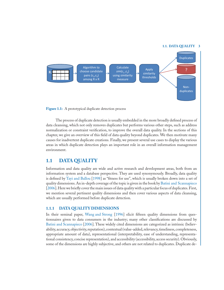#### **1.1. DATA QUALITY 3**

<span id="page-12-0"></span>

**Figure 1.1:** A prototypical duplicate detection process

The process of duplicate detection is usually embedded in the more broadly defined process of data cleansing, which not only removes duplicates but performs various other steps, such as address normalization or constraint verification, to improve the overall data quality. In the sections of this chapter, we give an overview of this field of data quality beyond duplicates. We then motivate many causes for inadvertent duplicate creations. Finally, we present several use cases to display the various areas in which duplicate detection plays an important role in an overall information management environment.

## **1.1 DATA QUALITY**

Information and data quality are wide and active research and development areas, both from an information system and a database perspective. They are used synonymously. Broadly, data quality is defined by [Tayi and Ballou](#page-84-0) [\[1998\]](#page-84-0) as "fitness for use", which is usually broken down into a set of quality dimensions. An in-depth coverage of the topic is given in the book by [Batini and Scannapieco](#page-80-0) [\[2006](#page-80-0)].Here we briefly cover the main issues of data quality with a particular focus of duplicates.First, we mention several pertinent quality dimensions and then cover various aspects of data cleansing, which are usually performed before duplicate detection.

#### **1.1.1 DATA QUALITY DIMENSIONS**

In their seminal paper, [Wang and Strong](#page-84-0) [\[1996\]](#page-84-0) elicit fifteen quality dimensions from questionnaires given to data consumers in the industry; many other classifications are discussed by [Batini and Scannapieco](#page-80-0) [\[2006](#page-80-0)]. These widely cited dimensions are categorized as intrinsic (believability, accuracy, objectivity, reputation), contextual (value-added, relevancy, timeliness, completeness, appropriate amount of data), representational (interpretability, ease of understanding, representational consistency, concise representation), and accessibility (accessibility, access security). Obviously, some of the dimensions are highly subjective, and others are not related to duplicates. Duplicate de-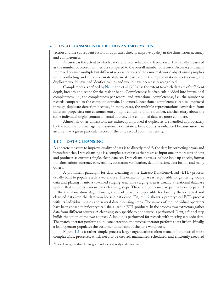#### <span id="page-13-0"></span>**4 1. DATA CLEANSING: INTRODUCTION AND MOTIVATION**

tection and the subsequent fusion of duplicates directly improve quality in the dimensions accuracy and completeness.

Accuracy is the extent to which data are correct, reliable and free of error. It is usually measured as the number of records with errors compared to the overall number of records. Accuracy is usually improved because multiple but different representations of the same real-world object usually implies some conflicting and thus inaccurate data in at least one of the representations – otherwise, the duplicate would have had identical values and would have been easily recognized.

Completeness is defined by [Naumann et al.\[2004](#page-83-0)] as the extent to which data are of sufficient depth, breadth and scope for the task at hand. Completeness is often sub-divided into intensional completeness, i.e., the completeness per record, and extensional completeness, i.e., the number or records compared to the complete domain. In general, intensional completeness can be improved through duplicate detection because, in many cases, the multiple representations cover data from different properties; one customer entry might contain a phone number, another entry about the same individual might contain an email address. The combined data are more complete.

Almost all other dimensions are indirectly improved if duplicates are handled appropriately by the information management system. For instance, believability is enhanced because users can assume that a given particular record is the only record about that entity.

#### **1.1.2 DATA CLEANSING**

A concrete measure to improve quality of data is to directly modify the data by correcting errors and inconsistencies. Data cleansing<sup>1</sup> is a complex set of tasks that takes as input one or more sets of data and produces as output a single, clean data set. Data cleansing tasks include look-up checks, format transformations, currency conversions, constraint verification, deduplication, data fusion, and many others.

A prominent paradigm for data cleansing is the Extract-Transform-Load (ETL) process, usually built to populate a data warehouse: The extraction phase is responsible for gathering source data and placing it into a so-called staging area. The staging area is usually a relational database system that supports various data cleansing steps. These are performed sequentially or in parallel in the transformation stage. Finally, the load phase is responsible for loading the extracted and cleansed data into the data warehouse / data cube. Figure [1.2](#page-14-0) shows a prototypical ETL process with its individual phases and several data cleansing steps. The names of the individual operators have been chosen to reflect typical labels used in ETL products. In the process, two extractors gather data from different sources. A cleansing step specific to one source is performed. Next, a funnel step builds the union of the two sources. A lookup is performed for records with missing zip code data. The match operator performs duplicate detection; the survive operator performs data fusion. Finally, a load operator populates the customer dimension of the data warehouse.

Figure [1.2](#page-14-0) is a rather simple process; larger organizations often manage hundreds of more complex ETL processes, which need to be created, maintained, scheduled, and efficiently executed

<sup>1</sup>Data cleaning and data cleansing are used synonymously in the literature.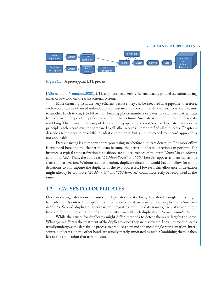#### **1.2. CAUSES FOR DUPLICATES 5**

<span id="page-14-0"></span>

**Figure 1.2:** A prototypical ETL process

[\[Albrecht and Naumann](#page-80-0),[2008\]](#page-80-0).ETL engines specialize in efficient,usually parallel execution during times of low load on the transactional system.

Most cleansing tasks are very efficient because they can be executed in a pipeline; therefore, each record can be cleansed individually. For instance, conversions of data values from one measure to another (inch to cm; \$ to E) or transforming phone numbers or dates to a standard pattern can be performed independently of other values in that column. Such steps are often referred to as data scrubbing. The intrinsic efficiency of data scrubbing operations is not true for duplicate detection. In principle, each record must be compared to all other records in order to find all duplicates. Chapter [4](#page-52-0) describes techniques to avoid this quadratic complexity, but a simple record-by-record approach is not applicable.

Data cleansing is an important pre-processing step before duplicate detection.The more effort is expended here and the cleaner the data become, the better duplicate detection can perform. For instance, a typical standardization is to abbreviate all occurrences of the term "*Street*" in an address column to "*St.*". Thus, the addresses "*20 Main Street*" and "*20 Main St.*" appear as identical strings after standardization. Without standardization, duplicate detection would have to allow for slight deviations to still capture the duplicity of the two addresses. However, this allowance of deviation might already be too loose: "*20 Main St.*" and "*20 Maine St.*" could incorrectly be recognized as the same.

## **1.2 CAUSES FOR DUPLICATES**

One can distinguish two main causes for duplicates in data. First, data about a single entity might be inadvertently entered multiple times into the same database – we call such duplicates *intra-source duplicates*. Second, duplicates appear when integrating multiple data sources, each of which might have a different representation of a single entity – we call such duplicates *inter-source duplicates*.

While the causes for duplicates might differ, methods to detect them are largely the same. What again differs is the treatment of the duplicates once they are discovered: Intra-source duplicates usually undergo some data fusion process to produce a new and enhanced single representation.Intersource duplicates, on the other hand, are usually merely annotated as such. Combining them is then left to the application that uses the data.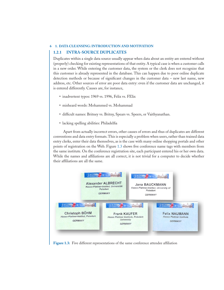#### **6 1. DATA CLEANSING: INTRODUCTION AND MOTIVATION**

### **1.2.1 INTRA-SOURCE DUPLICATES**

Duplicates within a single data source usually appear when data about an entity are entered without (properly) checking for existing representations of that entity. A typical case is when a customer calls in a new order. While entering the customer data, the system or the clerk does not recognize that this customer is already represented in the database. This can happen due to poor online duplicate detection methods or because of significant changes in the customer data – new last name, new address, etc. Other sources of error are poor data entry: even if the customer data are unchanged, it is entered differently. Causes are, for instance,

- inadvertent typos: 1969 vs. 1996, Felix vs. FElix
- misheard words: Mohammed vs. Mohammad
- difficult names: Britney vs. Britny, Spears vs. Speers, or Vaithyanathan.
- lacking spelling abilities: Philadelfia

Apart from actually incorrect errors, other causes of errors and thus of duplicates are different conventions and data entry formats.This is especially a problem when users, rather than trained data entry clerks, enter their data themselves, as is the case with many online shopping portals and other points of registration on the Web. Figure 1.3 shows five conference name tags with members from the same institute. On the conference registration site, each participant entered his or her own data. While the names and affiliations are all correct, it is not trivial for a computer to decide whether their affiliations are all the same.



Figure 1.3: Five different representations of the same conference attendee affiliation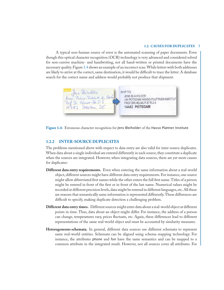#### **1.2. CAUSES FOR DUPLICATES 7**

<span id="page-16-0"></span>A typical non-human source of error is the automated scanning of paper documents. Even though this optical character recognition (OCR) technology is very advanced and considered solved for non-cursive machine- and handwriting, not all hand-written or printed documents have the necessary quality. Figure 1.4 shows an example of an incorrect scan.While letters with both addresses are likely to arrive at the correct, same destination, it would be difficult to trace the letter: A database search for the correct name and address would probably not produce that shipment.

Jours Black Loller<br>Hasso-Pluttner-Sustitute, Un Potsda SHIP TO: **JENS BLAHOLDER** UNI POTSDAM HASSO-PLUTTNER-INSTITUT Prof. Dr. Helmert-Str. 2-3 PROF.DR.HELMUT-STR.2-3 14482 POTSDAM Potsdam, DE 482

**Figure 1.4:** Erroneous character recognition for Jens Bleiholder of the Hasso Plattner Institute

#### **1.2.2 INTER-SOURCE DUPLICATES**

The problems mentioned above with respect to data entry are also valid for inter-source duplicates. When data about a single individual are entered differently in each source, they constitute a duplicate when the sources are integrated. However, when integrating data sources, there are yet more causes for duplicates:

- **Different data entry requirements.** Even when entering the same information about a real-world object, different sources might have different data entry requirements. For instance, one source might allow abbreviated first names while the other enters the full first name.Titles of a person might be entered in front of the first or in front of the last name. Numerical values might be recorded at different precision levels, data might be entered in different languages, etc. All these are reasons that semantically same information is represented differently.These differences are difficult to specify, making duplicate detection a challenging problem.
- **Different data entry times.** Different sources might enter data about a real-world object at different points in time. Thus, data about an object might differ. For instance, the address of a person can change, temperatures vary, prices fluctuate, etc. Again, these differences lead to different representations of the same real-world object and must be accounted by similarity measures.
- **Heterogeneous schemata.** In general, different data sources use different schemata to represent same real-world entities. Schemata can be aligned using schema mapping technology. For instance, the attributes phone and fon have the same semantics and can be mapped to a common attribute in the integrated result. However, not all sources cover all attributes. For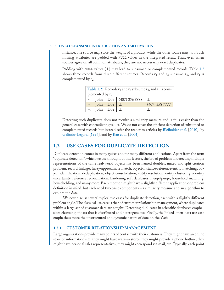#### <span id="page-17-0"></span>**8 1. DATA CLEANSING: INTRODUCTION AND MOTIVATION**

instance, one source may store the weight of a product, while the other source may not. Such missing attributes are padded with NULL values in the integrated result. Thus, even when sources agree on all common attributes, they are not necessarily exact duplicates.

Padding with NULL values  $(\perp)$  may lead to subsumed or complemented records. Table 1.2 shows three records from three different sources. Records  $r_1$  and  $r_2$  subsume  $r_3$ , and  $r_1$  is complemented by  $r_2$ .

| <b>Table 1.2:</b> Records $r_1$ and $r_2$ subsume $r_3$ , and $r_1$ is com- |                        |  |                                                                                                                                                            |                  |
|-----------------------------------------------------------------------------|------------------------|--|------------------------------------------------------------------------------------------------------------------------------------------------------------|------------------|
| plemented by $r_2$ .                                                        |                        |  |                                                                                                                                                            |                  |
|                                                                             |                        |  | $\begin{array}{ c c c c c c }\hline r_1 & \text{John} & \text{Doe} & (407) 356 8888 & L \\ \hline r_2 & \text{John} & \text{Doe} & L & \hline \end{array}$ |                  |
|                                                                             |                        |  |                                                                                                                                                            | $(407)$ 358 7777 |
|                                                                             | $r_3$ John Doe $\perp$ |  |                                                                                                                                                            |                  |

Detecting such duplicates does not require a similarity measure and is thus easier than the general case with contradicting values. We do not cover the efficient detection of subsumed or complemented records but instead refer the reader to articles by [Bleiholder et al.](#page-81-0) [\[2010](#page-81-0)], by [Galindo-Legaria](#page-82-0) [\[1994\]](#page-82-0), and by [Rao et al.](#page-83-0) [\[2004](#page-83-0)].

# **1.3 USE CASES FOR DUPLICATE DETECTION**

Duplicate detection comes in many guises and for many different applications. Apart from the term "duplicate detection", which we use throughout this lecture, the broad problem of detecting multiple representations of the same real-world objects has been named doubles, mixed and split citation problem, record linkage, fuzzy/approximate match, object/instance/reference/entity matching, object identification, deduplication, object consolidation, entity resolution, entity clustering, identity uncertainty, reference reconciliation, hardening soft databases, merge/purge, household matching, householding, and many more. Each mention might have a slightly different application or problem definition in mind, but each need two basic components – a similarity measure and an algorithm to explore the data.

We now discuss several typical use cases for duplicate detection, each with a slightly different problem angle. The classical use case is that of customer relationship management, where duplicates within a large set of customer data are sought. Detecting duplicates in scientific databases emphasizes cleansing of data that is distributed and heterogeneous. Finally, the linked-open-data use case emphasizes more the unstructured and dynamic nature of data on the Web.

### **1.3.1 CUSTOMER RELATIONSHIP MANAGEMENT**

Large organizations provide many points of contact with their customers:They might have an online store or information site, they might have walk-in stores, they might provide a phone hotline, they might have personal sales representatives, they might correspond via mail, etc. Typically, each point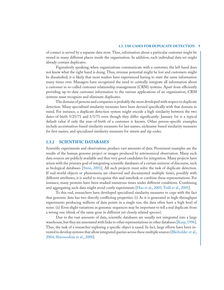#### **1.3. USE CASES FOR DUPLICATE DETECTION 9**

<span id="page-18-0"></span>of contact is served by a separate data store. Thus, information about a particular customer might be stored in many different places inside the organization. In addition, each individual data set might already contain duplicates.

Figuratively speaking, when organizations communicate with a customer, the left hand does not know what the right hand is doing. Thus, revenue potential might be lost and customers might be dissatisfied; it is likely that most readers have experienced having to state the same information many times over. Managers have recognized the need to centrally integrate all information about a customer in so-called customer relationship management (CRM) systems. Apart from efficiently providing up-to-date customer information to the various applications of an organization, CRM systems must recognize and eliminate duplicates.

The domain of persons and companies is probably the most developed with respect to duplicate detection. Many specialized similarity measures have been devised specifically with that domain in mind. For instance, a duplicate detection system might encode a high similarity between the two dates-of-birth 5/25/71 and 1/1/71 even though they differ significantly: January 1st is a typical default value if only the year-of-birth of a customer is known. Other person-specific examples include accentuation-based similarity measures for last names, nickname-based similarity measures for first names, and specialized similarity measures for streets and zip codes.

#### **1.3.2 SCIENTIFIC DATABASES**

Scientific experiments and observations produce vast amounts of data. Prominent examples are the results of the human genome project or images produced by astronomical observation. Many such data sources are publicly available and thus very good candidates for integration. Many projects have arisen with the primary goal of integrating scientific databases of a certain universe of discourse, such as biological databases [\[Stein](#page-84-0), [2003\]](#page-84-0). All such projects must solve the task of duplicate detection. If real-world objects or phenomena are observed and documented multiple times, possibly with different attributes, it is useful to recognize this and interlink or combine these representations. For instance, many proteins have been studied numerous times under different conditions. Combining and aggregating such data might avoid costly experiments [\[Hao et al.](#page-82-0), [2005](#page-82-0); [Trißl et al.,](#page-84-0) [2005](#page-84-0)].

To this end, researchers have developed specialized similarity measures to cope with the fact that genomic data has two directly conflicting properties: (i) As it is generated in high-throughput experiments producing millions of data points in a single run, the data often have a high level of noise. (ii) Even slight variations in genomic sequences may be important to tell a real duplicate from a wrong one (think of the same gene in different yet closely related species).

Due to the vast amounts of data, scientific databases are usually not integrated into a large warehouse,but they are annotated with links to other representations in other databases [\[Karp,1996](#page-82-0)]. Thus, the task of a researcher exploring a specific object is eased. In fact, large efforts have been invested to develop systems that allow integrated queries across these multiple sources [\[Bleiholder et al.](#page-81-0), [2004;](#page-81-0) [Shironoshita et al.,](#page-83-0) [2008\]](#page-83-0).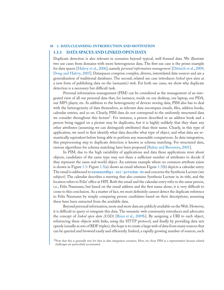#### **10 1. DATA CLEANSING: INTRODUCTION AND MOTIVATION**

### **1.3.3 DATA SPACES AND LINKED OPEN DATA**

Duplicate detection is also relevant in scenarios beyond typical, well-formed data. We illustrate two use cases from domains with more heterogenous data. The first use case is the prime example for data spaces [\[Halevy et al.,](#page-82-0) [2006](#page-82-0)], namely *personal information management* [\[Dittrich et al.](#page-81-0), [2009;](#page-81-0) [Dong and Halevy,](#page-81-0) [2005](#page-81-0)]. Dataspaces comprise complex, diverse, interrelated data sources and are a generalization of traditional databases. The second, related use case introduces *linked open data* as a new form of publishing data on the (semantic) web. For both use cases, we show why duplicate detection is a necessary but difficult task.

Personal information management (PIM) can be considered as the management of an integrated view of all our personal data that, for instance, reside on our desktop, our laptop, our PDA, our MP3 player, etc. In addition to the heterogeneity of devices storing data, PIM also has to deal with the heterogeneity of data themselves, as relevant data encompass emails, files, address books, calendar entries, and so on. Clearly, PIM data do not correspond to the uniformly structured data we consider throughout this lecture<sup>2</sup>. For instance, a person described in an address book and a person being tagged on a picture may be duplicates, but it is highly unlikely that they share any other attributes (assuming we can distinguish attributes) than their name. Clearly, in this type of application, we need to first identify what data describe what type of object, and what data are semantically equivalent before being able to perform any reasonable comparisons. In data integration, this preprocessing step to duplicate detection is known as schema matching. For structured data, various algorithms for schema matching have been proposed [\[Rahm and Bernstein](#page-83-0), [2001](#page-83-0)].

In PIM, due to the high variability of applications and data these applications store about objects, candidates of the same type may not share a sufficient number of attributes to decide if they represent the same real-world object. An extreme example where no common attribute exists is shown in Figure [1.5:](#page-20-0) Figure [1.5\(](#page-20-0)a) shows an email whereas Figure [1.5\(](#page-20-0)b) depicts a calendar entry. The email is addressed to <naumann@hpi.uni-potsdam.de> and concerns the Synthesis Lecture (see subject). The calendar describes a meeting that also contains Synthesis Lecture in its title, and the location refers to Felix' office at HPI. Both the email and the calendar entry refer to the same person, i.e., Felix Naumann, but based on the email address and the first name alone, it is very difficult to come to this conclusion. As a matter of fact, we most definitely cannot detect the duplicate reference to Felix Naumann by simply comparing person candidates based on their descriptions, assuming these have been extracted from the available data.

Beyond personal information, more and more data are publicly available on the Web. However, it is difficult to query or integrate this data. The semantic web community introduces and advocates the concept of *linked open data (LOD)* [\[Bizer et al.](#page-81-0), [2009b\]](#page-81-0). By assigning a URI to each object, referencing these objects with links, using the HTTP protocol, and finally by providing data sets openly (usually as sets of RDF triples), the hope is to create a large web of data from many sources that can be queried and browsed easily and efficiently. Indeed, a rapidly growing number of sources, such

 $2$ Note that this is generally true for data in data integration scenarios. Here, we chose PIM as a representative because related challenges are particularly accentuated.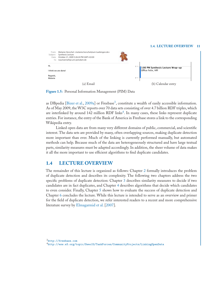#### **1.4. LECTURE OVERVIEW 11**

<span id="page-20-0"></span>

| From:<br>Subject:<br>To: | Melanie Herschel <melanie.herschel@uni-tuebingen.de><br/>Synthesis Lecture<br/>Date: October 21, 2009 5:26:24 PM GMT+02:00<br/>naumann@hpi.uni-potsdam.de</melanie.herschel@uni-tuebingen.de> |        |                                   |
|--------------------------|-----------------------------------------------------------------------------------------------------------------------------------------------------------------------------------------------|--------|-----------------------------------|
| Hi,                      |                                                                                                                                                                                               | 1 P M  | 1:00 PM Synthesis Lecture Wrap-up |
| I think we are done!     |                                                                                                                                                                                               |        | <b>Office Felix, HPI</b>          |
| Regards,<br>Melanie      |                                                                                                                                                                                               | $2$ PM |                                   |
|                          | (a) Email                                                                                                                                                                                     |        | (b) Calendar entry                |

**Figure 1.5:** Personal Information Management (PIM) Data

as DB pedia [\[Bizer et al.,](#page-81-0) [2009a\]](#page-81-0) or Freebase<sup>3</sup>, constitute a wealth of easily accessible information. As of May 2009, the W3C reports over 70 data sets consisting of over 4.7 billion RDF triples, which are interlinked by around  $142$  million RDF links<sup>4</sup>. In many cases, these links represent duplicate entries. For instance, the entry of the Bank of America in Freebase stores a link to the corresponding Wikipedia entry.

Linked open data are from many very different domains of public, commercial, and scientific interest. The data sets are provided by many, often overlapping sources, making duplicate detection more important than ever. Much of the linking is currently performed manually, but automated methods can help. Because much of the data are heterogeneously structured and have large textual parts, similarity measures must be adapted accordingly. In addition, the sheer volume of data makes it all the more important to use efficient algorithms to find duplicate candidates.

### **1.4 LECTURE OVERVIEW**

The remainder of this lecture is organized as follows: Chapter [2](#page-22-0) formally introduces the problem of duplicate detection and describes its complexity. The following two chapters address the two specific problems of duplicate detection: Chapter [3](#page-32-0) describes similarity measures to decide if two candidates are in fact duplicates, and Chapter [4](#page-52-0) describes algorithms that decide which candidates to even consider. Finally, Chapter [5](#page-70-0) shows how to evaluate the success of duplicate detection and Chapter [6](#page-78-0) concludes the lecture. While this lecture is intended to serve as an overview and primer for the field of duplicate detection, we refer interested readers to a recent and more comprehensive literature survey by [Elmagarmid et al.](#page-81-0) [\[2007\]](#page-81-0).

<sup>3</sup><http://freebase.com> <sup>4</sup><http://esw.w3.org/topic/SweoIG/TaskForces/CommunityProjects/LinkingOpenData>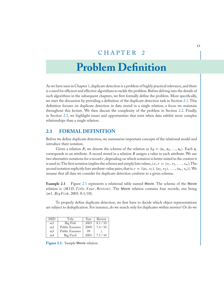# CHAPTER 2

# **Problem Definition**

<span id="page-22-0"></span>As we have seen in Chapter [1,](#page-10-0) duplicate detection is a problem of highly practical relevance, and there is a need for efficient and effective algorithms to tackle the problem. Before delving into the details of such algorithms in the subsequent chapters, we first formally define the problem. More specifically, we start the discussion by providing a definition of the duplicate detection task in Section 2.1. This definition focuses on duplicate detection in data stored in a single relation, a focus we maintain throughout this lecture. We then discuss the complexity of the problem in Section [2.2.](#page-25-0) Finally, in Section [2.3,](#page-27-0) we highlight issues and opportunities that exist when data exhibit more complex relationships than a single relation.

## **2.1 FORMAL DEFINITION**

Before we define duplicate detection, we summarize important concepts of the relational model and introduce their notation.

Given a relation *R*, we denote the schema of the relation as  $S_R = \langle a_1, a_2, ..., a_n \rangle$ . Each  $a_i$ corresponds to an attribute. A record stored in a relation *R* assigns a value to each attribute. We use two alternative notations for a record *r*, depending on which notation is better suited in the context it is used in: The first notation implies the schema and simply lists values, i.e.,  $r = \langle v_1, v_2, \ldots, v_n \rangle$ ; The second notation explicitly lists attribute-value pairs, that is,  $r = \langle (a_1, v_1), (a_2, v_2), \ldots, (a_n, v_n) \rangle$ . We assume that all data we consider for duplicate detection conform to a given schema.

**Example 2.1** Figure 2.1 represents a relational table named Movie. The schema of the Movie relation is *MID, T itle, Y ear, Review*. The Movie relation contains four records, one being  $\langle m1, Big Fish, 2003, 8.1/10 \rangle$ .

To properly define duplicate detection, we first have to decide which object representations are subject to deduplication. For instance, do we search only for duplicates within movies? Or do we

| <b>MID</b>     | Title                 | Year | Review   |
|----------------|-----------------------|------|----------|
| m1             | Big Fish              | 2003 | 8.1 / 10 |
| m2             | Public Enemies        | 2009 | 7.4/10   |
| m <sub>3</sub> | <b>Public Enemies</b> | 09   |          |
| m <sub>4</sub> | Big Fisch             | 2003 | 7.5/10   |

**Figure 2.1:** Sample Movie relation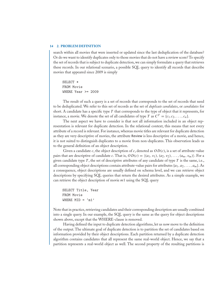#### **14 2. PROBLEM DEFINITION**

search within all movies that were inserted or updated since the last deduplication of the database? Or do we want to identify duplicates only to those movies that do not have a review score? To specify the set of records that is subject to duplicate detection, we can simply formulate a query that retrieves these records. In our relational scenario, a possible SQL query to identify all records that describe movies that appeared since 2009 is simply

SELECT \* FROM Movie WHERE Year  $>= 2009$ 

The result of such a query is a set of records that corresponds to the set of records that need to be deduplicated. We refer to this set of records as the set of *duplicate candidates*, or *candidates* for short. A candidate has a specific type *T* that corresponds to the type of object that it represents, for instance, a movie. We denote the set of all candidates of type *T* as  $C^T = \{c_1.c_2, \ldots, c_n\}$ .

The next aspect we have to consider is that not all information included in an object representation is relevant for duplicate detection. In the relational context, this means that not every attribute of a record is relevant. For instance, whereas movie titles are relevant for duplicate detection as they are very descriptive of movies, the attribute Review is less descriptive of a movie, and hence, it is not suited to distinguish duplicates to a movie from non-duplicates. This observation leads us to the general definition of an object description.

Given a candidate *c*, the object description of *c*, denoted as *OD(c)*, is a set of attribute-value pairs that are descriptive of candidate *c*. That is,  $OD(c) = \langle (a_1, v_1), (a_2, v_2), \ldots, (a_m, v_m) \rangle$ . For a given candidate type *T* , the set of descriptive attributes of any candidate of type *T* is the same, i.e., all corresponding object descriptions contain attribute-value pairs for attributes  $\{a_1, a_2, \ldots, a_m\}$ . As a consequence, object descriptions are usually defined on schema level, and we can retrieve object descriptions by specifying SQL queries that return the desired attributes. As a simple example, we can retrieve the object description of movie *m*1 using the SQL query

```
SELECT Title, Year
FROM Movie
WHERE MID = 'm1'
```
Note that in practice, retrieving candidates and their corresponding description are usually combined into a single query. In our example, the SQL query is the same as the query for object descriptions shown above, except that the WHERE-clause is removed.

Having defined the input to duplicate detection algorithms, let us now move to the definition of the output. The ultimate goal of duplicate detection is to partition the set of candidates based on information provided by their object descriptions. Each partition returned by a duplicate detection algorithm contains candidates that all represent the same real-world object. Hence, we say that a partition represents a real-world object as well. The second property of the resulting partitions is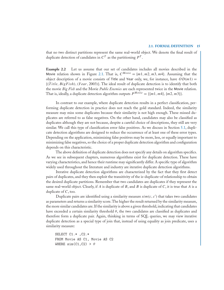#### **2.1. FORMAL DEFINITION 15**

that no two distinct partitions represent the same real-world object. We denote the final result of duplicate detection of candidates in  $C<sup>T</sup>$  as the partitioning  $P<sup>T</sup>$ .

**Example 2.2** Let us assume that our set of candidates includes all movies described in the Movie relation shown in Figure [2.1.](#page-22-0) That is,  $C^{Movie} = \{m1, m2, m3, m4\}$ . Assuming that the object description of a movie consists of Title and Year only, we, for instance, have  $OD(m1)$  = {*(T itle, BigF ish), (Y ear,* 2003*)*}. The ideal result of duplicate detection is to identify that both the movie *Big Fish* and the Movie *Public Enemies* are each represented twice in the Movie relation. That is, ideally, a duplicate detection algorithm outputs  $P^{Movie} = \{\{m1, m4\}, \{m2, m3\}\}.$ 

In contrast to our example, where duplicate detection results in a perfect classification, performing duplicate detection in practice does not reach the gold standard. Indeed, the similarity measure may miss some duplicates because their similarity is not high enough. These missed duplicates are referred to as false negatives. On the other hand, candidates may also be classified as duplicates although they are not because, despite a careful choice of descriptions, they still are very similar. We call this type of classification error false positives. As we discuss in Section [5.1,](#page-70-0) duplicate detection algorithms are designed to reduce the occurrence of at least one of these error types. Depending on the application, minimizing false positives may be more, less, or equally important to minimizing false negatives, so the choice of a proper duplicate detection algorithm and configuration depends on this characteristic.

The above definition of duplicate detection does not specify any details on algorithm specifics. As we see in subsequent chapters, numerous algorithms exist for duplicate detection. These have varying characteristics, and hence their runtime may significantly differ. A specific type of algorithm widely used throughout the literature and industry are iterative duplicate detection algorithms.

Iterative duplicate detection algorithms are characterized by the fact that they first detect pairs of duplicates, and they then exploit the transitivity of the is-duplicate-of relationship to obtain the desired duplicate partitions. Remember that two candidates are duplicates if they represent the same real-world object. Clearly, if *A* is duplicate of *B*, and *B* is duplicate of *C*, it is true that *A* is a duplicate of *C*, too.

Duplicate pairs are identified using a similarity measure  $sim(c, c')$  that takes two candidates as parameters and returns a similarity score.The higher the result returned by the similarity measure, the more similar candidates are. If the similarity is above a given threshold, indicating that candidates have exceeded a certain similarity threshold *θ*, the two candidates are classified as duplicates and therefore form a duplicate pair. Again, thinking in terms of SQL queries, we may view iterative duplicate detection as a special type of join that, instead of using equality as join predicate, uses a similarity measure:

```
SELECT C1.* ,C2.*
FROM Movie AS C1, Movie AS C2
WHERE sim(C1, C2) > \theta
```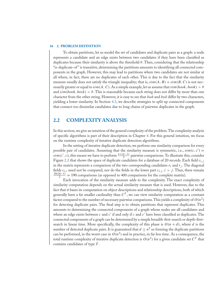#### <span id="page-25-0"></span>**16 2. PROBLEM DEFINITION**

To obtain partitions, let us model the set of candidates and duplicate pairs as a graph: a node represents a candidate and an edge exists between two candidates if they have been classified as duplicates because their similarity is above the threshold *θ*. Then, considering that the relationship "is-duplicate-of " is transitive, determining the partitions amounts to identifying all connected components in the graph. However, this may lead to partitions where two candidates are not similar at all where, in fact, there are no duplicates of each other. This is due to the fact that the similarity measure usually does not satisfy the triangle inequality; that is,  $sim(A, B) + sim(B, C)$  is not necessarily greater or equal to  $sim(A, C)$ . As a simple example, let us assume that  $sim(hook, book) > \theta$ and  $sim(book, bosk) > \theta$ . This is reasonable because each string does not differ by more than one character from the other string. However, it is easy to see that *hook* and *bosk* differ by two characters, yielding a lower similarity. In Section [4.3,](#page-61-0) we describe strategies to split up connected components that connect too dissimilar candidates due to long chains of pairwise duplicates in the graph.

# **2.2 COMPLEXITY ANALYSIS**

In this section, we give an intuition of the general complexity of the problem.The complexity analysis of specific algorithms is part of their description in Chapter [4.](#page-52-0) For this general intuition, we focus on the runtime complexity of iterative duplicate detection algorithms.

In the setting of iterative duplicate detection, we perform one similarity comparison for every possible pair of candidates. Assuming that the similarity measure is symmetric, i.e.,  $sim(c, c') =$  $sim(c', c)$ , this means we have to perform  $\frac{n \times (n-1)}{2}$  pairwise comparisons. To illustrate this, consider Figure [2.2](#page-26-0) that shows the space of duplicate candidates for a database of 20 records. Each field *c<sub>i,j</sub>* in the matrix represents a comparison of the two corresponding candidates *ri* and *rj* . The diagonal fields  $c_{i,i}$  need not be compared, nor do the fields in the lower part  $c_{i,j}$ ,  $i > j$ . Thus, there remain  $\frac{20(20-1)}{2}$  = 190 comparisons (as opposed to 400 comparisons for the complete matrix).

Each invocation of the similarity measure adds to the complexity. The exact complexity of similarity computation depends on the actual similarity measure that is used. However, due to the fact that it bases its computation on object descriptions and relationship descriptions, both of which generally have a far smaller cardinality than  $C^T$ , we can view similarity computation as a constant factor compared to the number of necessary pairwise comparisons. This yields a complexity of  $O(n^2)$ for detecting duplicate pairs. The final step is to obtain partitions that represent duplicates. This amounts to determining the connected components of a graph whose nodes are all candidates and where an edge exists between *c* and *c* if and only if *c* and *c* have been classified as duplicates. The connected components of a graph can be determined by a simple breadth-first-search or depth-firstsearch in linear time. More specifically, the complexity of this phase is  $O(n + d)$ , where *d* is the number of detected duplicate pairs. It is guaranteed that  $d \leq n^2$  so forming the duplicate partitions can be performed, in the worst case in  $O(n^2)$  and in practice, in far less time. As a consequence, the total runtime complexity of iterative duplicate detection is  $O(n^2)$  for a given candidate set  $C<sup>T</sup>$  that contains candidates of type *T* .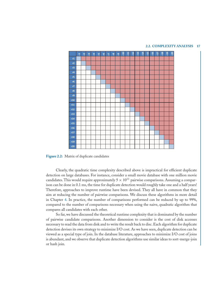#### **2.2. COMPLEXITY ANALYSIS 17**

<span id="page-26-0"></span>

**Figure 2.2:** Matrix of duplicate candidates

Clearly, the quadratic time complexity described above is impractical for efficient duplicate detection on large databases. For instance, consider a small movie database with one million movie candidates. This would require approximately  $5 \times 10^{11}$  pairwise comparisons. Assuming a comparison can be done in 0.1 ms, the time for duplicate detection would roughly take one and a half years! Therefore, approaches to improve runtime have been devised. They all have in common that they aim at reducing the number of pairwise comparisons. We discuss these algorithms in more detail in Chapter [4.](#page-52-0) In practice, the number of comparisons performed can be reduced by up to 99%, compared to the number of comparisons necessary when using the naive, quadratic algorithm that compares all candidates with each other.

So far, we have discussed the theoretical runtime complexity that is dominated by the number of pairwise candidate comparisons. Another dimension to consider is the cost of disk accesses necessary to read the data from disk and to write the result back to disc. Each algorithm for duplicate detection devises its own strategy to minimize I/O cost. As we have seen, duplicate detection can be viewed as a special type of join. In the database literature, approaches to minimize I/O cost of joins is abundant, and we observe that duplicate detection algorithms use similar ideas to sort-merge-join or hash join.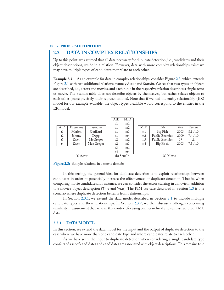#### <span id="page-27-0"></span>**18 2. PROBLEM DEFINITION**

# **2.3 DATA IN COMPLEX RELATIONSHIPS**

Up to this point, we assumed that all data necessary for duplicate detection, i.e., candidates and their object descriptions, reside in a relation. However, data with more complex relationships exist: we may have multiple types of candidates that relate to each other.

**Example 2.3** As an example for data in complex relationships, consider Figure 2.3, which extends Figure [2.1](#page-22-0) with two additional relations, namely Actor and StarsIn. We see that two types of objects are described, i.e., actors and movies, and each tuple in the respective relation describes a single actor or movie. The StarsIn table does not describe objects by themselves, but rather relates objects to each other (more precisely, their representations). Note that if we had the entity relationship (ER) model for our example available, the object types available would correspond to the entities in the ER model.



**Figure 2.3:** Sample relations in a movie domain

In this setting, the general idea for duplicate detection is to exploit relationships between candidates in order to potentially increase the effectiveness of duplicate detection. That is, when comparing movie candidates, for instance, we can consider the actors starring in a movie in addition to a movie's object description (Title and Year). The PIM use case described in Section [1.3](#page-17-0) is one scenario where duplicate detection benefits from relationships.

In Section 2.3.1, we extend the data model described in Section [2.1](#page-22-0) to include multiple candidate types and their relationships. In Section [2.3.2,](#page-29-0) we then discuss challenges concerning similarity measurement that arise in this context, focusing on hierarchical and semi-structured XML data.

#### **2.3.1 DATA MODEL**

In this section, we extend the data model for the input and the output of duplicate detection to the case where we have more than one candidate type and where candidates relate to each other.

As we have seen, the input to duplicate detection when considering a single candidate type consists of a set of candidates and candidates are associated with object descriptions.This remains true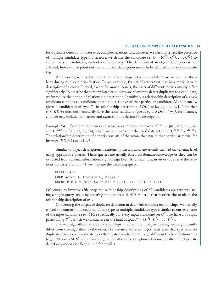#### **2.3. DATA IN COMPLEX RELATIONSHIPS**

for duplicate detection in data with complex relationships, however, we need to reflect the presence of multiple candidate types. Therefore, we define the candidate set  $C = \{C^{T_1}, C^{T_2}, \ldots, C^{T_k}\}\)$  to contain sets of candidates, each of a different type. The definition of an object description is not affected; however, we point out that an object description needs to be defined for every candidate type.

Additionally, we need to model the relationships between candidates, so we can use them later during duplicate classification. In our example, the set of actors that play in a movie is very descriptive of a movie. Indeed, except for movie sequels, the casts of different movies usually differ significantly.To describe that other related candidates are relevant to detect duplicates to a candidate, we introduce the notion of relationship description. Intuitively, a relationship description of a given candidate contains all candidates that are descriptive of that particular candidate. More formally, given a candidate *c* of type *T*, its relationship description  $RD(c) = \{c_1, c_2, \ldots, c_m\}$ . Note that  $c_i \in RD(c)$  does not necessarily have the same candidate type as  $c_j \in RD(c)$ ,  $i \neq j$ , for instance, a movie may include both actors and awards in its relationship description.

**Example 2.4** Considering movies and actors as candidates, we have  $C^{Movie} = \{m1, m2, m3, m4\}$ and  $C^{Actor} = \{a1, a2, a3, a4\}$ , which we summarize in the candidate set  $C = \{C^{Movie}, C^{Actor}\}.$ The relationship description of a movie consists of the actors that star in that particular movie, for instance,  $RD(m1) = \{a1, a3\}.$ 

Similar to object descriptions, relationship descriptions are usually defined on schema level using appropriate queries. These queries are usually based on domain-knowledge or they can be extracted from schema information, e.g., foreign keys. As an example, in order to retrieve the relationship description of *m*1, we may use the following query:

SELECT A.\* FROM Actor A, StarsIn S, Movie M WHERE M.MID =  $'m1'$  AND M.MID = S.MID AND S.MID = A.AID

Of course, to improve efficiency, the relationship descriptions of all candidates are retrieved using a single query, again by omitting the predicate M.MID =  $\pi$ 1' that restricts the result to the relationship description of *m*1.

Concerning the output of duplicate detection in data with complex relationships, we trivially extend the output for a single candidate type to multiple candidates types, similar to our extension of the input candidate sets. More specifically, for every input candidate set *CTi* , we have an output partitioning  $P^{T_i}$ , which we summarize in the final output  $P = \{P^{T_1}, P^{T_2}, \ldots, P^{T_k}\}.$ 

The way algorithms consider relationships to obtain the final partitioning may significantly differ from one algorithm to the other. For instance, different algorithms exist that specialize on duplicate detection of candidate types that relate to each other through different kinds of relationships (e.g.,1:N versus M:N),and their configuration allows to specify how relationships affect the duplicate detection process (see Section [4.2](#page-57-0) for details).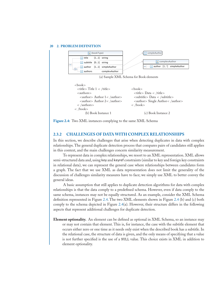#### <span id="page-29-0"></span>**20 2. PROBLEM DEFINITION**



**Figure 2.4:** Two XML instances complying to the same XML Schema

#### **2.3.2 CHALLENGES OF DATA WITH COMPLEX RELATIONSHIPS**

In this section, we describe challenges that arise when detecting duplicates in data with complex relationships. The general duplicate detection process that compares pairs of candidates still applies in this context, and the main challenges concern similarity measurement.

To represent data in complex relationships, we resort to an XML representation. XML allows semi-structured data and, using key and keyref constraints (similar to key and foreign key constraints in relational data), we can represent the general case where relationships between candidates form a graph. The fact that we use XML as data representation does not limit the generality of the discussion of challenges similarity measures have to face; we simply use XML to better convey the general ideas.

A basic assumption that still applies to duplicate detection algorithms for data with complex relationships is that the data comply to a predefined schema. However, even if data comply to the same schema, instances may not be equally structured. As an example, consider the XML Schema definition represented in Figure 2.4. The two XML elements shown in Figure 2.4 (b) and (c) both comply to the schema depicted in Figure 2.4(a). However, their structure differs in the following aspects that represent additional challenges for duplicate detection.

**Element optionality.** An element can be defined as optional in XML Schema, so an instance may or may not contain that element. This is, for instance, the case with the subtitle element that occurs either zero or one time as it needs only exist when the described book has a subtitle. In the relational case, the structure of data is given, and the only means of specifying that a value is not further specified is the use of a NULL value. This choice exists in XML in addition to element optionality.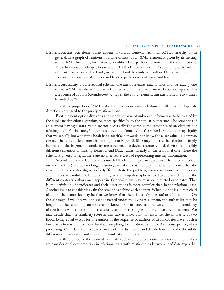#### **2.3. DATA IN COMPLEX RELATIONSHIPS 21**

- **Element context.** An element may appear in various contexts within an XML hierarchy, or, in general, in a graph of relationships. The context of an XML element is given by its nesting in the XML hierarchy, for instance, identified by a path expression from the root element. The schema essentially specifies where an XML element can occur. As an example, the author element may be a child of book, in case the book has only one author. Otherwise, an author appears in a sequence of authors and has the path book/authors/author.
- **Element cardinality.** In a relational schema, one attribute exists exactly once and has exactly one value. In XML, an element can exist from zero to infinitely many times. In our example, within a sequence of authors (complexAuthor type), the author element can exist from one to *n* times (denoted by \*).

The three properties of XML data described above cause additional challenges for duplicate detection, compared to the purely relational case.

First, element optionality adds another dimension of unknown information to be treated by the duplicate detection algorithm, or, more specifically, by the similarity measure. The semantics of an element having a NULL value are not necessarily the same as the semantics of an element not existing at all. For instance, if book has a subtitle element, but the value is NULL, this may signify that we actually know that the book has a subtitle, but we do not know the exact value. In contrast, the fact that a subtitle element is missing (as in Figure [2.4\(](#page-29-0)b)) may indicate that the book simply has no subtitle. In general, similarity measures need to devise a strategy to deal with the possibly different semantics of missing elements and NULL values. Clearly, in the relational case where the schema is given and rigid, there are no alternative ways of representing missing information.

Second, due to the fact that the same XML element type can appear in different contexts (for instance, author), we can no longer assume, even if the data comply to the same schema, that the structure of candidates aligns perfectly. To illustrate the problem, assume we consider both books and authors as candidates. In determining relationship descriptions, we have to search for all the different contexts authors may appear in. Otherwise, we may miss some related candidates. That is, the definition of candidates and their descriptions is more complex than in the relational case. Another issue to consider is again the semantics behind each context. When author is a direct child of book, the semantics may be that we know that there is exactly one author of that book. On the contrary, if we observe one author nested under the authors element, the author list may be longer, but the remaining authors are not known. For instance, assume we compute the similarity of two books whose descriptions are equal except for the single author allowed by the schema. We may decide that the similarity score in this case is lower than, for instance, the similarity of two books being equal except for one author in the sequence of authors both candidates have. Such a fine distinction is not necessary for data complying to a relational schema. As a consequence, when processing XML data, we need to be aware of this distinction and decide how to handle the subtle differences it may cause, notably during similarity computation.

The third property, the element cardinality adds complexity to similarity measurement when we consider duplicate detection in relational data with relationships between candidate types. In-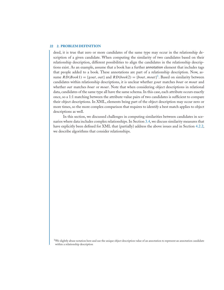#### **22 2. PROBLEM DEFINITION**

deed, it is true that zero or more candidates of the same type may occur in the relationship description of a given candidate. When computing the similarity of two candidates based on their relationship description, different possibilities to align the candidates in the relationship descriptions exist. As an example, assume that a book has a further annotation element that includes tags that people added to a book. These annotations are part of a relationship description. Now, assume  $RD(Book1) = \{goat, oat\}$  and  $RD(book2) = \{boat, moat\}$ <sup>1</sup>. Based on similarity between candidates within relationship descriptions, it is unclear whether *goat* matches *boat* or *moat* and whether *oat* matches *boat* or *moat*. Note that when considering object descriptions in relational data, candidates of the same type all have the same schema. In this case, each attribute occurs exactly once, so a 1:1 matching between the attribute-value pairs of two candidates is sufficient to compare their object descriptions. In XML, elements being part of the object description may occur zero or more times, so the more complex comparison that requires to identify a best match applies to object descriptions as well.

In this section, we discussed challenges in computing similarities between candidates in scenarios where data includes complex relationships. In Section [3.4,](#page-46-0) we discuss similarity measures that have explicitly been defined for XML that (partially) address the above issues and in Section [4.2.2,](#page-58-0) we describe algorithms that consider relationships.

 $1$ We slightly abuse notation here and use the unique object description value of an annotation to represent an annotation candidate within a relationship description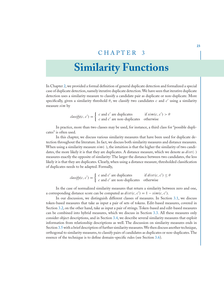# CHAPTER 3

# **Similarity Functions**

<span id="page-32-0"></span>In Chapter [2,](#page-22-0) we provided a formal definition of general duplicate detection and formalized a special case of duplicate detection, namely iterative duplicate detection.We have seen that iterative duplicate detection uses a similarity measure to classify a candidate pair as duplicate or non-duplicate. More specifically, given a similarity threshold  $\theta$ , we classify two candidates *c* and *c'* using a similarity measure *sim* by

> *classify*(*c*, *c'*) =  $\begin{cases} c \text{ and } c' \text{ are duplicates} \\ \text{and } c' \text{ are an } \text{there exists} \end{cases}$  if  $\text{sim}(c, c') > \theta$  $c$  and  $c'$  are non-duplicates otherwise

In practice, more than two classes may be used, for instance, a third class for "possible duplicates" is often used.

In this chapter, we discuss various similarity measures that have been used for duplicate detection throughout the literature. In fact, we discuss both similarity measures and distance measures. When using a similarity measure  $sim(\cdot)$ , the intuition is that the higher the similarity of two candidates, the more likely it is that they are duplicates. A distance measure, which we denote as  $dist(\cdot)$ measures exactly the opposite of similarity: The larger the distance between two candidates, the less likely it is that they are duplicates. Clearly, when using a distance measure, thresholded classification of duplicates needs to be adapted. Formally,

> $\text{cases of } c \text{ and } c' \text{ are duplicates}$  if  $\text{dist}(c, c') \leq \theta$  $c$  and  $c'$  are non-duplicates otherwise

In the case of normalized similarity measures that return a similarity between zero and one, a corresponding distance score can be computed as  $dist(c, c') = 1 - sim(c, c')$ .

In our discussion, we distinguish different classes of measures. In Section 3.1, we discuss token-based measures that take as input a pair of sets of tokens. Edit-based measures, covered in Section [3.2,](#page-39-0) on the other hand, take as input a pair of strings. Token-based and edit-based measures can be combined into hybrid measures, which we discuss in Section [3.3.](#page-43-0) All these measures only consider object descriptions, and in Section [3.4,](#page-46-0) we describe several similarity measures that exploit information from relationship descriptions as well. The discussion on similarity measures ends in Section [3.5](#page-48-0)with a brief description of further similarity measures.We then discuss another technique, orthogonal to similarity measures, to classify pairs of candidates as duplicates or non-duplicates.The essence of the technique is to define domain-specific rules (see Section [3.6\)](#page-49-0).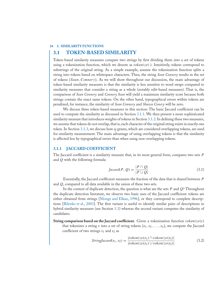#### <span id="page-33-0"></span>**24 3. SIMILARITY FUNCTIONS**

## **3.1 TOKEN-BASED SIMILARITY**

Token-based similarity measures compare two strings by first dividing them into a set of tokens using a tokenization function, which we denote as *tokenize(*·*)*. Intuitively, tokens correspond to substrings of the original string. As a simple example, assume the tokenization function splits a string into tokens based on whitespace characters. Then, the string *Sean Connery* results in the set of tokens {*Sean, Connery*}. As we will show throughout our discussion, the main advantage of token-based similarity measures is that the similarity is less sensitive to word swaps compared to similarity measures that consider a string as a whole (notably edit-based measures). That is, the comparison of *Sean Connery* and *Connery Sean* will yield a maximum similarity score because both strings contain the exact same tokens. On the other hand, typographical errors within tokens are penalized, for instance, the similarity of *Sean Connery* and *Shawn Conery* will be zero.

We discuss three token-based measures in this section: The basic Jaccard coefficient can be used to compute the similarity as discussed in Section 3.1.1. We then present a more sophisticated similarity measure that introduces weights of tokens in Section [3.1.2.](#page-35-0) In defining these two measures, we assume that tokens do not overlap, that is, each character of the original string exists in exactly one token. In Section [3.1.3,](#page-37-0) we discuss how q-grams, which are considered overlapping tokens, are used for similarity measurement. The main advantage of using overlapping tokens is that the similarity is affected less by typographical errors than when using non-overlapping tokens.

#### **3.1.1 JACCARD COEFFICIENT**

The Jaccard coefficient is a similarity measure that, in its most general form, compares two sets *P* and *Q* with the following formula:

$$
Jaccard(P, Q) = \frac{|P \cap Q|}{|P \cup Q|}
$$
\n(3.1)

Essentially, the Jaccard coefficient measures the fraction of the data that is shared between *P* and *Q*, compared to all data available in the union of these two sets.

In the context of duplicate detection, the question is what are the sets *P* and *Q*? Throughout the duplicate detection literature, we observe two basic uses of the Jaccard coefficient: tokens are either obtained from strings [\[Monge and Elkan,](#page-83-0) [1996](#page-83-0)], or they correspond to complete descriptions [\[Bilenko et al.](#page-80-0), [2003](#page-80-0)]. The first variant is useful to identify similar pairs of descriptions in hybrid similarity measures (see Section [3.3\)](#page-43-0) whereas the second variant computes the similarity of candidates.

**String comparison based on the Jaccard coefficient.** Given a tokenization function *tokenize(s)* that tokenizes a string *s* into a set of string tokens {*s*1*, s*2*,...,sn*}, we compute the Jaccard coefficient of two strings *s*<sup>1</sup> and *s*<sup>2</sup> as

$$
StringJaccard(s_1, s_2) = \frac{|tokenize(s_1) \cap tokenize(s_2)|}{|tokenize(s_1) \cup tokenize(s_2)|}
$$
\n(3.2)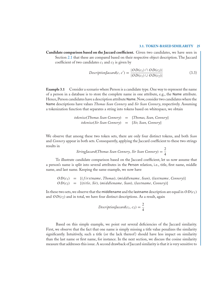#### **3.1. TOKEN-BASED SIMILARITY 25**

**Candidate comparison based on the Jaccard coefficient.** Given two candidates, we have seen in Section [2.1](#page-22-0) that these are compared based on their respective object description. The Jaccard coefficient of two candidates  $c_1$  and  $c_2$  is given by

$$
DescriptionJaccard(c, c') = \frac{|OD(c_1) \cap OD(c_2)|}{|OD(c_1) \cup OD(c_2)|}
$$
\n(3.3)

**Example 3.1** Consider a scenario where Person is a candidate type. One way to represent the name of a person in a database is to store the complete name in one attribute, e.g., the Name attribute. Hence, Person candidates have a description attribute Name. Now, consider two candidates where the Name descriptions have values *Thomas Sean Connery* and *Sir Sean Connery*, respectively. Assuming a tokenization function that separates a string into tokens based on whitespace, we obtain

*tokenize(Thomas Sean Connery)* = {*Thomas, Sean, Connery*} *tokenize(Sir Sean Connery)* = {*Sir, Sean, Connery*}

We observe that among these two token sets, there are only four distinct tokens, and both *Sean* and *Connery* appear in both sets. Consequently, applying the Jaccard coefficient to these two strings results in

*StringJaccard(Thomas Sean Connery, Sir Sean Connery)* <sup>=</sup> <sup>2</sup> 4

To illustrate candidate comparison based on the Jaccard coefficient, let us now assume that a person's name is split into several attributes in the Person relation, i.e., title, first name, middle name, and last name. Keeping the same example, we now have

 $OD(c_1) = \{(first name, Thomas), (middle name, Sean), (last name, Connery)\}$  $OD(c_2) = \{(title, Sir), (middlename, Sean), (lastname, Connery)\}$ 

In these two sets, we observe that the middlename and the lastname description are equal in  $OD(c_1)$ and  $OD(c_2)$  and in total, we have four distinct descriptions. As a result, again

$$
DescriptionJaccard(c_1, c_2) = \frac{2}{4}
$$

Based on this simple example, we point out several deficiencies of the Jaccard similarity. First, we observe that the fact that one name is simply missing a title value penalizes the similarity significantly. Intuitively, such a title (or the lack thereof) should have less impact on similarity than the last name or first name, for instance. In the next section, we discuss the cosine similarity measure that addresses this issue. A second drawback of Jaccard similarity is that it is very sensitive to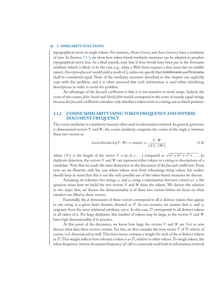#### <span id="page-35-0"></span>**26 3. SIMILARITY FUNCTIONS**

typographical errors in single tokens. For instance, *Shean Conery* and *Sean Connery* have a similarity of zero. In Section [3.1.3,](#page-37-0) we show how token-based similarity measures can be adapted to penalize typographical errors less. As a final remark, note that if *Sean* would have been put in the firstname attribute (which is likely to be the case, e.g., when a Web-form requires a first name but no middle name), *DescriptionJaccard* would yield a result of  $\frac{1}{5}$ , unless we specify that middlename and firstname shall be considered equal. None of the similarity measures described in this chapter can explicitly cope with this problem, and it is often assumed that such information is used when initializing descriptions in order to avoid the problem.

An advantage of the Jaccard coefficient is that it is not sensitive to word swaps. Indeed, the score of two names *John Smith* and *Smith John* would correspond to the score of exactly equal strings because the Jaccard coefficient considers only whether a token exists in a string, not at which position.

### **3.1.2 COSINE SIMILARITY USING TOKEN FREQUENCY AND INVERSE DOCUMENT FREQUENCY**

The cosine similarity is a similarity measure often used in information retrieval. In general, given two *n*-dimensional vectors *V* and *W*, the cosine similarity computes the cosine of the angle *α* between these two vectors as

$$
CosineSimilarity(V, W) = \cos(\alpha) = \frac{V \cdot W}{||V|| \cdot ||W||}
$$
\n(3.4)

where  $||V||$  is the length of the vector  $V = [a, b, c, \ldots]$  computed as  $\sqrt{a^2 + b^2 + c^2 + \ldots}$  In duplicate detection, the vectors *V* and *W* can represent either tokens in a string or descriptions of a candidate. Note that we made the same distinction in the discussion of the Jaccard coefficient. From now on, we illustrate only the case where tokens arise from tokenizing string values, but readers should keep in mind that this is not the only possible use of the token-based measures we discuss.

Assuming we tokenize two strings  $s_1$  and  $s_2$  using a tokenization function *tokenize*( $\cdot$ ), the question arises how we build the two vectors *V* and *W* from the tokens. We discuss the solution in two steps: first, we discuss the dimensionality *d* of these two vectors before we focus on what numbers are filled in these vectors.

Essentially, the *d* dimensions of these vectors correspond to all *d* distinct tokens that appear in any string in a given finite domain, denoted as  $D$ . In our scenario, we assume that  $s_1$  and  $s_2$ originate from the same relational attribute, say  $a$ . In this case,  $D$  corresponds to all distinct tokens in all values of *a*. For large databases, this number of tokens may be large, so the vectors *V* and *W* have high dimensionality *d* in practice.

At this point of the discussion, we know how large the vectors *V* and *W* are. Let us now discuss what data these vectors contain. For this, we first consider the term vector  $\mathcal T$  of  $\mathcal D$ , which, of course, is *d*-dimensional as well. This term vector contains a weight for each of the *d* distinct tokens in D. This weight reflects how relevant a token is in  $D$ , relative to other tokens. To weigh tokens, the token frequency-inverse document frequency (*tf-idf*) is commonly used both in information retrieval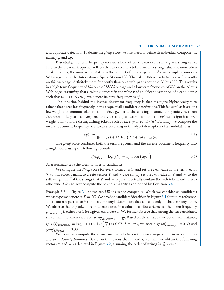#### **3.1. TOKEN-BASED SIMILARITY**

<span id="page-36-0"></span>and duplicate detection. To define the *tf-idf* score, we first need to define its individual components, namely *tf* and *idf*.

Essentially, the term frequency measures how often a token occurs in a given string value. Intuitively, the term frequency reflects the relevance of a token within a string value: the more often a token occurs, the more relevant it is in the context of the string value. As an example, consider a Web-page about the International Space Station ISS. The token *ISS* is likely to appear frequently on this web page, definitely more frequently than on a web-page about the Airbus 380. This results in a high term frequency of *ISS* on the ISS Web-page and a low term frequency of *ISS* on the Airbus Web-page. Assuming that a token *t* appears in the value *v* of an object description of a candidate *c* such that  $(a, v) \in OD(c)$ , we denote its term frequency as  $tf_{t,c}$ .

The intuition behind the inverse document frequency is that it assigns higher weights to tokens that occur less frequently in the scope of all candidate descriptions. This is useful as it assigns low weights to common tokens in a domain, e.g., in a database listing insurance companies, the token *Insurance* is likely to occur very frequently across object descriptions and the *idf* thus assigns it a lower weight than to more distinguishing tokens such as *Liberty* or *Prudential*. Formally, we compute the inverse document frequency of a token *t* occurring in the object description of a candidate *c* as

$$
idf_{t,c} = \frac{n}{|\{c|(a,v) \in OD(c)\} \land t \in tokenize(v)|}
$$
\n(3.5)

The *tf-idf* score combines both the term frequency and the inverse document frequency into a single score, using the following formula:

$$
tf \text{-} idf_{t,c} = \log \left( t f_{t,c} + 1 \right) \times \log \left( idf_{t,c} \right) \tag{3.6}
$$

As a reminder, *n* is the total number of candidates.

We compute the *tf-idf* score for every token  $t_i \in \mathcal{D}$  and set the *i*-th value in the term vector  $\mathcal T$  to this score. Finally, to create vectors *V* and *W*, we simply set the *i*-th value in *V* and *W* to the *i*-th weight in  $\mathcal T$  if the strings that  $V$  and  $W$  represent actually contain the *i*-th token, and to zero otherwise. We can now compute the cosine similarity as described by Equation [3.4.](#page-35-0)

**Example 3.2** Figure [3.1](#page-37-0) shows ten US insurance companies, which we consider as candidates whose type we denote as  $T = IC$ . We provide candidate identifiers in Figure [3.1](#page-37-0) for future reference. These are not part of an insurance company's description that consists only of the company name. We observe that any token occurs at most once in a value of attribute Name, so the token frequency *tfInsurance,ci* is either 0 or 1 for a given candidate *ci*. We further observe that among the ten candidates, six contain the token *Insurance* so  $\frac{df_{Insurance, c_i}}{6} = \frac{10}{6}$ . Based on these values, we obtain, for instance, *tf-idf<sub>Insurance,c*<sub>4</sub> = log(1 + 1) × log  $\left(\frac{10}{6}\right)$  ≈ 0.07. Similarly, we obtain *tf-idf<sub>Farmers,c*<sub>4</sub> ≈ 0.30 and</sub></sub>  $tf$ <sup>-idf</sup><sub>Liberty</sub><sub>,c<sub>7</sub></sub> = 0.30.

We now can compute the cosine similarity between the two strings  $s_1 = \textit{Farmers}\textit{ Insurance}$ and  $s_2 =$  *Liberty Insurance*. Based on the tokens that  $s_1$  and  $s_2$  contain, we obtain the following vectors *V* and *W* as depicted in Figure [3.2,](#page-37-0) assuming the order of strings in  $Q$  shown.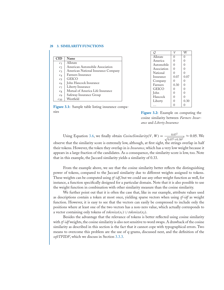<span id="page-37-0"></span>

| Name<br>Allstate<br>c <sub>1</sub><br>American Automobile Association<br>c <sub>2</sub><br>American National Insurance Company<br>$c_3$<br>Farmers Insurance<br>$c_4$<br><b>GEICO</b><br>c <sub>5</sub><br>John Hancock Insurance<br>c <sub>6</sub><br>Liberty Insurance<br>$c_7$<br>Mutual of America Life Insurance<br>$c_8$<br>Safeway Insurance Group<br>c <sub>9</sub><br>Westfield<br>$c_{10}$ |  |
|------------------------------------------------------------------------------------------------------------------------------------------------------------------------------------------------------------------------------------------------------------------------------------------------------------------------------------------------------------------------------------------------------|--|
|                                                                                                                                                                                                                                                                                                                                                                                                      |  |
|                                                                                                                                                                                                                                                                                                                                                                                                      |  |
|                                                                                                                                                                                                                                                                                                                                                                                                      |  |
|                                                                                                                                                                                                                                                                                                                                                                                                      |  |
|                                                                                                                                                                                                                                                                                                                                                                                                      |  |
|                                                                                                                                                                                                                                                                                                                                                                                                      |  |
|                                                                                                                                                                                                                                                                                                                                                                                                      |  |
|                                                                                                                                                                                                                                                                                                                                                                                                      |  |
|                                                                                                                                                                                                                                                                                                                                                                                                      |  |
|                                                                                                                                                                                                                                                                                                                                                                                                      |  |
|                                                                                                                                                                                                                                                                                                                                                                                                      |  |

| Q           |          |          |
|-------------|----------|----------|
| Allstate    | 0        | 0        |
| America     | 0        | $\Omega$ |
| Automobile  | $\Omega$ | $\Omega$ |
| Association | $\Omega$ | $\Omega$ |
| National    | $\Omega$ | $\Omega$ |
| Insurance   | 0.07     | 0.07     |
| Company     | 0        | 0        |
| Farmers     | 0.30     | $\Omega$ |
| GEICO       | 0        | $\Omega$ |
| John        | $\Omega$ | $\Omega$ |
| Hancock     | 0        | $\Omega$ |
| Liberty     | 0        | 0.30     |
|             |          |          |

Figure 3.1: Sample table listing insurance companies

**Figure 3.2:** Example on computing the cosine similarity between *Farmers Insurance* and *Liberty Insurance*

Using Equation [3.6,](#page-36-0) we finally obtain *CosineSimilarity*(*V*, *W*) =  $\frac{0.07^2}{\sqrt{0.07^2}}$  $\frac{0.07^2}{0.07^2 + 0.30^2} \approx 0.05$ . We observe that the similarity score is extremely low, although, at first sight, the strings overlap in half

their tokens. However, the token they overlap in is *Insurance*, which has a very low weight because it appears in a large fraction of the candidates. As a consequence, the similarity score is low, too. Note that in this example, the Jaccard similarity yields a similarity of 0.33.

From the example above, we see that the cosine similarity better reflects the distinguishing power of tokens, compared to the Jaccard similarity due to different weights assigned to tokens. These weights can be computed using *tf-idf*, but we could use any other weight function as well, for instance, a function specifically designed for a particular domain. Note that it is also possible to use the weight function in combination with other similarity measure than the cosine similarity.

We further point out that it is often the case that, like in our example, attribute values used as descriptions contain a token at most once, yielding sparse vectors when using *tf-idf* as weight function. However, it is easy to see that the vectors can easily be compressed to include only the positions where at least one of the two vectors has a non-zero value, which actually corresponds to a vector containing only tokens of *tokenize* $(s_1) \cup$  *tokenize* $(s_2)$ .

Besides the advantage that the relevance of tokens is better reflected using cosine similarity with *tf-idf* weights, the cosine similarity is also not sensitive to word swaps. A drawback of the cosine similarity as described in this section is the fact that it cannot cope with typographical errors. Two means to overcome this problem are the use of q-grams, discussed next, and the definition of the *softTFIDF*, which we discuss in Section [3.3.3.](#page-45-0)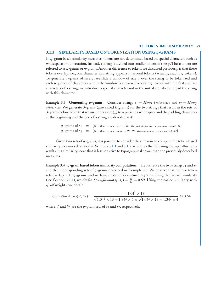#### **3.1. TOKEN-BASED SIMILARITY 29**

#### **3.1.3 SIMILARITY BASED ON TOKENIZATION USING** *q***-GRAMS**

In *q*-gram based similarity measures, tokens are not determined based on special characters such as whitespace or punctuation. Instead, a string is divided into smaller tokens of size *q*.These tokens are referred to as *q*-grams or *n*-grams. Another difference to tokens we discussed previously is that these tokens overlap, i.e., one character in a string appears in several tokens (actually, exactly *q* tokens). To generate *q*-grams of size *q*, we slide a window of size *q* over the string to be tokenized and each sequence of characters within the window is a token. To obtain *q* tokens with the first and last characters of a string, we introduce a special character not in the initial alphabet and pad the string with this character.

**Example 3.3 Generating** *q***-grams.** Consider strings  $s_1 = Henri$  *Waternoose* and  $s_2 = Henry$ *Waternose*. We generate 3-grams (also called trigrams) for the two strings that result in the sets of 3-grams below. Note that we use underscore (\_) to represent a whitespace and the padding characters at the beginning and the end of a string are denoted as #.

 $q$ -grams of  $s_1 = \{$  ##H, #He, Hen, enr, nri, ri\_, i\_W, \_Wa, Wat, ate, ter, ern, rno, noo, oos, ose, se#, e##}  $q$ -grams of  $s_2 = \{$  ##H, #He, Hen, enr, nry, ry<sub>-1</sub>, y<sub>-</sub>W<sub>1</sub>, Wat, ate, ter, ern, rno, nos, ose, se#, e##}

Given two sets of *q*-grams, it is possible to consider these tokens to compute the token-based similarity measures described in Sections [3.1.1](#page-33-0) and [3.1.2,](#page-35-0) which, as the following example illustrates results in a similarity score that is less sensitive to typographical errors than the previously described measures.

**Example 3.4**  $q$ **-gram based token similarity computation.** Let us reuse the two strings  $s_1$  and  $s_2$ and their corresponding sets of *q*-grams described in Example 3.3. We observe that the two token sets overlap in 13 *q*-grams, and we have a total of 22 distinct *q*-grams. Using the Jaccard similarity (see Section [3.1.1\)](#page-33-0), we obtain *StringJaccard*( $s_1$ ,  $s_2$ ) =  $\frac{13}{22}$  = 0.59. Using the cosine similarity with *tf-idf* weights, we obtain

$$
CosineSimilarity(V, W) = \frac{1.04^2 \times 13}{\sqrt{1.04^2 \times 13 + 1.34^2 \times 5} \times \sqrt{1.04^2 \times 13 + 1.34^2 \times 4}} \approx 0.64
$$

where *V* and *W* are the *q*-gram sets of *s*<sup>1</sup> and *s*2, respectively.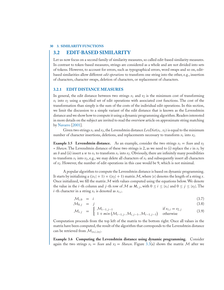## <span id="page-39-0"></span>**3.2 EDIT-BASED SIMILARITY**

Let us now focus on a second family of similarity measures, so called edit-based similarity measures. In contrast to token-based measures, strings are considered as a whole and are not divided into sets of tokens. However, to account for errors, such as typographical errors, word swaps and so on, editbased similarities allow different *edit operations* to transform one string into the other, e.g., insertion of characters, character swaps, deletion of characters, or replacement of characters.

## **3.2.1 EDIT DISTANCE MEASURES**

In general, the edit distance between two strings *s*<sup>1</sup> and *s*<sup>2</sup> is the minimum cost of transforming *s*<sup>1</sup> into *s*<sup>2</sup> using a specified set of edit operations with associated cost functions. The cost of the transformation than simply is the sum of the costs of the individual edit operations. In this section, we limit the discussion to a simple variant of the edit distance that is known as the Levenshtein distance and we show how to compute it using a dynamic programming algorithm. Readers interested in more details on the subject are invited to read the overview article on approximate string matching by [Navarro](#page-83-0) [\[2001](#page-83-0)].

Given two strings  $s_1$  and  $s_2$ , the Levenshtein distance  $LevDist(s_1, s_2)$  is equal to the minimum number of character insertions, deletions, and replacements necessary to transform *s*<sup>1</sup> into *s*2.

**Example 3.5** Levenshtein distance. As an example, consider the two strings  $s_1 = \text{Sean}$  and  $s_2$  $=$  *Shawn*. The Levenshtein distance of these two strings is 2, as we need to (i) replace the *e* in  $s_1$  by an *h* and (ii) insert a *w* to  $s_1$  to transform  $s_1$  into  $s_2$ . Obviously, there are infinitely many possibilities to transform *s*<sup>1</sup> into *s*2, e.g., we may delete all characters of *s*<sup>1</sup> and subsequently insert all characters of *s*2. However, the number of edit operations in this case would be 9, which is not minimal.

A popular algorithm to compute the Levenshtein distance is based on dynamic programming. It starts by initializing a  $(|s_1| + 1) \times (|s_2| + 1)$  matrix M, where  $|s|$  denotes the length of a string *s*. Once initialized, we fill the matrix  $M$  with values computed using the equations below. We denote the value in the *i*-th column and *j*-th row of M as  $M_{i,j}$ , with  $0 \le i \le |s_1|$  and  $0 \le j \le |s_2|$ . The *i*-th character in a string *s*<sup>1</sup> is denoted as *s*1*,i*.

$$
\mathcal{M}_{i,0} = i \tag{3.7}
$$

$$
\mathcal{M}_{0,j} = j \tag{3.8}
$$

$$
\mathcal{M}_{i,j} = \begin{cases}\n\mathcal{M}_{i-1,j-1} & \text{if } s_{1,i} = s_{2,j} \\
1 + \min(\mathcal{M}_{i-1,j}, \mathcal{M}_{i,j-1}, \mathcal{M}_{i-1,j-1}) & \text{otherwise}\n\end{cases}
$$
\n(3.9)

Computation proceeds from the top left of the matrix to the bottom right. Once all values in the matrix have been computed, the result of the algorithm that corresponds to the Levenshtein distance can be retrieved from  $\mathcal{M}_{|s_1|,|s_2|}$ .

**Example 3.6 Computing the Levenshtein distance using dynamic programming.** Consider again the two strings  $s_1 =$  *Sean* and  $s_2 =$  *Shawn*. Figure [3.3\(](#page-40-0)a) shows the matrix M after we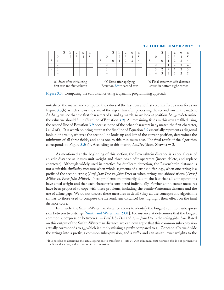#### **3.2. EDIT-BASED SIMILARITY 31**

<span id="page-40-0"></span>

|                                                            |        | S |  | a | W | n |  |             |          | O | h | a                                                      | W | n |             | O | h | a                                                                   | W | $\mathbf n$ |
|------------------------------------------------------------|--------|---|--|---|---|---|--|-------------|----------|---|---|--------------------------------------------------------|---|---|-------------|---|---|---------------------------------------------------------------------|---|-------------|
|                                                            |        |   |  |   |   |   |  |             | $\theta$ |   |   |                                                        | 4 |   |             |   |   |                                                                     |   |             |
| S                                                          |        |   |  |   |   |   |  |             |          |   |   |                                                        |   |   | C           |   |   |                                                                     |   |             |
| e                                                          |        |   |  |   |   |   |  | e           | 2        |   |   |                                                        |   |   | e           |   |   |                                                                     |   |             |
| a                                                          | $\sim$ |   |  |   |   |   |  | a           | 3        |   |   |                                                        |   |   | a           |   |   |                                                                     |   |             |
| $\mathbf n$                                                |        |   |  |   |   |   |  | $\mathbf n$ | 4        |   |   |                                                        |   |   | $\mathbf n$ |   |   |                                                                     |   |             |
| (a) State after initializing<br>first row and first column |        |   |  |   |   |   |  |             |          |   |   | (b) State after applying<br>Equation 3.9 to second row |   |   |             |   |   | (c) Final state with edit distance<br>stored in bottom right corner |   |             |

**Figure 3.3:** Computing the edit distance using a dynamic programming approach

initialized the matrix and computed the values of the first row and first column. Let us now focus on Figure 3.3(b), which shows the state of the algorithm after processing the second row in the matrix. At  $\mathcal{M}_{1,1}$  we see that the first characters of  $s_1$  and  $s_2$  match, so we look at position  $\mathcal{M}_{0,0}$  to determine the value we should fill in (first line of Equation [3.9\)](#page-39-0). All remaining fields in this row are filled using the second line of Equation [3.9](#page-39-0) because none of the other characters in *s*<sup>2</sup> match the first character, i.e., *S* of*s*1. It is worth pointing out that the first line of Equation [3.9](#page-39-0) essentially represents a diagonal lookup of a value, whereas the second line looks up and left of the current position, determines the minimum of all three fields, and adds one to this minimum cost. The final result of the algorithm corresponds to Figure 3.3(c)<sup>1</sup>. According to this matrix, *LevDist*(Sean, Shawn) = 2.

As mentioned at the beginning of this section, the Levenshtein distance is a special case of an edit distance as it uses unit weight and three basic edit operators (insert, delete, and replace character). Although widely used in practice for duplicate detection, the Levenshtein distance is not a suitable similarity measure when whole segments of a string differ, e.g., when one string is a prefix of the second string (*Prof. John Doe* vs. *John Doe*) or when strings use abbreviations (*Peter J Miller* vs. *Peter John Miller*). These problems are primarily due to the fact that all edit operations have equal weight and that each character is considered individually. Further edit distance measures have been proposed to cope with these problems, including the Smith-Waterman distance and the use of affine gaps. We do not discuss these measures in detail (they all use concepts and algorithms similar to those used to compute the Levenshtein distance) but highlight their effect on the final distance score.

Intuitively, the Smith-Waterman distance allows to identify the longest common subexpression between two strings [\[Smith and Waterman](#page-84-0), [2001\]](#page-84-0). For instance, it determines that the longest common subexpression between  $s_1 = \text{Prof.}$  *John Doe* and  $s_2 = \text{John Doe}$  is the string *John Doe*. Based on this output of the Smith-Waterman distance, we can now argue that this common subexpression actually corresponds to *s*2, which is simply missing a prefix compared to *s*1. Conceptually, we divide the strings into a prefix, a common subexpression, and a suffix and can assign lower weights to the

<sup>1</sup>It is possible to determine the actual operations to transform *s*<sup>1</sup> into *s*<sup>2</sup> with minimum cost; however, this is not pertinent to duplicate detection, and we thus omit the discussion.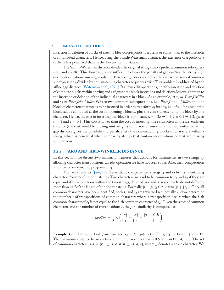insertion or deletion of blocks of size *l* (a block corresponds to a prefix or suffix) than to the insertion of *l* individual characters. Hence, using the Smith-Waterman distance, the existence of a prefix or a suffix is less penalized than in the Levenshtein distance.

The Smith-Waterman distance divides the original strings into a prefix, a common subexpression, and a suffix. This, however, is not sufficient to lower the penalty of gaps *within* the string, e.g., due to abbreviations, missing words, etc. Essentially, it does not reflect the case where several common subexpressions, divided by non-matching character sequences exist.This problem is addressed by the affine gap distance [\[Waterman et al.,](#page-84-0) [1976](#page-84-0)]: It allows edit operations, notably insertion and deletion of complete blocks within a string and assigns these block insertions and deletions less weight than to the insertion or deletion of the individual characters in a block. As an example, let*s*<sup>1</sup> = *Peter J Miller* and *s*<sup>2</sup> = *Peter John Miller*. We see two common subexpressions, i.e., *Peter J* and *\_Miller*, and one block of characters that needs to be inserted in order to transform *s*<sup>1</sup> into *s*2, i.e.,*ohn*.The cost of this block can be computed as the cost of opening a block *o* plus the cost *e* of extending the block by one character. Hence, the cost of inserting this block is, for instance,  $o + 2e = 1 + 2 \times 0.1 = 1.2$ , given  $\rho = 1$  and  $e = 0.1$ . This cost is lower than the cost of inserting three characters in the Levenshtein distance (the cost would be 3 using unit weights for character insertion). Consequently, the affine gap distance gives the possibility to penalize less the non-matching blocks of characters within a string, which is beneficial when comparing strings that contain abbreviations or that are missing some tokens.

#### **3.2.2 JARO AND JARO-WINKLER DISTANCE**

In this section, we discuss two similarity measures that account for mismatches in two strings by allowing character transpositions, an edit operation we have not seen so far. Also, their computation is not based on dynamic programming.

The Jaro similarity [\[Jaro,](#page-82-0) [1989](#page-82-0)] essentially compares two strings *s*<sup>1</sup> and *s*<sup>2</sup> by first identifying characters "common" to both strings. Two characters are said to be common to  $s_1$  and  $s_2$  if they are equal and if their positions within the two strings, denoted as *i* and *j* , respectively, do not differ by more than half of the length of the shorter string. Formally,  $|i - j| \leq 0.5 \times min(|s_1|, |s_2|)$ . Once all common characters have been identified, both *s*<sup>1</sup> and *s*<sup>2</sup> are traversed sequentially, and we determine the number *t* of transpositions of common characters where a transposition occurs when the *i*-th common character of  $s_1$  is not equal to the *i*-th common character of  $s_2$ . Given the set  $\sigma$  of common characters and the number of transpositions *t*, the Jaro similarity is computed as

$$
JaroSim = \frac{1}{3} \times \left( \frac{|\sigma|}{|s_1|} + \frac{|\sigma|}{|s_2|} + \frac{|\sigma| - 0.5t}{|\sigma|} \right)
$$

**Example 3.7** Let  $s_1 = \text{Prof. John Doe}$  and  $s_2 = \text{Dr. John Doe. Thus, } |s_1| = 14$  and  $|s_2| = 12$ . The maximum distance between two common characters then is  $0.5 \times min(12, 14) = 6$ . The set of common characters is  $\sigma = \{r, \ldots, J, o, h, n, \ldots, D, o, e\}$ , where  $\ldots$  denotes a space character. We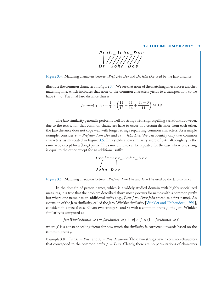#### **3.2. EDIT-BASED SIMILARITY 33**



**Figure 3.4:** Matching characters between *Prof. John Doe* and *Dr. John Doe* used by the Jaro distance

illustrate the common characters in Figure 3.4.We see that none of the matching lines crosses another matching line, which indicates that none of the common characters yields to a transposition, so we have  $t = 0$ . The final Jaro distance thus is

$$
JaroSim(s_1, s_2) = \frac{1}{3} \times \left(\frac{11}{12} + \frac{11}{14} + \frac{11 - 0}{11}\right) \approx 0.9
$$

The Jaro similarity generally performs well for strings with slight spelling variations. However, due to the restriction that common characters have to occur in a certain distance from each other, the Jaro distance does not cope well with longer strings separating common characters. As a simple example, consider  $s_1$  = *Professor John Doe* and  $s_2$  = *John Doe*. We can identify only two common characters, as illustrated in Figure 3.5. This yields a low similarity score of 0.45 although *s*<sup>1</sup> is the same as *s*<sup>2</sup> except for a (long) prefix. The same exercise can be repeated for the case where one string is equal to the other except for an additional suffix.

$$
Professor\_John\_Doe
$$
  
\n
$$
John\_Doe
$$

**Figure 3.5:** Matching characters between *Professor John Doe* and *John Doe* used by the Jaro distance

In the domain of person names, which is a widely studied domain with highly specialized measures, it is true that the problem described above mostly occurs for names with a common prefix but where one name has an additional suffix (e.g., *Peter J* vs. *Peter John* stored as a first name). An extension of the Jaro similarity, called the Jaro-Winkler similarity [\[Winkler and Thiboudeau](#page-85-0), [1991](#page-85-0)], considers this special case. Given two strings  $s_1$  and  $s_2$  with a common prefix  $\rho$ , the Jaro-Winkler similarity is computed as

$$
JarowinklerSim(s_1, s_2) = \text{Jarosim}(s_1, s_2) + |\rho| \times f \times (1 - \text{Jarosim}(s_1, s_2))
$$

where *f* is a constant scaling factor for how much the similarity is corrected upwards based on the common prefix *ρ*.

**Example 3.8** Let  $s_1 = Peter$  and  $s_2 = Peter Jonathan$ . These two strings have 5 common characters that correspond to the common prefix  $\rho =$  *Peter*. Clearly, there are no permutations of characters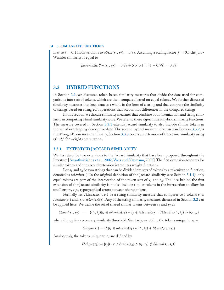in  $\sigma$  so  $t = 0$ . It follows that  $JaroSim(s_1, s_2) = 0.78$ . Assuming a scaling factor  $f = 0.1$  the Jaro-Winkler similarity is equal to

 $JarovWinklerSim(s_1, s_2) = 0.78 + 5 \times 0.1 \times (1 - 0.78) = 0.89$ 

## **3.3 HYBRID FUNCTIONS**

In Section [3.1,](#page-32-0) we discussed token-based similarity measures that divide the data used for comparisons into sets of tokens, which are then compared based on equal tokens. We further discussed similarity measures that keep data as a whole in the form of a string and that compute the similarity of strings based on string edit operations that account for differences in the compared strings.

In this section, we discuss similarity measures that combine both tokenization and string similarity in computing a final similarity score.We refer to these algorithms as hybrid similarity functions. The measure covered in Section 3.3.1 extends Jaccard similarity to also include similar tokens in the set of overlapping descriptive data. The second hybrid measure, discussed in Section [3.3.2,](#page-44-0) is the Monge-Elkan measure. Finally, Section [3.3.3](#page-45-0) covers an extension of the cosine similarity using *tf* -*idf* for weight computation.

### **3.3.1 EXTENDED JACCARD SIMILARITY**

We first describe two extensions to the Jaccard similarity that have been proposed throughout the literature [\[Ananthakrishna et al.,](#page-80-0) [2002](#page-80-0); [Weis and Naumann,](#page-84-0) [2005](#page-84-0)]. The first extension accounts for similar tokens and the second extension introduces weight functions.

Let  $s_1$  and  $s_2$  be two strings that can be divided into sets of tokens by a tokenization function, denoted as *tokenize(*·*)*. In the original definition of the Jaccard similarity (see Section [3.1.1\)](#page-33-0), only equal tokens are part of the intersection of the token sets of *s*<sup>1</sup> and *s*2. The idea behind the first extension of the Jaccard similarity is to also include similar tokens in the intersection to allow for small errors, e.g., typographical errors between shared tokens.

Formally, let *TokenSim*( $t_1, t_2$ ) be a string similarity measure that compares two tokens  $t_1 \in$ *tokenize*( $s_1$ ) and  $t_2 \in \text{tokenize}(s_2)$ . Any of the string similarity measures discussed in Section [3.2](#page-39-0) can be applied here. We define the set of shared similar tokens between *s*<sup>1</sup> and *s*<sup>2</sup> as

 $\textit{Shared}(s_1, s_2) = \{(t_i, t_j)|t_i \in \textit{tokenize}(s_1) \land t_j \in \textit{tokenize}(s_2) : \textit{TokenSim}(t_i, t_j) > \theta_{\textit{string}}\}$ 

where *θstr ing* is a secondary similarity threshold. Similarly, we define the tokens unique to *s*<sup>1</sup> as

 $Unique(s_1) = \{t_i | t_i \in tokenize(s_1) \land (t_i, t_j) \notin Shared(s_1, s_2)\}$ 

Analogously, the tokens unique to *s*<sup>2</sup> are defined by

 $Unique(s_2) = \{t_i | t_i \in tokenize(s_2) \land (t_i, t_j) \notin Shared(s_1, s_2)\}$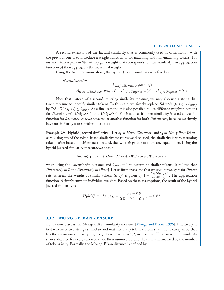#### **3.3. HYBRID FUNCTIONS 35**

<span id="page-44-0"></span>A second extension of the Jaccard similarity that is commonly used in combination with the previous one is to introduce a weight function *w* for matching and non-matching tokens. For instance, token pairs in *Shared* may get a weight that corresponds to their similarity. An aggregation function  $A$  then aggregates the individual weight.

Using the two extensions above, the hybrid Jaccard similarity is defined as

$$
HybridJaccard = \n\mathcal{A}_{(t_i,t_j) \in Shared(s_1,s_2)} w(t_i, t_j)\n\overline{\mathcal{A}_{(t_i,t_j) \in Shared(s_1,s_2)} w(t_i, t_j) + \mathcal{A}_{(t_i) \in Unique(s_1)} w(t_i) + \mathcal{A}_{(t_j) \in Unique(s_2)} w(t_j)}}
$$

Note that instead of a secondary string similarity measure, we may also use a string distance measure to identify similar tokens. In this case, we simply replace  $TokenSim(t_i, t_j) > \theta_{string}$ by *TokenDist*( $t_i$ ,  $t_j$ )  $\leq \theta_{string}$ . As a final remark, it is also possible to use different weight functions for *Shared(s*1*, s*2*)*, *Unique(s*1*)*, and *Unique(s*2*)*. For instance, if token similarity is used as weight function for *Shared(s*1*, s*2*)*, we have to use another function for both *Unique* sets, because we simply have no similarity scores within these sets.

**Example 3.9 Hybrid Jaccard similarity** Let  $s_1 = Henri$  *Waternoose* and  $s_2 = Henry$  *Peter Waternose*. Using any of the token-based similarity measures we discussed, the similarity is zero assuming tokenization based on whitespaces. Indeed, the two strings do not share any equal token. Using the hybrid Jaccard similarity measure, we obtain

$$
Shared(s_1, s_2) = \{(Henri, Henry), (Waternoose, Waternose)\}
$$

when using the Levenshtein distance and  $\theta_{string} = 1$  to determine similar tokens. It follows that  $Unique(s_1) = \emptyset$  and  $Unique(s_2) = {Peter}$ . Let us further assume that we use unit weights for *Unique* sets, whereas the weight of similar tokens  $(t_i, t_j)$  is given by  $1 - \frac{LevDist(t_i, t_j)}{max(|t_i|, |t_j|)}$ . The aggregation function A simply sums up individual weights. Based on these assumptions, the result of the hybrid Jaccard similarity is

$$
HybridJaccard(s_1, s_2) = \frac{0.8 + 0.9}{0.8 + 0.9 + 0 + 1} = 0.63
$$

#### **3.3.2 MONGE-ELKAN MEASURE**

Let us now discuss the Monge-Elkan similarity measure [\[Monge and Elkan,](#page-83-0) [1996](#page-83-0)]. Intuitively, it first tokenizes two strings  $s_1$  and  $s_2$  and matches every token  $t_i$  from  $s_1$  to the token  $t_j$  in  $s_2$  that has the maximum similarity to  $t_i$ , i.e., where  $TokenSim(t_i, t_i)$  is maximal. These maximum similarity scores obtained for every token of *s*<sup>1</sup> are then summed up, and the sum is normalized by the number of tokens in *s*1. Formally, the Monge-Elkan distance is defined by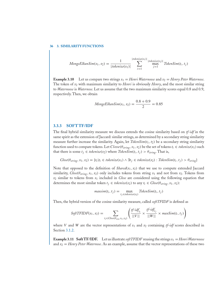<span id="page-45-0"></span>
$$
MongeElkanSim(s_1, s_2) = \frac{1}{|tokenize(s_1)|} \sum_{i=1}^{|tokenize(s_1)|} \max_{j=1}^{|tokenize(s_2)|} \text{TokenSim}(t_i, t_j)
$$

**Example 3.10** Let us compare two strings  $s_1 = Henri Waternoose$  and  $s_2 = Henry Peter Waternose$ . The token of *s*<sup>2</sup> with maximum similarity to *Henri* is obviously *Henry*, and the most similar string to *Waternoose* is *Waternose*. Let us assume that the two maximum similarity scores equal 0.8 and 0.9, respectively. Then, we obtain

*MongeElkanSim*(
$$
s_1, s_2
$$
) =  $\frac{0.8 + 0.9}{2}$  = 0.85

#### **3.3.3 SOFT TF/IDF**

The final hybrid similarity measure we discuss extends the cosine similarity based on *tf-idf* in the same spirit as the extension of Jaccard: similar strings, as determined by a secondary string similarity measure further increase the similarity. Again, let *TokenSim(t*1*, t*2*)* be a secondary string similarity function used to compare tokens. Let  $Close(\theta_{string}, s_1, s_2)$  be the set of tokens  $t_i \in tokenize(s_1)$  such that there is some  $t_j \in \text{tokenize}(s_2)$  where  $\text{TokenSim}(t_i, t_j) > \theta_{\text{string}}$ . That is,

$$
Close(\theta_{string}, s_1, s_2) = \{t_i | t_i \in tokenize(s_1) \land \exists t_j \in tokenize(s_2) : \textit{TokenSim}(t_i, t_j) > \theta_{string}\}
$$

Note that opposed to the definition of *Shared(s*1*, s*2*)* that we use to compute extended Jaccard similarity, *Close(θstring, s*1*, s*2*)* only includes tokens from string *s*<sup>1</sup> and not from *s*2. Tokens from *s*<sup>2</sup> similar to tokens from *s*<sup>1</sup> included in *Close* are considered using the following equation that determines the most similar token  $t_j \in \text{tokenize}(s_2)$  to any  $t_i \in \text{Close}(\theta_{\text{string}}, s_1, s_2)$ :

$$
maxsim(t_i, t_j) = \max_{t_j \in tokenize(s_2)} \text{TokenSim}(t_i, t_j)
$$

Then, the hybrid version of the cosine similarity measure, called *softTFIDF* is defined as

$$
SoftTFIDF(s_1, s_2) = \sum_{t_i \in Close(\theta_{sim}, s_1, s_2)} \left( \frac{tf - idf_{t_i}}{||V||} \times \frac{tf - idf_{t_j}}{||W||} \times maxSim(t_i, t_j) \right)
$$

where *V* and *W* are the vector representations of *s*<sup>1</sup> and *s*<sup>2</sup> containing *tf-idf* scores described in Section [3.1.2.](#page-35-0)

**Example 3.11 Soft TF/IDF.** Let us illustrate *soft TFIDF* reusing the strings  $s_1 = Henri$  *Waternoose* and *s*<sup>2</sup> = *Henry Peter Waternose*. As an example, assume that the vector representations of these two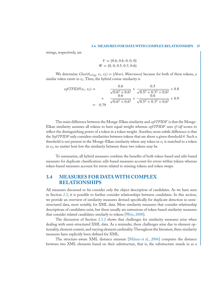#### **3.4. MEASURES FOR DATA WITH COMPLEX RELATIONSHIPS 37**

<span id="page-46-0"></span>strings, respectively, are

$$
V = \{0.6, 0.6, 0, 0, 0\}
$$
  

$$
W = \{0, 0, 0.5, 0.3, 0.6\}
$$

We determine  $C\text{lose}(\theta_{string}, s_1, s_2) = \{Henri, Water\text{ nodes}\}$  because for both of these tokens, a similar token exists in *s*2. Then, the hybrid cosine similarity is

$$
softmax(s_1, s_2) = \frac{0.6}{\sqrt{0.6^2 + 0.6^2}} \times \frac{0.5}{\sqrt{0.5^2 + 0.3^2 + 0.6^2}} \times 0.8
$$
  
+ 
$$
\frac{0.6}{\sqrt{0.6^2 + 0.6^2}} \times \frac{0.5}{\sqrt{0.5^2 + 0.3^2 + 0.6^2}} \times 0.9
$$
  

$$
\approx 0.79
$$

The main difference between the Monge-Elkan similarity and *softTFIDF* is that the Monge-Elkan similarity assumes all tokens to have equal weight whereas *softTFIDF* uses *tf-idf* scores to reflect the distinguishing power of a token in a token weight. Another, more subtle difference is that the *SoftTFIDF* only considers similarities between tokens that are above a given threshold *θ*. Such a threshold is not present in the Monge-Elkan similarity where any token in  $s<sub>1</sub>$  is matched to a token in *s*2, no matter how low the similarity between these two tokens may be.

To summarize, all hybrid measures combine the benefits of both token-based and edit-based measures for duplicate classification: edit-based measures account for errors within tokens whereas token-based measures account for errors related to missing tokens and token swaps.

## **3.4 MEASURES FOR DATA WITH COMPLEX RELATIONSHIPS**

All measures discussed so far consider only the object description of candidates. As we have seen in Section [2.3,](#page-27-0) it is possible to further consider relationships between candidates. In this section, we provide an overview of similarity measures devised specifically for duplicate detection in semistructured data, most notably, for XML data. More similarity measures that consider relationship descriptions of candidates exist, but these usually are extensions of token-based similarity measures that consider related candidates similarly to tokens [\[Weis](#page-84-0), [2008](#page-84-0)].

The discussion of Section [2.3.2](#page-29-0) shows that challenges for similarity measures arise when dealing with semi-structured XML data. As a reminder, these challenges arise due to element optionality, element context, and varying element cardinality. Throughout the literature, three similarity measures have explicitly been defined for XML.

The structure-aware XML distance measure [\[Milano et al.](#page-83-0), [2006\]](#page-83-0) computes the distance between two XML elements based on their substructure, that is, the substructure stands in as a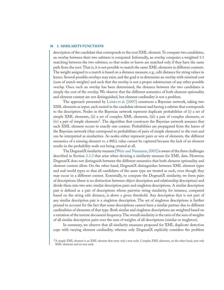description of the candidate that corresponds to the root XML element.To compare two candidates, an overlay between their two subtrees is computed. Informally, an overlay computes a weighted 1:1 matching between the two subtrees, so that nodes or leaves are matched only if they have the same path from the root.That is, it is not possible to match the same XML elements in different contexts. The weight assigned to a match is based on a distance measure, e.g., edit distance for string values in leaves. Several possible overlays may exist, and the goal is to determine an overlay with minimal cost (sum of match weights) and such that the overlay is not a proper substructure of any other possible overlay. Once such an overlay has been determined, the distance between the two candidates is simply the cost of the overlay. We observe that the different semantics of both element optionality and element context are not distinguished, but element cardinality is not a problem.

The approach presented by [Leitão et al.](#page-82-0) [\[2007](#page-82-0)] constructs a Bayesian network, taking two XML elements as input, each rooted in the candidate element and having a subtree that corresponds to the description. Nodes in the Bayesian network represent duplicate probabilities of (i) a set of simple XML elements, (ii) a set of complex XML elements, (iii) a pair of complex elements, or (iv) a pair of simple elements<sup>2</sup>. The algorithm that constructs the Bayesian network assumes that each XML element occurs in exactly one context. Probabilities are propagated from the leaves of the Bayesian network (that correspond to probabilities of pairs of simple elements) to the root and can be interpreted as similarities. As nodes either represent pairs or sets of elements, the different semantics of a missing element vs. a NULL value cannot be captured because the lack of an element results in the probability node not being created at all.

The DogmatiX similarity measure [\[Weis and Naumann,2005](#page-84-0)] is aware of the three challenges described in Section [2.3.2](#page-29-0) that arise when devising a similarity measure for XML data. However, DogmatiX does not distinguish between the different semantics that both element optionality and element context allow. On the other hand, DogmatiX distinguishes between XML element types and real-world types so that all candidates of the same type are treated as such, even though they may occur in a different context. Essentially, to compute the DogmatiX similarity, we form pairs of descriptions (there is no distinction between object description and relationship description) and divide them into two sets: similar description pairs and singleton descriptions. A similar description pair is defined as a pair of descriptions whose pairwise string similarity, for instance, computed based on the string edit distance, is above a given threshold. Any description that is not part of any similar description pair is a singleton description. The set of singleton descriptions is further pruned to account for the fact that some descriptions cannot have a similar partner due to different cardinalities of elements of that type. Both similar and singleton descriptions are weighted based on a variation of the inverse document frequency.The overall similarity is the ratio of the sum of weights of all similar description pairs over the sum of weights of all descriptions (similar or singleton).

In summary, we observe that all similarity measures proposed for XML duplicate detection cope with varying element cardinality, whereas only DogmatiX explicitly considers the problem

 $^2A$  simple XML element is an XML element that nests only a text node. Complex XML elements, on the other hand, nest only XML elements and no text node.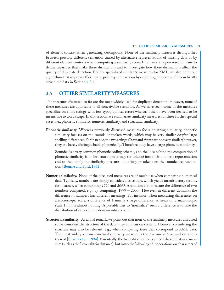#### **3.5. OTHER SIMILARITY MEASURES 39**

of element context when generating descriptions. None of the similarity measures distinguishes between possibly different semantics caused by alternative representations of missing data or by different element contexts when computing a similarity score. It remains an open research issue to define measures that make these distinctions and to investigate how these distinctions affect the quality of duplicate detection. Besides specialized similarity measures for XML, we also point out algorithms that improve efficiency by pruning comparisons by exploiting properties of hierarchically structured data in Section [4.2.1.](#page-57-0)

## **3.5 OTHER SIMILARITY MEASURES**

The measures discussed so far are the most widely used for duplicate detection. However, none of these measures are applicable to all conceivable scenarios. As we have seen, some of the measures specialize on short strings with few typographical errors whereas others have been devised to be insensitive to word swaps. In this section, we summarize similarity measures for three further special cases, i.e., phonetic similarity, numeric similarity, and structural similarity.

**Phonetic similarity.** Whereas previously discussed measures focus on string similarity, phonetic similarity focuses on the sounds of spoken words, which may be very similar despite large spelling differences. For instance, the two strings *Czech* and *cheque* are not very similar; however, they are barely distinguishable phonetically. Therefore, they have a large phonetic similarity.

Soundex is a very common phonetic coding scheme, and the idea behind the computation of phonetic similarity is to first transform strings (or tokens) into their phonetic representation and to then apply the similarity measures on strings or tokens on the soundex representation [\[Bourne and Ford,](#page-81-0) [1961](#page-81-0)].

- **Numeric similarity.** None of the discussed measures are of much use when comparing numerical data. Typically, numbers are simply considered as strings, which yields unsatisfactory results, for instance, when comparing *1999* and *2000*. A solution is to measure the difference of two numbers compared, e.g., by computing |1999 − 2000|. However, in different domains, the difference in numbers has different meanings. For instance, when measuring differences on a microscopic scale, a difference of 1 mm is a large difference, whereas on a macroscopic scale 1 mm is almost nothing. A possible way to "normalize" such a difference is to take the distribution of values in the domain into account.
- **Structural similarity.** As a final remark, we point out that none of the similarity measures discussed so far considers the structure of the data; they all focus on content. However, considering the structure may also be relevant, e.g., when comparing trees that correspond to XML data. The most widely known structural similarity measure is the *tree edit distance* and variations thereof [\[Shasha et al.](#page-83-0), [1994\]](#page-83-0). Essentially, the tree edit distance is an edit-based distance measure (such as the Levenshtein distance), but instead of allowing edit operations on characters of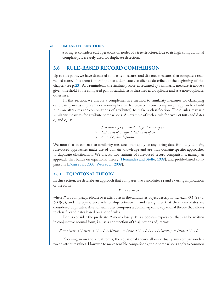<span id="page-49-0"></span>a string, it considers edit operations on nodes of a tree structure. Due to its high computational complexity, it is rarely used for duplicate detection.

## **3.6 RULE-BASED RECORD COMPARISON**

Up to this point, we have discussed similarity measures and distance measures that compute a realvalued score. This score is then input to a duplicate classifier as described at the beginning of this chapter (see p. [23\)](#page-32-0). As a reminder, if the similarity score, as returned by a similarity measure, is above a given threshold *θ*, the compared pair of candidates is classified as a duplicate and as a non-duplicate, otherwise.

In this section, we discuss a complementary method to similarity measures for classifying candidate pairs as duplicates or non-duplicates: Rule-based record comparison approaches build rules on attributes (or combinations of attributes) to make a classification. These rules may use similarity measures for attribute comparisons. An example of such a rule for two Person candidates  $c_1$  and  $c_2$  is:

> *first name of*  $c_1$  *is similar to first name of*  $c_2$ ∧ *last name of c*<sup>1</sup> *equals last name of c*<sup>2</sup>  $\Rightarrow$  *c*<sub>1</sub> *and c*<sub>2</sub> *are duplicates*

We note that in contrast to similarity measures that apply to any string data from any domain, rule-based approaches make use of domain knowledge and are thus domain-specific approaches to duplicate classification. We discuss two variants of rule-based record comparisons, namely an approach that builds on equational theory [\[Hernández and Stolfo](#page-82-0), [1998](#page-82-0)], and profile-based comparisons [\[Doan et al.,](#page-81-0) [2003;](#page-81-0) [Weis et al.](#page-84-0), [2008\]](#page-84-0).

#### **3.6.1 EQUATIONAL THEORY**

In this section, we describe an approach that compares two candidates *c*<sup>1</sup> and *c*<sup>2</sup> using implications of the form

$$
P \Rightarrow c_1 \equiv c_2
$$

where *P* is a complex predicate over attributes in the candidates' object descriptions, i.e., in  $OD(c_1) \cup$  $OD(c<sub>2</sub>)$ , and the equivalence relationship between  $c<sub>1</sub>$  and  $c<sub>2</sub>$  signifies that these candidates are considered duplicates. A set of such rules composes a domain-specific equational theory that allows to classify candidates based on a set of rules.

Let us consider the predicate *P* more closely: *P* is a boolean expression that can be written in conjunctive normal form, i.e., as a conjunction of (disjunctions of) terms:

 $P = (term_{1,1} \vee term_{1,2}, \vee \ldots) \wedge (term_{2,1} \vee term_{2,2} \vee \ldots) \wedge \ldots \wedge (term_{n,1} \vee term_{n,2} \vee \ldots)$ 

Zooming in on the actual terms, the equational theory allows virtually any comparison between attribute values. However, to make sensible comparisons, these comparisons apply to common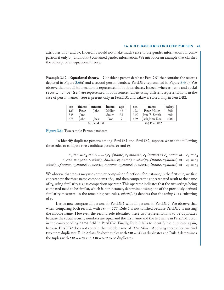#### **3.6. RULE-BASED RECORD COMPARISON 41**

<span id="page-50-0"></span>attributes of *c*<sup>1</sup> and *c*2. Indeed, it would not make much sense to use gender information for comparison if only *c*<sup>1</sup> (and not *c*2) contained gender information. We introduce an example that clarifies the concept of an equational theory.

**Example 3.12 Equational theory.** Consider a person database PersDB1 that contains the records depicted in Figure 3.6(a) and a second person database PersDB2 represented in Figure 3.6(b). We observe that not all information is represented in both databases. Indeed, whereas name and social security number (ssn) are represented in both sources (albeit using different representations in the case of person names), age is present only in PersDB1 and salary is stored only in PersDB2.

| ssn | tname | mname       | <b>Iname</b> | age | ssn         | name          | salary |
|-----|-------|-------------|--------------|-----|-------------|---------------|--------|
| 123 | Peter | John        | Miller       | 46  | 123         | Peter Miller  | 80k    |
| 345 | lane  |             | Smith        | 33  | 345         | Jane B. Smith | 60k    |
| 678 | John  | <b>Tack</b> | Doe          |     | 679         | Jack John Doe | 100k   |
|     |       | (a) PersDB1 |              |     | (b) PersDB2 |               |        |

**Figure 3.6:** Two sample Person databases

To identify duplicate persons among PersDB1 and PersDB2, suppose we use the following three rules to compare two candidate persons  $c_1$  and  $c_2$ :

 $c_1$ *.ssn* =  $c_2$ *.ssn*  $\land$  *concat*( $c_1$ *.f* name,  $c_1$ *.mname,*  $c_1$ *.lname*) ≈  $c_2$ *.name* ⇒  $c_1 \equiv c_2$ 

 $c_1$ *.ssn* =  $c_2$ *.ssn*  $\land$  *substr*( $c_1$ *.lname, c*<sub>2</sub>*.name*)  $\land$  *substr*( $c_1$ *.f name, c*<sub>2</sub>*.name*)  $\Rightarrow$   $c_1 \equiv c_2$ *substr*( $c_1$ *.f* name,  $c_2$ *.name*) ∧ *substr*( $c_1$ *.mname, c*<sub>2</sub>*.name*) ∧ *substr*( $c_1$ *.lname, c*<sub>2</sub>*.name*)  $\Rightarrow$   $c_1 \equiv c_2$ 

We observe that terms may use complex comparison functions: for instance, in the first rule, we first concatenate the three name components of  $c_1$  and then compare the concatenated result to the name of  $c_2$ , using similarity ( $\approx$ ) as comparison operator. This operator indicates that the two strings being compared need to be similar, which is, for instance, determined using one of the previously defined similarity measures. In the remaining two rules,  $\textit{substr}(l, r)$  denotes that the string *l* is a substring of *r*.

Let us now compare all persons in PersDB1 with all persons in PersDB2. We observe that when comparing both records with  $ssn = 123$ , Rule 1 is not satisfied because PersDB2 is missing the middle name. However, the second rule identifies these two representations to be duplicates because the social security numbers are equal and the first name and the last name in PersDB1 occur in the corresponding name field in PersDB2. Finally, Rule 3 fails to identify the duplicate again, because PersDB2 does not contain the middle name of *Peter Miller*. Applying these rules, we find two more duplicates: Rule 2 classifies both tuples with ssn = *345* as duplicates and Rule 3 determines the tuples with  $ssn = 678$  and  $ssn = 679$  to be duplicates.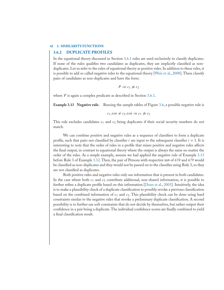#### **3.6.2 DUPLICATE PROFILES**

In the equational theory discussed in Section [3.6.1](#page-49-0) rules are used exclusively to classify duplicates. If none of the rules qualifies two candidates as duplicates, they are implicitly classified as nonduplicates. Let us refer to the rules of equational theory as positive rules. In addition to these rules, it is possible to add so called negative rules to the equational theory [\[Weis et al.,](#page-84-0) [2008](#page-84-0)]. These classify pairs of candidates as non-duplicates and have the form:

$$
P \Rightarrow c_1 \not\equiv c_2
$$

where *P* is again a complex predicate as described in Section [3.6.1.](#page-49-0)

**Example 3.13 Negative rule.** Reusing the sample tables of Figure [3.6,](#page-50-0) a possible negative rule is

$$
c_1.ssn \neq c_2.ssn \Rightarrow c_1 \neq c_2
$$

This rule excludes candidates *c*<sup>1</sup> and *c*<sup>2</sup> being duplicates if their social security numbers do not match.

We can combine positive and negative rules as a sequence of classifiers to form a duplicate profile, such that pairs not classified by classifier *i* are input to the subsequent classifier  $i + 1$ . It is interesting to note that the order of rules in a profile that mixes positive and negative rules affects the final output, in contrast to equational theory where the output is always the same no matter the order of the rules. As a simple example, assume we had applied the negative rule of Example 3.13 before Rule 3 of Example [3.12.](#page-50-0) Then, the pair of Persons with respective ssn of *678* and *679* would be classified as non-duplicates and they would not be passed on to the classifier using Rule 3, so they are not classified as duplicates.

Both positive rules and negative rules only use information that is present in both candidates. In the case where both *c*<sup>1</sup> and *c*<sup>2</sup> contribute additional, non-shared information, it is possible to further refine a duplicate profile based on this information [\[Doan et al.,](#page-81-0) [2003\]](#page-81-0). Intuitively, the idea is to make a plausibility check of a duplicate classification to possibly revoke a previous classification based on the combined information of *c*<sup>1</sup> and *c*2. This plausibility check can be done using hard constraints similar to the negative rules that revoke a preliminary duplicate classification. A second possibility is to further use soft constraints that do not decide by themselves, but rather output their confidence in a pair being a duplicate. The individual confidence scores are finally combined to yield a final classification result.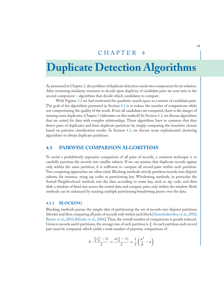## CHAPTER 4

# <span id="page-52-0"></span>**Duplicate Detection Algorithms**

As presented in Chapter [2,](#page-22-0) the problem of duplicate detection needs two components for its solution. After reviewing similarity measures to decide upon duplicity of candidate pairs we now turn to the second component – algorithms that decide which candidates to compare.

With Figures [2.2](#page-26-0) we had motivated the quadratic search space as a matrix of candidate pairs. The goal of the algorithms presented in Section 4.1 is to reduce the number of comparisons while not compromising the quality of the result. If not all candidates are compared, there is the danger of missing some duplicates. Chapter [5](#page-70-0) elaborates on this tradeoff. In Section [4.2,](#page-57-0) we discuss algorithms that are suited for data with complex relationships. Those algorithms have in common that they detect pairs of duplicates and form duplicate partitions by simply computing the transitive closure based on pairwise classification results. In Section [4.3,](#page-61-0) we discuss more sophisticated clustering algorithms to obtain duplicate partitions.

## **4.1 PAIRWISE COMPARISON ALGORITHMS**

To avoid a prohibitively expensive comparison of all pairs of records, a common technique is to carefully partition the records into smaller subsets. If we can assume that duplicate records appear only within the same partition, it is sufficient to compare all record-pairs within each partition. Two competing approaches are often cited: Blocking methods strictly partition records into disjoint subsets, for instance, using zip codes as partitioning key. Windowing methods, in particular the Sorted-Neighborhood method, sort the data according to some key, such as zip code, and then slide a window of fixed size across the sorted data and compare pairs only within the window. Both methods can be enhanced by running multiple partitioning/windowing passes over the data.

#### **4.1.1 BLOCKING**

Blocking methods pursue the simple idea of partitioning the set of records into disjoint partitions (blocks) and then comparing all pairs of records only within each block [\[Ananthakrishna et al.,](#page-80-0) [2002;](#page-80-0) [Baxter et al.,](#page-80-0) [2003;](#page-80-0) [Bilenko et al.,](#page-80-0) [2006\]](#page-80-0).Thus, the overall number of comparisons is greatly reduced. Given *n* records and *b* partitions, the average size of each partition is  $\frac{n}{b}$ . In each partition each record pair must be compared, which yields a total number of pairwise comparisons of

$$
b \cdot \frac{\frac{n}{b}(\frac{n}{b}-1)}{2} = \frac{n(\frac{n}{b}-1)}{2} = \frac{1}{2}\left(\frac{n^2}{b}-n\right)
$$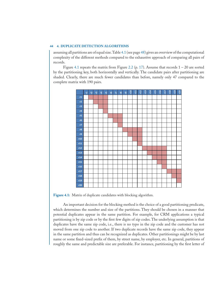assuming all partitions are of equal size.Table [4.1](#page-57-0) (see page [48\)](#page-57-0) gives an overview of the computational complexity of the different methods compared to the exhaustive approach of comparing all pairs of records.

Figure 4.1 repeats the matrix from Figure [2.2](#page-26-0) (p. [17\)](#page-26-0). Assume that records  $1 - 20$  are sorted by the partitioning key, both horizontally and vertically. The candidate pairs after partitioning are shaded. Clearly, there are much fewer candidates than before, namely only 47 compared to the complete matrix with 190 pairs.



**Figure 4.1:** Matrix of duplicate candidates with blocking algorithm.

An important decision for the blocking method is the choice of a good partitioning predicate, which determines the number and size of the partitions. They should be chosen in a manner that potential duplicates appear in the same partition. For example, for CRM applications a typical partitioning is by zip code or by the first few digits of zip codes. The underlying assumption is that duplicates have the same zip code, i.e., there is no typo in the zip code and the customer has not moved from one zip code to another. If two duplicate records have the same zip code, they appear in the same partition and thus can be recognized as duplicates. Other partitionings might be by last name or some fixed-sized prefix of them, by street name, by employer, etc. In general, partitions of roughly the same and predictable size are preferable. For instance, partitioning by the first letter of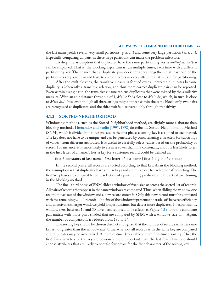#### **4.1. PAIRWISE COMPARISON ALGORITHMS 45**

the last name yields several very small partitions (*q*, *x*, …) and some very large partitions (*m*, *s*, …). Especially comparing all pairs in these large partitions can make the problem infeasible.

To drop the assumption that duplicates have the same partitioning key, a *multi-pass method* can be employed. That is, the blocking algorithm is run multiple times, each time with a different partitioning key. The chance that a duplicate pair does not appear together in at least one of the partitions is very low. It would have to contain errors in every attribute that is used for partitioning.

After the multiple runs, the transitive closure is formed over all detected duplicates because duplicity is inherently a transitive relation, and thus more correct duplicate pairs can be reported. Even within a single run, the transitive closure returns duplicates that were missed by the similarity measure: With an edit distance threshold of 1, *Maine St.* is close to *Main St.*, which, in turn, is close to *Moin St.*. Thus, even though all three strings might appear within the same block, only two pairs are recognized as duplicates, and the third pair is discovered only through transitivity.

#### **4.1.2 SORTED-NEIGHBORHOOD**

Windowing methods, such as the Sorted-Neighborhood method, are slightly more elaborate than blocking methods. [Hernández and Stolfo](#page-82-0) [\[1995,](#page-82-0) [1998](#page-82-0)] describe the Sorted-Neighborhood Method (SNM), which is divided into three phases. In the first phase, a sorting key is assigned to each record. The key does not have to be unique and can be generated by concatenating characters (or substrings of values) from different attributes. It is useful to carefully select values based on the probability of errors. For instance, it is more likely to err in a vowel than in a consonant, and it is less likely to err in the first letter of a name. Thus, a key for a customer record could be defined as:

first 3 constants of last name | first letter of last name | first 2 digits of zip code

In the second phase, all records are sorted according to that key. As in the blocking method, the assumption is that duplicates have similar keys and are thus close to each other after sorting.The first two phases are comparable to the selection of a partitioning predicate and the actual partitioning in the blocking method.

The final, third phase of SNM slides a window of fixed size *w* across the sorted list of records. All pairs of records that appear in the same window are compared. Thus, when sliding the window, one record moves out of the window and a new record enters it. Only this new record must be compared with the remaining *w* − 1 records.The size of the window represents the trade-off between efficiency and effectiveness; larger windows yield longer runtimes but detect more duplicates. In experiments, window sizes between 10 and 30 have been reported to be effective. Figure [4.2](#page-55-0) shows the candidate pair matrix with those pairs shaded that are compared by SNM with a windows size of 4. Again, the number of comparisons is reduced from 190 to 54.

The sorting key should be chosen distinct enough so that the number of records with the same key is not greater than the window size. Otherwise, not all records with the same key are compared and duplicates may be overlooked. A more distinct key enable a more fine-tuned sorting. Also, the first few characters of the key are obviously more important than the last few. Thus, one should choose attributes that are likely to contain few errors for the first characters of the sorting key.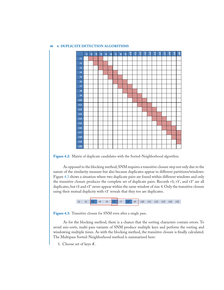<span id="page-55-0"></span>

**Figure 4.2:** Matrix of duplicate candidates with the Sorted-Neighborhood algorithm.

As opposed to the blocking method, SNM requires a transitive closure step not only due to the nature of the similarity measure but also because duplicates appear in different partitions/windows: Figure 4.3 shows a situation where two duplicate pairs are found within different windows and only the transitive closure produces the complete set of duplicate pairs. Records r3, r3', and r3" are all duplicates, but r3 and r3" never appear within the same window of size 4. Only the transitive closure using their mutual duplicity with r3' reveals that they too are duplicates.



**Figure 4.3:** Transitive closure for SNM even after a single pass.

As for the blocking method, there is a chance that the sorting characters contain errors. To avoid mis-sorts, multi-pass variants of SNM produce multiple keys and perform the sorting and windowing multiple times. As with the blocking method, the transitive closure is finally calculated. The Multipass Sorted-Neighborhood method is summarized here:

1. Choose set of keys *K*.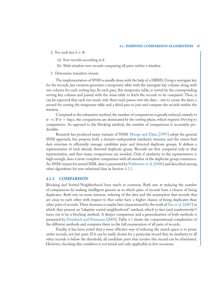#### **4.1. PAIRWISE COMPARISON ALGORITHMS 47**

- 2. For each key  $k \in K$ :
	- (a) Sort records according to *k*.
	- (b) Slide window over records comparing all pairs within a window.

#### 3. Determine transitive closure

The implementation of SNM is usually done with the help of a DBMS: Using a surrogate key for the records, key creation generates a temporary table with the surrogate key column along with one column for each sorting key. In each pass, this temporary table, is sorted by the corresponding sorting key column and joined with the main table to fetch the records to be compared. Thus, it can be expected that each run needs only three read-passes over the data – one to create the keys, a second for sorting the temporary table and a third pass to join and compare the records within the window.

Compared to the exhaustive method, the number of comparisons is greatly reduced, namely to  $w \cdot n$ . If  $w < \log n$ , the comparisons are dominated by the sorting phase, which requires  $O(n \log n)$ comparisons. As opposed to the blocking method, the number of comparisons is accurately predictable.

Research has produced many variants of SNM: [Monge and Elkan](#page-83-0) [\[1997](#page-83-0)] adopt the general SNM approach, but propose both a domain-independent similarity measure and the union-find data structure to efficiently manage candidate pairs and detected duplicate groups. It defines a representative of each already detected duplicate group. Records are first compared only to that representative, and thus many comparisons are avoided. Only if similarity to the representative is high enough, does a more complete comparison with all member of the duplicate group commence. An SNM variant for nested XML data is presented by [Puhlmann et al.\[2006](#page-83-0)] and described among other algorithms for non-relational data in Section [4.2.1.](#page-57-0)

#### **4.1.3 COMPARISON**

Blocking and Sorted-Neighborhood have much in common. Both aim at reducing the number of comparisons by making intelligent guesses as to which pairs of records have a chance of being duplicates. Both rely on some intrinsic ordering of the data and the assumption that records that are close to each other with respect to that order have a higher chance of being duplicates than other pairs of records.Their closeness is maybe best characterized by the work of [Yan et al.\[2007](#page-85-0)] in which they present an "adaptive sorted neighborhood" method, which in fact (and inadvertently?) turns out to be a blocking method. A deeper comparison and a generalization of both methods is presented by [Draisbach and Naumann](#page-81-0) [\[2009](#page-81-0)]. Table [4.1](#page-57-0) shows the computational complexities of the different methods and compares them to the full enumeration of all pairs of records.

Finally, it has been noted that a more effective way of reducing the search space is to prune entire records, not just pairs. If it can be easily shown for a particular record that its similarity to all other records is below the threshold, all candidate pairs that involve this record can be eliminated. However, checking this condition is not trivial and only applicable in few occasions.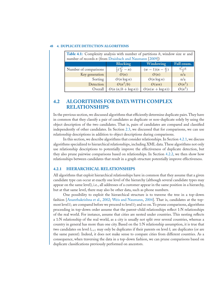<span id="page-57-0"></span>

| <b>Table 4.1:</b> Complexity analysis with number of partitions $b$ , window size $w$ and |                                                   |                        |                   |  |  |  |  |
|-------------------------------------------------------------------------------------------|---------------------------------------------------|------------------------|-------------------|--|--|--|--|
| number of records n (from Draisbach and Naumann [2009])                                   |                                                   |                        |                   |  |  |  |  |
|                                                                                           | <b>Windowing</b><br><b>Blocking</b><br>Full enum. |                        |                   |  |  |  |  |
| Number of comparisons                                                                     | $rac{1}{2}(\frac{n^2}{h} - n)$                    | $(w-1)(n-\frac{w}{2})$ | $\frac{n^2-n}{2}$ |  |  |  |  |
| Key generation                                                                            | O(n)                                              | O(n)                   | n/a               |  |  |  |  |
| Sorting                                                                                   | $O(n \log n)$                                     | $O(n \log n)$          | n/a               |  |  |  |  |
| Detection                                                                                 | $O(n^2/b)$                                        | O(wn)                  | $O(n^2)$          |  |  |  |  |
| Overall                                                                                   | $O(n(n/b + \log n))$                              | $O(n(w + \log n))$     | $O(n^2)$          |  |  |  |  |

## **4.2 ALGORITHMS FOR DATA WITH COMPLEX RELATIONSHIPS**

In the previous section, we discussed algorithms that efficiently determine duplicate pairs.They have in common that they classify a pair of candidates as duplicate or non-duplicate solely by using the object description of the two candidates. That is, pairs of candidates are compared and classified independently of other candidates. In Section [2.3,](#page-27-0) we discussed that for comparisons, we can use relationship descriptions in addition to object descriptions during comparisons.

In this section, we describe algorithms that consider relationships. In Section 4.2.1, we discuss algorithms specialized to hierarchical relationships, including XML data.These algorithms not only use relationship descriptions to potentially improve the effectiveness of duplicate detection, but they also prune pairwise comparisons based on relationships. In Section [4.2.2,](#page-58-0) we then show how relationships between candidates that result in a graph structure potentially improve effectiveness.

## **4.2.1 HIERARCHICAL RELATIONSHIPS**

All algorithms that exploit hierarchical relationships have in common that they assume that a given candidate type can occur at exactly one level of the hierarchy (although several candidate types may appear on the same level), i.e., all addresses of a customer appear in the same position in a hierarchy, but at that same level, there may also be other data, such as phone numbers.

One possibility to exploit the hierarchical structure is to traverse the tree in a top-down fashion [\[Ananthakrishna et al.](#page-80-0), [2002;](#page-80-0) [Weis and Naumann,](#page-84-0) [2004\]](#page-84-0). That is, candidates at the topmost level *l*<sup>1</sup> are compared before we proceed to level *l*<sup>2</sup> and so on.To prune comparisons, algorithms proceeding in top-down order assume that the parent-child relationships reflect 1:N relationships of the real world. For instance, assume that cities are nested under countries. This nesting reflects a 1:N relationship of the real world, as a city is usually not split over several countries, whereas a country in general has more than one city. Based on the 1:N relationship assumption, it is true that two candidates on level  $l_{i+1}$  may only be duplicates if their parents on level  $l_i$  are duplicates (or are the same parent). Indeed, it does not make sense to compare cities from different countries. As a consequence, when traversing the data in a top-down fashion, we can prune comparisons based on duplicate classifications previously performed on ancestors.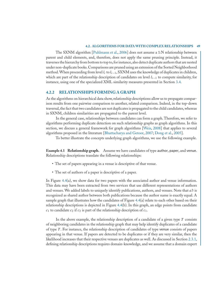#### **4.2. ALGORITHMS FOR DATA WITH COMPLEX RELATIONSHIPS**

<span id="page-58-0"></span>The SXNM algorithm [\[Puhlmann et al.](#page-83-0), [2006](#page-83-0)] does not assume a 1:N relationship between parent and child elements, and, therefore, does not apply the same pruning principle. Instead, it traverses the hierarchy from bottom to top to,for instance,also detect duplicate authors that are nested under non-duplicate books.Comparisons are pruned using an extension of the Sorted Neighborhood method. When proceeding from level *li* to *li*<sup>−</sup>1, SXNM uses the knowledge of duplicates in children, which are part of the relationship description of candidates on level *li*<sup>−</sup><sup>1</sup> to compute similarity, for instance, using one of the specialized XML similarity measures presented in Section [3.4.](#page-46-0)

#### **4.2.2 RELATIONSHIPS FORMING A GRAPH**

As the algorithms on hierarchical data show, relationship descriptions allow us to propagate comparison results from one pairwise comparison to another, related comparison. Indeed, in the top-down traversal, the fact that two candidates are not duplicates is propagated to the child candidates, whereas in SXNM, children similarities are propagated to the parent level.

In the general case, relationships between candidates can form a graph. Therefore, we refer to algorithms performing duplicate detection on such relationship graphs as graph algorithms. In this section, we discuss a general framework for graph algorithms [\[Weis,](#page-84-0) [2008](#page-84-0)] that applies to several algorithms proposed in the literature [\[Bhattacharya and Getoor](#page-80-0), [2007](#page-80-0); [Dong et al.](#page-81-0), [2005\]](#page-81-0).

To better illustrate the concepts underlying graph algorithms, we use the following example.

**Example 4.1 Relationship graph.** Assume we have candidates of type author, paper, and venue. Relationship descriptions translate the following relationships:

- The set of papers appearing in a venue is descriptive of that venue.
- The set of authors of a paper is descriptive of a paper.

In Figure [4.4\(](#page-59-0)a), we show data for two papers with the associated author and venue information. This data may have been extracted from two services that use different representations of authors and venues. We added labels to uniquely identify publications, authors, and venues. Note that *a*3 is recognized as shared author between both publications because the author name is exactly equal. A sample graph that illustrates how the candidates of Figure [4.4\(](#page-59-0)a) relate to each other based on their relationship descriptions is depicted in Figure [4.4\(](#page-59-0)b). In this graph, an edge points from candidate  $c_1$  to candidate  $c_2$  if  $c_2$  is part of the relationship description of  $c_1$ .

In the above example, the relationship description of a candidate of a given type *T* consists of neighboring candidates in the relationship graph that may help identify duplicates of a candidate of type *T* . For instance, the relationship description of candidates of type venue consists of papers appearing in that venue. If papers are detected to be duplicates or if they are very similar, then the likelihood increases that their respective venues are duplicates as well. As discussed in Section [2.3.1,](#page-27-0) defining relationship descriptions requires domain-knowledge, and we assume that a domain expert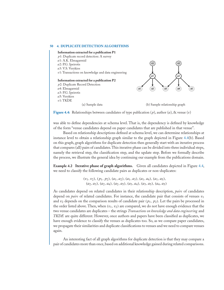#### <span id="page-59-0"></span>**Information extracted for a publication P1**

*p*1: Duplicate record detection: A survey *a*1: A.K. Elmagarmid *a*2: P.G. Ipeirotis *a*3: V.S. Verykios *v*1: Transactions on knowledge and data engineering

#### **Information extracted for a publication P2**

*p*2: Duplicate Record Detection *a*4: Elmagarmid *a*3: P.G. Ipeirotis *a*5: Verykios

*v*1: TKDE





**Figure 4.4:** Relationships between candidates of type publication (*p*), author (*a*), & venue (*v*)

was able to define dependencies at schema level. That is, the dependency is defined by knowledge of the form "venue candidates depend on paper candidates that are published in that venue".

Based on relationship descriptions defined at schema level, we can determine relationships at instance level to obtain a relationship graph similar to the graph depicted in Figure 4.4(b). Based on this graph, graph algorithms for duplicate detection then generally start with an iterative process that compares (all) pairs of candidates.This iterative phase can be divided into three individual steps, namely the retrieval step, the classification step, and the update step. Before we formally describe the process, we illustrate the general idea by continuing our example from the publications domain.

**Example 4.2 Iterative phase of graph algorithms.** Given all candidates depicted in Figure 4.4, we need to classify the following candidate pairs as duplicates or non-duplicates:

> *(v*1*, v*2*), (p*1*, p*2*), (a*1*, a*2*), (a*1*, a*3*), (a*1*, a*4*), (a*1*, a*5*), (a*2*, a*3*), (a*2*, a*4*), (a*2*, a*5*), (a*3*, a*4*), (a*3*, a*5*), (a*4*, a*5*)*

As candidates depend on related candidates in their relationship description, *pairs* of candidates depend on *pairs* of related candidates. For instance, the candidate pair that consists of venues *v*<sup>1</sup> and *v*<sup>2</sup> depends on the comparison results of candidate pair *(p*1*, p*2*)*. Let the pairs be processed in the order listed above. Then, when  $(v_1, v_2)$  are compared, we do not have enough evidence that the two venue candidates are duplicates – the strings *Transactions on knowledge and data engineering* and *TKDE* are quite different. However, once authors and papers have been classified as duplicates, we have enough evidence to classify the venues as duplicates too. So, as we compare paper candidates, we propagate their similarities and duplicate classifications to venues and we need to compare venues again.

An interesting fact of all graph algorithms for duplicate detection is that they may compare a pair of candidates more than once,based on additional knowledge gained during related comparisons.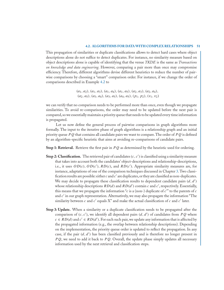#### **4.2. ALGORITHMS FOR DATA WITH COMPLEX RELATIONSHIPS**

This propagation of similarities or duplicate classifications allows to detect hard cases where object descriptions alone do not suffice to detect duplicates. For instance, no similarity measure based on object descriptions alone is capable of identifying that the venue *TKDE* is the same as *Transactions on knowledge and data engineering*. However, comparing a pair more than once may compromise efficiency. Therefore, different algorithms devise different heuristics to reduce the number of pairwise comparisons by choosing a "smart" comparison order. For instance, if we change the order of comparisons described in Example [4.2](#page-59-0) to

> *(a*1*, a*2*), (a*1*, a*3*), (a*1*, a*4*), (a*1*, a*5*), (a*2*, a*3*), (a*2*, a*4*), (a*2*, a*5*), (a*3*, a*4*), (a*3*, a*5*), (a*4*, a*5*), (p*1*, p*2*), (v*1*, v*2*)*

we can verify that no comparison needs to be performed more than once, even though we propagate similarities. To avoid re-comparisons, the order may need to be updated before the next pair is compared, so we essentially maintain a priority queue that needs to be updated every time information is propagated.

Let us now define the general process of pairwise comparisons in graph algorithms more formally. The input to the iterative phase of graph algorithms is a relationship graph and an initial priority queue *P Q* that contains all candidate pairs we want to compare.The order of *P Q* is defined by an algorithm-specific heuristic that aims at avoiding re-comparisons of candidate pairs.

**Step 1: Retrieval.** Retrieve the first pair in *P Q* as determined by the heuristic used for ordering.

- Step 2: Classification. The retrieved pair of candidates  $(c, c')$  is classified using a similarity measure that takes into account both the candidates' object-descriptions and relationship-descriptions, i.e., it uses *OD(c), OD(c ), RD(c)*, and *RD(c )*. Appropriate similarity measures are, for instance, adaptations of one of the comparison techniques discussed in Chapter [3.](#page-32-0) Two classification results are possible: either *c* and *c'* are duplicates, or they are classified as non-duplicates. We may decide to propagate these classification results to dependent candidate pairs *(d, d )* whose relationship descriptions  $RD(d)$  and  $RD(d')$  contain  $c$  and  $c'$ , respectively. Essentially, this means that we propagate the information "*c* is a (non-) duplicate of *c* " to the parents of *c* and *c'* in our graph representation. Alternatively, we may also propagate the information "The similarity between *c* and  $c'$  equals X" and make the actual classification of *c* and  $c'$  later.
- **Step 3: Update.** When a similarity or a duplicate classification needs to be propagated after the comparison of *(c, c )*, we identify all dependent pairs *(d, d )* of candidates from *P Q* where  $c \in RD(d)$  and  $c' \in RD(d')$ . For each such pair, we update any information that is affected by the propagated information (e.g., the overlap between relationship descriptions). Depending on the implementation, the priority queue order is updated to reflect the propagation. In any case, if the pair *(d, d )* has been classified previously and is therefore no longer present in *P Q*, we need to add it back to *P Q*. Overall, the update phase simply updates all necessary information used by the next retrieval and classification steps.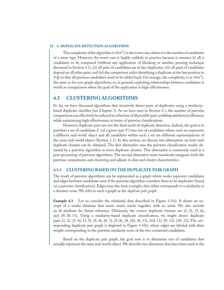<span id="page-61-0"></span>The complexity of the algorithm is  $O(n^4)$  in the worst case, where *n* is the number of candidates of a same type. However, the worst case is highly unlikely in practice because it assumes (i) all *n* candidates to be compared (without any application of blocking or another pruning technique discussed in Section [4.1\)](#page-52-0), (ii) all pairs of candidates are in fact duplicates, (iii) all pairs of candidates depend on all other pairs, and (iv) the comparison order identifying a duplicate at the last position in *P Q* so that all previous candidates need to be added back. On average, the complexity is in  $O(n^2)$ , the same as for non-graph algorithms, so, in general, exploiting relationships between candidates is worth re-comparisons when the goal of the application is high effectiveness.

## **4.3 CLUSTERING ALGORITHMS**

So far, we have discussed algorithms that iteratively detect pairs of duplicates using a similaritybased duplicate classifier (see Chapter [3\)](#page-32-0). As we have seen in Section [4.1,](#page-52-0) the number of pairwise comparisons can effectively be reduced to a fraction of all possible pairs,yielding satisfactory efficiency while maintaining high effectiveness in terms of pairwise classifications.

However, duplicate pairs are not the final result of duplicate detection. Indeed, the goal is to partition a set of candidates *C* (of a given type *T* ) into sets of candidates where each set represents a different real-world object and all candidates within such a set are different representations of the same real-world object (Section [2.1\)](#page-22-0). In this section, we discuss two alternatives on how such duplicate clusters can be obtained. The first alternative uses the pairwise classification results obtained by a pairwise algorithm to form duplicate clusters. This alternative is commonly used as a post-processing of pairwise algorithms. The second alternative more seamlessly integrates both the pairwise comparisons and clustering and adjusts to data and cluster characteristics.

#### **4.3.1 CLUSTERING BASED ON THE DUPLICATE PAIR GRAPH**

The result of pairwise algorithms can be represented as a graph where nodes represent candidates and edges between candidates exist if the pairwise algorithm considers them to be duplicates (based on a pairwise classification). Edges may also have a weight, that either corresponds to a similarity or a distance score. We refer to such a graph as the *duplicate pair graph*.

**Example 4.3** Let us consider the relational data described in Figure [4.5\(](#page-62-0)a). It shows an excerpt of a media database that stores music tracks together with an artist. We also include an id attribute for future reference. Obviously, the correct duplicate clusters are {1*,* 2}, {3*,* 4}, and {9*,* 10*,* 11}. Using a similarity-based duplicate classification, we might detect duplicate pairs {1, 2}, {3, 4}, {3, 5}, {5, 6}, {6, 7}, {5, 8}, {9, 10}, {9, 11}, {10, 11}, {9, 12}, {10, 12}. The corresponding duplicate pair graph is depicted in Figure [4.5\(](#page-62-0)b), where edges are labeled with their weight corresponding to the pairwise similarity score of the two connected candidates.

Based on the duplicate pair graph, the goal now is to determine sets of candidates that actually represent the same real-world object. We describe two directions that have been used in the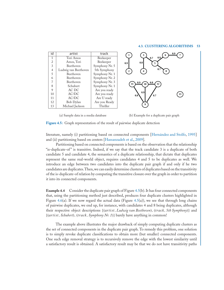#### **4.3. CLUSTERING ALGORITHMS 53**

<span id="page-62-0"></span>

| id | artist               | track          | 0.9<br>-6                  |
|----|----------------------|----------------|----------------------------|
|    | Tori Amos            | Beekeeper      | 0.9<br>0.7                 |
|    | Amos, Tori           | Beekeeper      | 0.8<br>0.9<br>5            |
| 3  | <b>Beethoven</b>     | Symphony Nr. 5 |                            |
| 4  | Ludwig van Beethoven | 5th Symphony   | 0.7<br>8<br>$\overline{2}$ |
| 5  | Beethoven            | Symphony Nr. 1 |                            |
| 6  | Beethoven            | Symphony Nr. 2 |                            |
| 7  | Beethoven            | Symphony Nr. 3 | 0.9<br>0.8<br>12<br>11     |
| 8  | Schubert             | Symphony Nr. 1 | 10                         |
| 9  | AC DC                | Are you ready  |                            |
| 10 | AC/DC                | Are you ready  | 0.9<br>13<br>0.7<br>0.8    |
| 11 | AC/DC                | Are U ready    |                            |
| 12 | Bob Dylan            | Are you Ready  |                            |
| 13 | Michael Jackson      | Thriller       | 9                          |



**Figure 4.5:** Graph representation of the result of pairwise duplicate detection

literature, namely (i) partitioning based on connected components [\[Hernández and Stolfo,](#page-82-0) [1995\]](#page-82-0) and (ii) partitioning based on centers [\[Hassanzadeh et al.,](#page-82-0) [2009\]](#page-82-0).

Partitioning based on connected components is based on the observation that the relationship "is-duplicate-of " is transitive. Indeed, if we say that the track candidate 3 is a duplicate of both candidate 5 and candidate 4, the semantics of a duplicate relationship, that dictate that duplicates represent the same real-world object, requires candidates 4 and 5 to be duplicates as well. We introduce an edge between two candidates into the duplicate pair graph if and only if he two candidates are duplicates.Then,we can easily determine clusters of duplicates based on the transitivity of the is-duplicate-of relation by computing the transitive closure over the graph in order to partition it into its connected components.

**Example 4.4** Consider the duplicate pair graph of Figure 4.5(b). It has four connected components that, using the partitioning method just described, produces four duplicate clusters highlighted in Figure [4.6\(](#page-63-0)a). If we now regard the actual data (Figure 4.5(a)), we see that through long chains of pairwise duplicates, we end up, for instance, with candidates 4 and 8 being duplicates, although their respective object descriptions {*(art ist , Ludwig van Beethoven), (track, 5th Symphony)*} and {*(art ist , Schubert), (track, Symphony Nr. 1)*} barely have anything in common!

The example above illustrates the major drawback of simply computing duplicate clusters as the set of connected components in the duplicate pair graph. To remedy this problem, one solution is to simply revoke duplicate classifications to obtain more (but smaller) connected components. One such edge removal strategy is to recursively remove the edge with the lowest similarity until a satisfactory result is obtained. A satisfactory result may be that we do not have transitivity paths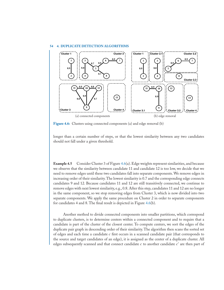<span id="page-63-0"></span>

**Figure 4.6:** Clusters using connected components (a) and edge removal (b)

longer than a certain number of steps, or that the lowest similarity between any two candidates should not fall under a given threshold.

**Example 4.5** Consider Cluster 3 of Figure 4.6(a). Edge weights represent similarities, and because we observe that the similarity between candidate 11 and candidate 12 is too low, we decide that we need to remove edges until these two candidates fall into separate components. We remove edges in increasing order of their similarity. The lowest similarity is 0.7 and the corresponding edge connects candidates 9 and 12. Because candidates 11 and 12 are still transitively connected, we continue to remove edges with next lowest similarity, e.g., 0.8. After this step, candidates 11 and 12 are no longer in the same component, so we stop removing edges from Cluster 3, which is now divided into two separate components. We apply the same procedure on Cluster 2 in order to separate components for candidates 4 and 8. The final result is depicted in Figure 4.6(b).

Another method to divide connected components into smaller partitions, which correspond to duplicate clusters, is to determine centers within a connected component and to require that a candidate is part of the cluster of the closest center. To compute centers, we sort the edges of the duplicate pair graph in descending order of their similarity. The algorithm then scans the sorted set of edges and each time a candidate *c* first occurs in a scanned candidate pair (that corresponds to the source and target candidates of an edge), it is assigned as the center of a duplicate cluster. All edges subsequently scanned and that connect candidate  $c$  to another candidate  $c'$  are then part of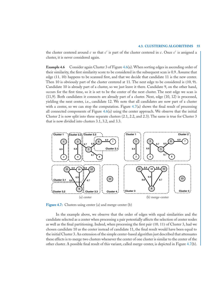#### **4.3. CLUSTERING ALGORITHMS 55**

the cluster centered around  $c$  so that  $c'$  is part of the cluster centered in  $c$ . Once  $c'$  is assigned a cluster, it is never considered again.

**Example 4.6** Consider again Cluster 3 of Figure [4.6\(](#page-63-0)a). When sorting edges in ascending order of their similarity, the first similarity score to be considered in the subsequent scan is 0.9. Assume that edge *(*11*,* 10*)* happens to be scanned first, and that we decide that candidate 11 is the new center. Then 10 is obviously part of the cluster centered at 11. The next edge to be considered is *(*10*,* 9*)*. Candidate 10 is already part of a cluster, so we just leave it there. Candidate 9, on the other hand, occurs for the first time, so it is set to be the center of the next cluster. The next edge we scan is (11,9). Both candidates it connects are already part of a cluster. Next, edge (10, 12) is processed, yielding the next center, i.e., candidate 12. We note that all candidates are now part of a cluster with a center, so we can stop the computation. Figure  $4.7(a)$  shows the final result of processing all connected components of Figure [4.6\(](#page-63-0)a) using the center approach. We observe that the initial Cluster 2 is now split into three separate clusters (2.1, 2.2, and 2.3). The same is true for Cluster 3 that is now divided into clusters 3.1, 3.2, and 3.3.



**Figure 4.7:** Clusters using center (a) and merge-center (b)

In the example above, we observe that the order of edges with equal similarities and the candidate selected as a center when processing a pair potentially affects the selection of center nodes as well as the final partitioning. Indeed, when processing the first pair *(*10*,* 11*)* of Cluster 3, had we chosen candidate 10 as the center instead of candidate 11, the final result would have been equal to the initial Cluster 3. An extension of the simple center-based algorithm just described that attenuates these effects is to merge two clusters whenever the center of one cluster is similar to the center of the other cluster. A possible final result of this variant, called merge-center, is depicted in Figure 4.7(b).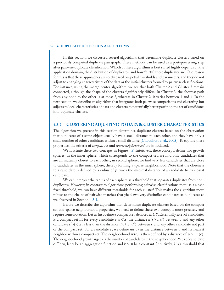In this section, we discussed several algorithms that determine duplicate clusters based on a previously computed duplicate pair graph. These methods can be used as a post-processing step after pairwise duplicate classification.Which of these algorithms is best suited highly depends on the application domain, the distribution of duplicates, and how "dirty" these duplicates are. One reason for this is that these approaches are solely based on global thresholds and parameters, and they do not adjust to changing characteristics of the data or the initial clusters formed by pairwise classifications. For instance, using the merge-center algorithm, we see that both Cluster 2 and Cluster 3 remain connected, although the shape of the clusters significantly differs: In Cluster 3, the shortest path from any node to the other is at most 2, whereas in Cluster 2, it varies between 1 and 4. In the next section, we describe an algorithm that integrates both pairwise comparisons and clustering but adjusts to local characteristics of data and clusters to potentially better partition the set of candidates into duplicate clusters.

#### **4.3.2 CLUSTERING ADJUSTING TO DATA & CLUSTER CHARACTERISTICS**

The algorithm we present in this section determines duplicate clusters based on the observation that duplicates of a same object usually have a small distance to each other, and they have only a small number of other candidates within a small distance [\[Chaudhuri et al.](#page-81-0), [2005\]](#page-81-0). To capture these properties, the criteria of *compact set* and *sparse neighborhood* are introduced.

We illustrate these two concepts in Figure [4.8.](#page-66-0) Intuitively, these concepts define two growth spheres: in the inner sphere, which corresponds to the compact set, we find only candidates that are all mutually closest to each other; in second sphere, we find very few candidates that are close to candidates in the inner sphere, thereby forming a sparse neighborhood. Note that the closeness to a candidate is defined by a radius of *p* times the minimal distance of a candidate to its closest candidate.

We can interpret the radius of each sphere as a threshold that separates duplicates from nonduplicates. However, in contrast to algorithms performing pairwise classifications that use a single fixed threshold, we can have different thresholds for each cluster! This makes the algorithm more robust to the chains of pairwise matches that yield two very dissimilar candidates as duplicates as we observed in Section [4.3.1.](#page-61-0)

Before we describe the algorithm that determines duplicate clusters based on the compact set and sparse neighborhood properties, we need to define these two concepts more precisely and require some notation. Let us first define a compact set, denoted as*CS*. Essentially, a set of candidates is a compact set iff for every candidate  $c \in CS$ , the distance  $dist(c, c')$  between  $c$  and any other candidate  $c' \in CS$  is less than the distance *dist* (*c, c<sup>''</sup>*) between *c* and any other candidate not part of the compact set. For a candidate *c*, we define *nn(c)* as the distance between *c* and its nearest neighbor within a compact set. The neighborhood  $N(c)$  is then defined by a distance of  $p \times nn(c)$ . The neighborhood growth  $ng(c)$  is the number of candidates in the neighborhood  $N(c)$  of candidate *c*. Then, let  $\alpha$  be an aggregation function and  $k > 0$  be a constant. Intuitively, k is a threshold that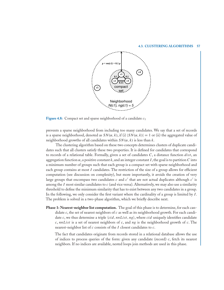#### **4.3. CLUSTERING ALGORITHMS 57**

<span id="page-66-0"></span>

**Figure 4.8:** Compact set and sparse neighborhood of a candidate *c*<sup>1</sup>

prevents a sparse neighborhood from including too many candidates. We say that a set of records is a sparse neighborhood, denoted as  $SN(\alpha, k)$ , if (i)  $|SN(\alpha, k)| = 1$  or (ii) the aggregated value of neighborhood growths of all candidates within *SN (α, k)* is less than *k*.

The clustering algorithm based on these two concepts determines clusters of duplicate candidates such that all clusters satisfy these two properties. It is defined for candidates that correspond to records of a relational table. Formally, given a set of candidates *C*, a distance function *dist*, an aggregation function *α*, a positive constant *k*, and an integer constant *I* , the goal is to partition *C* into a minimum number of groups such that each group is a compact set with sparse neighborhood and each group contains at most *I* candidates. The restriction of the size of a group allows for efficient computation (see discussion on complexity), but more importantly, it avoids the creation of very large groups that encompass two candidates *c* and *c* that are not actual duplicates although *c* is among the *I* most similar candidates to *c* (and vice versa). Alternatively, we may also use a similarity threshold to define the minimum similarity that has to exist between any two candidates in a group. In the following, we only consider the first variant where the cardinality of a group is limited by *I* . The problem is solved in a two-phase algorithm, which we briefly describe next.

**Phase 1: Nearest-neighbor list computation.** The goal of this phase is to determine, for each candidate *c*, the set of nearest neighbors of *c* as well as its neighborhood growth. For each candidate *c*, we thus determine a triple *cid, nnList , ng*, where *cid* uniquely identifies candidate *c*, *nnList* is a set of nearest neighbors of *c*, and *ng* is the neighborhood growth of *c*. The nearest-neighbor list of *c* consists of the *I* closest candidates to *c*.

The fact that candidates originate from records stored in a relational database allows the use of indices to process queries of the form: given any candidate (record) *c*, fetch its nearest neighbors. If no indices are available, nested loops join methods are used in this phase.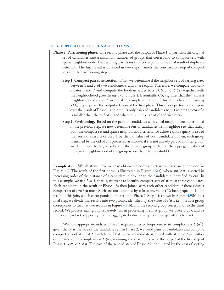- **Phase 2: Partitioning phase.** The second phase uses the output of Phase 1 to partition the original set of candidates into a minimum number of groups that correspond to compact sets with sparse neighborhoods. The resulting partitions thus correspond to the final result of duplicate detection. The final result is obtained in two steps, namely the construction step of compact sets and the partitioning step.
	- **Step 1: Compact pair construction.** First, we determine if the neighbor sets of varying sizes between 1 and *I* of two candidates *c* and *c'* are equal. Therefore, we compare two candidates *c* and *c'* and compute the boolean values  $\langle CS_1, CS_2, \ldots, CS_I \rangle$  together with the neighborhood growths  $ng(c)$  and  $ng(c')$ . Essentially,  $CS_i$  signifies that the *i* closest neighbor sets of  $c$  and  $c'$  are equal. The implementation of this step is based on issuing a SQL query over the output relation of the first phase. This query performs a self-join over the result of Phase 1 and outputs only pairs of candidates *(c, c )* where the *cid* of *c* is smaller than the *cid* of  $c'$  and where  $c$  is in *nnList* of  $c'$  and vice versa.
	- **Step 2: Partitioning.** Based on the pairs of candidates with equal neighbor sets determined in the previous step, we now determine sets of candidates with neighbor sets that satisfy both the compact set and sparse neighborhood criteria. To achieve this, a query is issued that sorts the results of Step 1 by the cid values of both candidates. Then, each group identified by the cid of *c* is processed as follows: if *c* is not already part of another group, we determine the largest subset of the current group such that the aggregate values of the sparse neighborhood of the group is less than the threshold *k*.

**Example 4.7** We illustrate how we may obtain the compact set with sparse neighborhood in Figure [4.9.](#page-68-0) The result of the first phase is illustrated in Figure [4.9\(](#page-68-0)a), where *nnList* is sorted in increasing order of the distance of a candidate in *nnList* to the candidate *c* identified by *cid*. In this example, we use  $I = 4$ , that is, we want to identify compact sets of at most three candidates. Each candidate in the result of Phase 1 is then joined with each other candidate if there exists a compact set of size 3 at most. Such sets are identified by at least one value *CSi* being equal to 1. The result of this join, which corresponds to the result of Phase 2, Step 1 is shown in Figure [4.9\(](#page-68-0)b). In a final step, we divide this results into two groups, identified by the value of *cid*1, i.e., the first group corresponds to the first two records in Figure [4.9\(](#page-68-0)b), and the second group corresponds to the third record. We process each group separately: when processing the first group, we place *c*1, *c*2, and *c*<sup>3</sup> into a compact set, supposing that the aggregated value of neighborhood growths is below *k*.

Without appropriate indices, Phase 1 requires a nested loops join, so its complexity is  $O(n^2)$ , given that *n* is the size of the candidate set. In Phase 2, we build pairs of candidates and compute compact sets of at most *I* candidates. That is, every candidate is joined with at most *I* − 1 other candidates, so the complexity is  $O(n)$ , assuming  $I \ll n$ . The size of the output of the first step of Phase 1 is  $N < I \times n$ . The cost of the second step of Phase 2 is dominated by the cost of sorting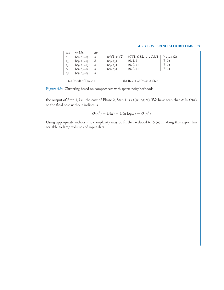#### **4.3. CLUSTERING ALGORITHMS 59**

<span id="page-68-0"></span>

| cid            | nnList              | ng |              |                             |            |
|----------------|---------------------|----|--------------|-----------------------------|------------|
| c <sub>1</sub> | $\{c_1, c_2, c_3\}$ |    | (cid1, cid2) | $\{CS1, CS2, \ldots, CSI\}$ | (ng1, ng2) |
| $c_2$          | $\{c_2, c_1, c_3\}$ |    | $(c_1, c_2)$ | $\{0, 1, 1\}$               | (3, 3)     |
| $c_3$          | $\{c_3, c_1, c_2\}$ |    | $(c_1, c_3)$ | $\{0, 0, 1\}$               | (3, 3)     |
| $c_4$          | $\{c_4, c_3, c_1\}$ |    | $(c_2, c_3)$ | $\{0, 0, 1\}$               | (3, 3)     |
| $c_5$          | $\{c_5, c_2, c_1\}$ |    |              |                             |            |

(a) Result of Phase 1 (b) Result of Phase 2, Step 1

Figure 4.9: Clustering based on compact sets with sparse neighborhoods

the output of Step 1, i.e., the cost of Phase 2, Step 1 is  $O(N \log N)$ . We have seen that *N* is  $O(n)$ so the final cost without indices is

$$
O(n^2) + O(n) + O(n \log n) = O(n^2)
$$

Using appropriate indices, the complexity may be further reduced to  $O(n)$ , making this algorithm scalable to large volumes of input data.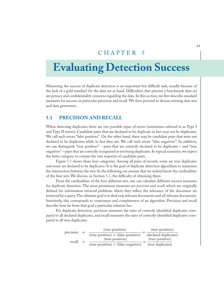## CHAPTER 5

# <span id="page-70-0"></span>**Evaluating Detection Success**

Measuring the success of duplicate detection is an important but difficult task, usually because of the lack of a gold standard for the data set at hand. Difficulties that prevent a benchmark data set are privacy and confidentiality concerns regarding the data. In this section, we first describe standard measures for success, in particular precision and recall. We then proceed to discuss existing data sets and data generators.

## **5.1 PRECISION AND RECALL**

When detecting duplicates there are two possible types of errors (sometimes referred to as Type I and Type II errors): Candidate pairs that are declared to be duplicate in fact may not be duplicates. We call such errors "false positives". On the other hand, there may be candidate pairs that were not declared to be duplicates while in fact they are. We call such errors "false negatives". In addition, we can distinguish "true positives" – pairs that are correctly declared to be duplicates – and "true negatives" – pairs that are correctly recognized as not being duplicates. In typical scenarios, we expect the latter category to contain the vast majority of candidate pairs.

Figure [5.1](#page-71-0) shows these four categories. Among all pairs of records, some are true duplicates and some are declared to be duplicates. It is the goal of duplicate detection algorithms to maximize the intersection between the two. In the following, we assume that we indeed know the cardinalities of the four sets. We discuss, in Section [5.2,](#page-74-0) the difficulty of obtaining them.

From the cardinalities of the four different sets, one can calculate different success measures for duplicate detection. The most prominent measures are *precision* and *recall*, which are originally defined for information retrieval problems where they reflect the relevance of the document set retrieved by a query.The ultimate goal is to find *only* relevant documents and *all* relevant documents. Intuitively, this corresponds to correctness and completeness of an algorithm. Precision and recall describe how far from that goal a particular solution lies.

For duplicate detection, precision measures the ratio of correctly identified duplicates compared to all declared duplicates, and recall measures the ratio of correctly identified duplicates compared to all true duplicates:

|           | true-positives                                       | true-positives      |
|-----------|------------------------------------------------------|---------------------|
| precision | $ true\text{-}positives  +  false\text{-}positives $ | declared duplicates |
| recall    | true-positives                                       | true-positives      |
|           | $ true\text{-}positives  +  false\text{-}negatives $ | true duplicates     |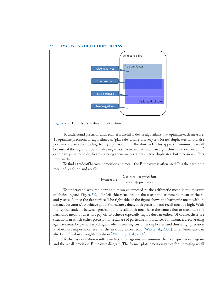

#### <span id="page-71-0"></span>**62 5. EVALUATING DETECTION SUCCESS**



To understand precision and recall,it is useful to devise algorithms that optimize each measure. To optimize precision, an algorithm can "play safe" and return very few (or no) duplicates.Thus, false positives are avoided leading to high precision. On the downside, this approach minimizes recall because of the high number of false negatives. To maximize recall, an algorithm could declare all *n*<sup>2</sup> candidate pairs to be duplicates; among them are certainly all true duplicates, but precision suffers immensely.

To find a tradeoff between precision and recall, the F-measure is often used. It is the harmonic mean of precision and recall:

$$
F-measure = \frac{2 \times recall \times precision}{recall + precision}
$$

To understand why the harmonic mean as opposed to the arithmetic mean is the measure of choice, regard Figure [5.2.](#page-72-0) The left side visualizes on the z-axis the arithmetic mean of the xand y-axes. Notice the flat surface. The right side of the figure shows the harmonic mean with its distinct curvature. To achieve good F-measure values, both precision and recall must be high. With the typical tradeoff between precision and recall, both must have the same value to maximize the harmonic mean; it does not pay off to achieve especially high values in either. Of course, there are situations in which either precision or recall are of particular importance. For instance, credit-rating agencies must be particularly diligent when detecting customer duplicates, and thus a high precision is of utmost importance, even at the risk of a lower recall [\[Weis et al.,](#page-84-0) [2008](#page-84-0)]. The F-measure can also be defined in a weighted fashion [\[Manning et al.,](#page-83-0) [2008](#page-83-0)].

To display evaluation results, two types of diagrams are common: the recall-precision diagram and the recall-precision-F-measure diagram. The former plots precision values for increasing recall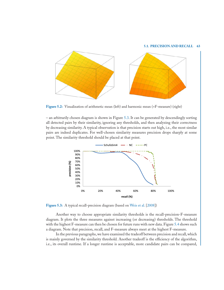### **5.1. PRECISION AND RECALL 63**

<span id="page-72-0"></span>

Figure 5.2: Visualization of arithmetic mean (left) and harmonic mean (=F-measure) (right)

– an arbitrarily chosen diagram is shown in Figure 5.3. It can be generated by descendingly sorting all detected pairs by their similarity, ignoring any thresholds, and then analyzing their correctness by decreasing similarity. A typical observation is that precision starts out high, i.e., the most similar pairs are indeed duplicates. For well-chosen similarity measures precision drops sharply at some point. The similarity threshold should be placed at that point.



**Figure 5.3:** A typical recall-precision diagram (based on [Weis et al.](#page-84-0) [\[2008](#page-84-0)])

Another way to choose appropriate similarity thresholds is the recall-precision-F-measure diagram. It plots the three measures against increasing (or decreasing) thresholds. The threshold with the highest F-measure can then be chosen for future runs with new data. Figure [5.4](#page-73-0) shows such a diagram. Note that precision, recall, and F-measure always meet at the highest F-measure.

In the previous paragraphs, we have examined the tradeoff between precision and recall, which is mainly governed by the similarity threshold. Another tradeoff is the efficiency of the algorithm, i.e., its overall runtime. If a longer runtime is acceptable, more candidate pairs can be compared,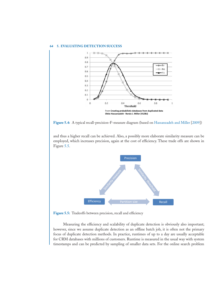### <span id="page-73-0"></span>**64 5. EVALUATING DETECTION SUCCESS**



**Figure 5.4:** A typical recall-precision-F-measure diagram (based on [Hassanzadeh and Miller](#page-82-0) [\[2009](#page-82-0)])

and thus a higher recall can be achieved. Also, a possibly more elaborate similarity measure can be employed, which increases precision, again at the cost of efficiency. These trade offs are shown in Figure 5.5.



Figure 5.5: Tradeoffs between precision, recall and efficiency

Measuring the efficiency and scalability of duplicate detection is obviously also important; however, since we assume duplicate detection as an offline batch job, it is often not the primary focus of duplicate detection methods. In practice, runtimes of up to a day are usually acceptable for CRM databases with millions of customers. Runtime is measured in the usual way with system timestamps and can be predicted by sampling of smaller data sets. For the online search problem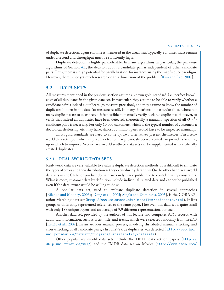### **5.2. DATA SETS 65**

<span id="page-74-0"></span>of duplicate detection, again runtime is measured in the usual way. Typically, runtimes must remain under a second and throughput must be sufficiently high.

Duplicate detection is highly parallelizable. In many algorithms, in particular, the pair-wise algorithms of Section [4.1,](#page-52-0) the decision about a candidate pair is independent of other candidate pairs.Thus, there is a high potential for parallelization, for instance, using the map/reduce paradigm. However, there is not yet much research on this dimension of the problem [\[Kim and Lee,](#page-82-0) [2007](#page-82-0)].

## **5.2 DATA SETS**

All measures mentioned in the previous section assume a known gold-standard, i.e., perfect knowledge of all duplicates in the given data set. In particular, they assume to be able to verify whether a candidate pair is indeed a duplicate (to measure precision), and they assume to know the number of duplicates hidden in the data (to measure recall). In many situations, in particular those where not many duplicates are to be expected, it is possible to manually verify declared duplicates. However, to verify that indeed all duplicates have been detected, theoretically, a manual inspection of all  $O(n^2)$ candidate pairs is necessary. For only 10,000 customers, which is the typical number of customers a doctor, car dealership, etc. may have, almost 50 million pairs would have to be inspected manually.

Thus, gold standards are hard to come by. Two alternatives present themselves. First, realworld data sets upon which duplicate detection has previously been executed can provide a baseline, upon which to improve. Second, real-world synthetic data sets can be supplemented with artificially created duplicates.

## **5.2.1 REAL-WORLD DATA SETS**

Real-world data are very valuable to evaluate duplicate detection methods. It is difficult to simulate the types of errors and their distribution as they occur during data entry.On the other hand,real-world data sets in the CRM or product domain are rarely made public due to confidentiality constraints. What is more, customer data by definition include individual-related data and cannot be published even if the data owner would be willing to do so.

A popular data set, used to evaluate duplicate detection in several approaches [\[Bilenko and Mooney](#page-80-0), [2003a](#page-80-0); [Dong et al.,](#page-81-0) [2005;](#page-81-0) [Singla and Domingos](#page-84-0), [2005\]](#page-84-0), is the CORA Citation Matching data set ([http://www.cs.umass.edu/˜mccallum/code-data.html](http://www.cs.umass.edu/~mccallum/code-data.html)). It lists groups of differently represented references to the same paper. However, this data set is quite small with only 189 unique papers and an average of 9.9 different representations for each.

Another data set, provided by the authors of this lecture and comprises 9,763 records with audio CD information, such as artist, title, and tracks, which were selected randomly from freeDB [\[Leitão et al.](#page-82-0), [2007\]](#page-82-0). In an arduous manual process, involving distributed manual checking and cross-checking of all candidate pairs, a list of 298 true duplicates was detected ( [http://www.hpi.](http://www.hpi.uni-potsdam.de/ naumann/projekte/repeatability/datasets) [uni-potsdam.de/naumann/projekte/repeatability/datasets](http://www.hpi.uni-potsdam.de/ naumann/projekte/repeatability/datasets)).

Other popular real-world data sets include the DBLP data set on papers ([http://](http://dblp.uni-trier.de/xml/) [dblp.uni-trier.de/xml/](http://dblp.uni-trier.de/xml/)) and the IMDB data set on Movies (http://www.imdb.com/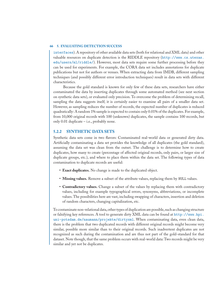### **66 5. EVALUATING DETECTION SUCCESS**

[interfaces](http://www.imdb.com/interfaces)). A repository of other available data sets (both for relational and XML data) and other valuable resources on duplicate detection is the RIDDLE repository ([http://www.cs.utexas.](http://www.cs.utexas.edu/users/ml/riddle/) [edu/users/ml/riddle/](http://www.cs.utexas.edu/users/ml/riddle/)). However, most data sets require some further processing before they can be used for experiments. For example, the CORA data set includes annotations for duplicate publications but not for authors or venues. When extracting data from IMDB, different sampling techniques (and possibly different error introduction techniques) result in data sets with different characteristics.

Because the gold standard is known for only few of these data sets, researchers have either contaminated the data by inserting duplicates through some automated method (see next section on synthetic data sets), or evaluated only precision. To overcome the problem of determining recall, sampling the data suggests itself; it is certainly easier to examine all pairs of a smaller data set. However, as sampling reduces the number of records, the expected number of duplicates is reduced quadratically: A random 1% sample is expected to contain only 0.01% of the duplicates. For example, from 10,000 original records with 100 (unknown) duplicates, the sample contains 100 records, but only 0.01 duplicate – i.e., probably none.

### **5.2.2 SYNTHETIC DATA SETS**

Synthetic data sets come in two flavors: Contaminated real-world data or generated dirty data. Artificially contaminating a data set provides the knowledge of all duplicates (the gold standard), assuming the data set was clean from the outset. The challenge is to determine how to create duplicates, how many to create (percentage of affected original records, only pairs, or larger size of duplicate groups, etc.), and where to place them within the data set. The following types of data contamination to duplicate records are useful:

- **Exact duplicates.** No change is made to the duplicated object.
- **Missing values.** Remove a subset of the attribute values, replacing them by NULL values.
- **Contradictory values.** Change a subset of the values by replacing them with contradictory values, including for example typographical errors, synonyms, abbreviations, or incomplete values. The possibilities here are vast, including swapping of characters, insertion and deletion of random characters, changing capitalization, etc.

To contaminate non-relational data, other types of duplication are possible, such as changing structure or falsifying key references. A tool to generate dirty XML data can be found at [http://www.hpi.](http://www.hpi.uni-potsdam.de/naumann/projekte/dirtyxml) [uni-potsdam.de/naumann/projekte/dirtyxml](http://www.hpi.uni-potsdam.de/naumann/projekte/dirtyxml). When contaminating data, even clean data, there is the problem that two duplicated records with different original records might become very similar, possible more similar than to their original records. Such inadvertent duplicates are not recognized as such during the contamination and are thus not part of the gold-standard for that dataset. Note though, that the same problem occurs with real-world data:Two records might be very similar and yet not be duplicates.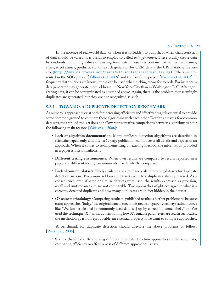### **5.2. DATA SETS 67**

<span id="page-76-0"></span>In the absence of real-world data, or when it is forbidden to publish, or when characteristics of data should be varied, it is useful to employ so called *data generators*. These usually create data by randomly combining values of existing term lists. These lists contain first names, last names, cities, street names, products, etc. One such generator for CRM data is the UIS Database Generator (<http://www.cs.utexas.edu/users/ml/riddle/data/dbgen.tar.gz>). Others are presented in the SOG project [\[Talburt et al.](#page-84-0), [2009\]](#page-84-0) and the ToxGene project [\[Barbosa et al.,](#page-80-0) [2002](#page-80-0)]. If frequency distributions are known, these can be used when picking terms for records. For instance, a data generator may generate more addresses in New York City than in Washington D.C. After generating data, it can be contaminated as described above. Again, there is the problem that seemingly duplicates are generated, but they are not recognized as such.

### **5.2.3 TOWARDS A DUPLICATE DETECTION BENCHMARK**

As numerous approaches exist both for increasing efficiency and effectiveness,it is essential to provide some common ground to compare these algorithms with each other. Despite at least a few common data sets, the state-of-the-art does not allow representative comparisons between algorithms yet, for the following main reasons [\[Weis et al.](#page-84-0), [2006](#page-84-0)]:

- **Lack of algorithm documentation.** Many duplicate detection algorithms are described in scientific papers only, and often a 12 page publication cannot cover all details and aspects of an approach. When it comes to re-implementing an existing method, the information provided in a paper is often insufficient.
- **Different testing environments.** When own results are compared to results reported in a paper, the different testing environments may falsify the comparison.
- **Lack of common dataset.**Freely available and simultaneously interesting datasets for duplicate detection are rare. Even more seldom are datasets with true duplicates already marked. As a consequence, even if same or similar datasets were used, the results expressed as precision, recall and runtime measure are not comparable: Two approaches might not agree in what is a correctly detected duplicate and how many duplicates are in fact hidden in the dataset.
- **Obscure methodology.** Comparing results to published results is further problematic because many approaches "fudge" the original data to meet their needs. In papers, we may read sentences like "We further cleaned [a commonly used data set] up by correcting some labels," or "We used the technique  $[X]$ " without mentioning how X's tunable parameters are set. In such cases, the methodology is not reproducible, an essential property if we want to compare approaches.

A benchmark for duplicate detection should alleviate the above problems as follows [\[Weis et al.,](#page-84-0) [2006\]](#page-84-0):

• **Standardized data.** By applying different duplicate detection approaches on the same data, comparing efficiency or effectiveness of different approaches is easy.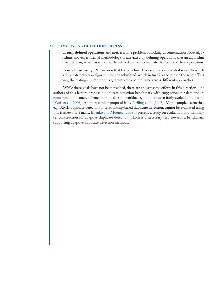### <span id="page-77-0"></span>**68 5. EVALUATING DETECTION SUCCESS**

- **Clearly defined operations and metrics.** The problem of lacking documentation about algorithms and experimental methodology is alleviated by defining operations that an algorithm may perform, as well as some clearly defined metrics to evaluate the results of these operations.
- **Central processing.** We envision that the benchmark is executed on a central server to which a duplicate detection algorithm can be submitted, which in turn is executed on the server.This way, the testing environment is guaranteed to be the same across different approaches.

While these goals have not been reached, there are at least some efforts in this direction. The authors of this lecture propose a duplicate detection benchmark with suggestions for data and its contamination, concrete benchmark tasks (the workload), and metrics to fairly evaluate the results [\[Weis et al.,](#page-84-0) [2006](#page-84-0)]. Another, similar proposal is by [Neiling et al.](#page-83-0) [\[2003](#page-83-0)]. More complex scenarios, e.g., XML duplicate detection or relationship-based duplicate detection, cannot be evaluated using this framework. Finally, [Bilenko and Mooney](#page-80-0) [\[2003b](#page-80-0)] present a study on evaluation and trainingset construction for adaptive duplicate detection, which is a necessary step towards a benchmark supporting adaptive duplicate detection methods.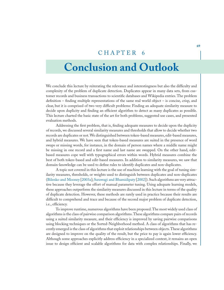# CHAPTER 6

# <span id="page-78-0"></span>**Conclusion and Outlook**

We conclude this lecture by reiterating the relevance and interestingness but also the difficulty and complexity of the problem of duplicate detection. Duplicates appear in many data sets, from customer records and business transactions to scientific databases and Wikipedia entries. The problem definition – finding multiple representations of the same real world object – is concise, crisp, and clear, but it is comprised of two very difficult problems: Finding an adequate similarity measure to decide upon duplicity and finding an efficient algorithm to detect as many duplicates as possible. This lecture charted the basic state of the art for both problems, suggested use cases, and presented evaluation methods.

Addressing the first problem, that is, finding adequate measures to decide upon the duplicity of records, we discussed several similarity measures and thresholds that allow to decide whether two records are duplicates or not. We distinguished between token-based measures, edit-based measures, and hybrid measures. We have seen that token-based measures are suited in the presence of word swaps or missing words, for instance, in the domain of person names where a middle name might be missing in one record and a first name and last name are swapped. On the other hand, editbased measures cope well with typographical errors within words. Hybrid measures combine the best of both token-based and edit-based measures. In addition to similarity measures, we saw that domain-knowledge can be used to define rules to identify duplicates and non-duplicates.

A topic not covered in this lecture is the use of machine learning with the goal of tuning similarity measures, thresholds, or weights used to distinguish between duplicates and non-duplicates [\(Bilenko and Mooney](#page-80-0) [\[2003a\]](#page-80-0); [Sarawagi and Bhamidipaty](#page-83-0) [\[2002](#page-83-0)]). Such algorithms are very attractive because they leverage the effort of manual parameter tuning. Using adequate learning models, these approaches outperform the similarity measures discussed in this lecture in terms of the quality of duplicate detection. However, these methods are rarely used in practice because their results are difficult to comprehend and trace and because of the second major problem of duplicate detection, i.e., efficiency.

To improve runtime, numerous algorithms have been proposed.The most widely used class of algorithms is the class of pairwise comparison algorithms.These algorithms compare pairs of records using a suited similarity measure, and their efficiency is improved by saving pairwise comparisons using blocking techniques or the Sorted-Neighborhood method. A class of algorithms that has recently emerged is the class of algorithms that exploit relationships between objects.These algorithms are designed to improve on the quality of the result, but the price to pay is again lower efficiency. Although some approaches explicitly address efficiency in a specialized context, it remains an open issue to design efficient and scalable algorithms for data with complex relationships. Finally, we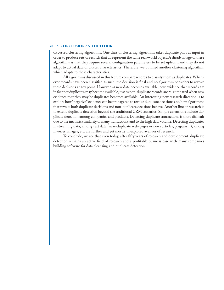discussed clustering algorithms. One class of clustering algorithms takes duplicate pairs as input in order to produce sets of records that all represent the same real-world object. A disadvantage of these algorithms is that they require several configuration parameters to be set upfront, and they do not adapt to actual data or cluster characteristics. Therefore, we outlined another clustering algorithm, which adapts to these characteristics.

All algorithms discussed in this lecture compare records to classify them as duplicates. Whenever records have been classified as such, the decision is final and no algorithm considers to revoke these decisions at any point. However, as new data becomes available, new evidence that records are in fact not duplicates may become available, just as non-duplicate records are re-compared when new evidence that they may be duplicates becomes available. An interesting new research direction is to explore how "negative" evidence can be propagated to revoke duplicate decisions and how algorithms that revoke both duplicate decisions and non-duplicate decisions behave. Another line of research is to extend duplicate detection beyond the traditional CRM scenarios. Simple extensions include duplicate detection among companies and products. Detecting duplicate transactions is more difficult due to the intrinsic similarity of many transactions and to the high data volume. Detecting duplicates in streaming data, among text data (near-duplicate web-pages or news articles, plagiarism), among invoices, images, etc. are further and yet mostly unexplored avenues of research.

To conclude, we see that even today, after fifty years of research and development, duplicate detection remains an active field of research and a profitable business case with many companies building software for data cleansing and duplicate detection.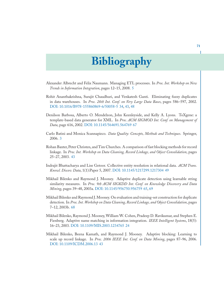# **Bibliography**

- <span id="page-80-0"></span>Alexander Albrecht and Felix Naumann. Managing ETL processes. In *Proc. Int. Workshop on New Trends in Information Integration*, pages 12–15, 2008. [5](#page-14-0)
- Rohit Ananthakrishna, Surajit Chaudhuri, and Venkatesh Ganti. Eliminating fuzzy duplicates in data warehouses. In *Proc. 28th Int. Conf. on Very Large Data Bases*, pages 586–597, 2002. [DOI: 10.1016/B978-155860869-6/50058-5](http://dx.doi.org/10.1016/B978-155860869-6/50058-5) [34,](#page-43-0) [43,](#page-52-0) [48](#page-57-0)
- Denilson Barbosa, Alberto O. Mendelzon, John Keenleyside, and Kelly A. Lyons. ToXgene: a template-based data generator for XML. In *Proc. ACM SIGMOD Int. Conf. on Management of Data*, page 616, 2002. [DOI: 10.1145/564691.564769](http://dx.doi.org/10.1145/564691.564769) [67](#page-76-0)
- Carlo Batini and Monica Scannapieco. *Data Quality: Concepts, Methods and Techniques*. Springer, 2006. [3](#page-12-0)
- Rohan Baxter, Peter Christen, and Tim Churches. A comparison of fast blocking methods for record linkage. In *Proc. Int. Workshop on Data Cleaning, Record Linkage, and Object Consolidation*, pages 25–27, 2003. [43](#page-52-0)
- Indrajit Bhattacharya and Lise Getoor. Collective entity resolution in relational data. *ACM Trans. Knowl. Discov. Data*, 1(1):Paper 5, 2007. [DOI: 10.1145/1217299.1217304](http://dx.doi.org/10.1145/1217299.1217304) [49](#page-58-0)
- Mikhail Bilenko and Raymond J. Mooney. Adaptive duplicate detection using learnable string similarity measures. In *Proc. 9th ACM SIGKDD Int. Conf. on Knowledge Discovery and Data Mining*, pages 39–48, 2003a. [DOI: 10.1145/956750.956759](http://dx.doi.org/10.1145/956750.956759) [65,](#page-74-0) [69](#page-78-0)
- Mikhail Bilenko and Raymond J. Mooney. On evaluation and training-set construction for duplicate detection. In *Proc. Int. Workshop on Data Cleaning, Record Linkage, and Object Consolidation*, pages 7–12, 2003b. [68](#page-77-0)
- Mikhail Bilenko, Raymond J. Mooney, William W. Cohen, Pradeep D. Ravikumar, and Stephen E. Fienberg. Adaptive name matching in information integration. *IEEE Intelligent Systems*, 18(5): 16–23, 2003. [DOI: 10.1109/MIS.2003.1234765](http://dx.doi.org/10.1109/MIS.2003.1234765) [24](#page-33-0)
- Mikhail Bilenko, Beena Kamath, and Raymond J. Mooney. Adaptive blocking: Learning to scale up record linkage. In *Proc. 2006 IEEE Int. Conf. on Data Mining*, pages 87–96, 2006. [DOI: 10.1109/ICDM.2006.13](http://dx.doi.org/10.1109/ICDM.2006.13) [43](#page-52-0)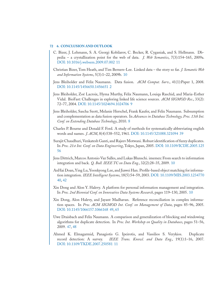- <span id="page-81-0"></span>C. Bizer, J. Lehmann, S. A. Georgi Kobilarov, C. Becker, R. Cyganiak, and S. Hellmann. Dbpedia – a crystallization point for the web of data. *J. Web Semantics*, 7(3):154–165, 2009a. [DOI: 10.1016/j.websem.2009.07.002](http://dx.doi.org/10.1016/j.websem.2009.07.002) [11](#page-20-0)
- Christian Bizer, Tom Heath, and Tim Berners-Lee. Linked data the story so far. *J. Semantic Web and Information Systems*, 5(3):1–22, 2009b. [10](#page-19-0)
- Jens Bleiholder and Felix Naumann. Data fusion. *ACM Comput. Surv.*, 41(1):Paper 1, 2008. [DOI: 10.1145/1456650.1456651](http://dx.doi.org/10.1145/1456650.1456651) [2](#page-11-0)
- Jens Bleiholder, Zoé Lacroix, Hyma Murthy, Felix Naumann, Louiqa Raschid, and Maria-Esther Vidal. BioFast: Challenges in exploring linked life science sources. *ACM SIGMOD Rec.*, 33(2): 72–77, 2004. [DOI: 10.1145/1024694.1024706](http://dx.doi.org/10.1145/1024694.1024706) [9](#page-18-0)
- Jens Bleiholder, Sascha Szott, Melanie Herschel, Frank Kaufer, and Felix Naumann. Subsumption and complementation as data fusion operators. In *Advances in Database Technology, Proc. 13th Int. Conf. on Extending Database Technology*, 2010. [8](#page-17-0)
- Charles P. Bourne and Donald F. Ford. A study of methods for systematically abbreviating english words and names. *J. ACM*, 8(4):538–552, 1961. [DOI: 10.1145/321088.321094](http://dx.doi.org/10.1145/321088.321094) [39](#page-48-0)
- Surajit Chaudhuri, Venkatesh Ganti, and Rajeev Motwani. Robust identification of fuzzy duplicates. In *Proc. 21st Int. Conf. on Data Engineering*, Tokyo, Japan, 2005. [DOI: 10.1109/ICDE.2005.125](http://dx.doi.org/10.1109/ICDE.2005.125) [56](#page-65-0)
- Jens Dittrich, Marcos Antonio Vaz Salles, and Lukas Blunschi. imemex: From search to information integration and back. *Q. Bull. IEEE TC on Data Eng.*, 32(2):28–35, 2009. [10](#page-19-0)
- AnHai Doan,Ying Lu,Yoonkyong Lee, and Jiawei Han. Profile-based object matching for information integration. *IEEE Intelligent Systems*, 18(5):54–59, 2003. [DOI: 10.1109/MIS.2003.1234770](http://dx.doi.org/10.1109/MIS.2003.1234770) [40,](#page-49-0) [42](#page-51-0)
- Xin Dong and Alon Y. Halevy. A platform for personal information management and integration. In *Proc. 2nd Biennial Conf. on Innovative Data Systems Research*, pages 119–130, 2005. [10](#page-19-0)
- Xin Dong, Alon Halevy, and Jayant Madhavan. Reference reconciliation in complex information spaces. In *Proc. ACM SIGMOD Int. Conf. on Management of Data*, pages 85–96, 2005. [DOI: 10.1145/1066157.1066168](http://dx.doi.org/10.1145/1066157.1066168) [49,](#page-58-0) [65](#page-74-0)
- Uwe Draisbach and Felix Naumann. A comparison and generalization of blocking and windowing algorithms for duplicate detection. In *Proc. Int. Workshop on Quality in Databases*, pages 51–56, 2009. [47,](#page-56-0) [48](#page-57-0)
- Ahmed K. Elmagarmid, Panagiotis G. Ipeirotis, and Vassilios S. Verykios. Duplicate record detection: A survey. *IEEE Trans. Knowl. and Data Eng.*, 19(1):1–16, 2007. [DOI: 10.1109/TKDE.2007.250581](http://dx.doi.org/10.1109/TKDE.2007.250581) [11](#page-20-0)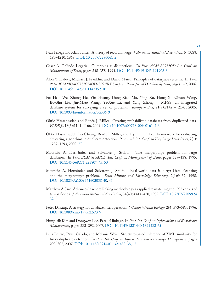- <span id="page-82-0"></span>Ivan Fellegi and Alan Sunter. A theory of record linkage. *J. American Statistical Association*, 64(328): 183–1210, 1969. [DOI: 10.2307/2286061](http://dx.doi.org/10.2307/2286061) [2](#page-11-0)
- César A. Galindo-Legaria. Outerjoins as disjunctions. In *Proc. ACM SIGMOD Int. Conf. on Management of Data*, pages 348–358, 1994. [DOI: 10.1145/191843.191908](http://dx.doi.org/10.1145/191843.191908) [8](#page-17-0)
- Alon Y. Halevy, Michael J. Franklin, and David Maier. Principles of dataspace systems. In *Proc. 25th ACM SIGACT-SIGMOD-SIGART Symp. on Principles of Database Systems*, pages 1–9, 2006. [DOI: 10.1145/1142351.1142352](http://dx.doi.org/10.1145/1142351.1142352) [10](#page-19-0)
- Pei Hao, Wei-Zhong He, Yin Huang, Liang-Xiao Ma, Ying Xu, Hong Xi, Chuan Wang, Bo-Shu Liu, Jin-Miao Wang, Yi-Xue Li, and Yang Zhong. MPSS: an integrated database system for surveying a set of proteins. *Bioinformatics*, 21(9):2142 – 2143, 2005. [DOI: 10.1093/bioinformatics/bti306](http://dx.doi.org/10.1093/bioinformatics/bti306) [9](#page-18-0)
- Oktie Hassanzadeh and Renée J. Miller. Creating probabilistic databases from duplicated data. *VLDB J.*, 18(5):1141–1166, 2009. [DOI: 10.1007/s00778-009-0161-2](http://dx.doi.org/10.1007/s00778-009-0161-2) [64](#page-73-0)
- Oktie Hassanzadeh, Fei Chiang, Renée J. Miller, and Hyun Chul Lee. Framework for evaluating clustering algorithms in duplicate detection. *Proc. 35th Int. Conf. on Very Large Data Bases*, 2(1): 1282–1293, 2009. [53](#page-62-0)
- Mauricio A. Hernández and Salvatore J. Stolfo. The merge/purge problem for large databases. In *Proc. ACM SIGMOD Int. Conf. on Management of Data*, pages 127–138, 1995. [DOI: 10.1145/568271.223807](http://dx.doi.org/10.1145/568271.223807) [45,](#page-54-0) [53](#page-62-0)
- Mauricio A. Hernández and Salvatore J. Stolfo. Real-world data is dirty: Data cleansing and the merge/purge problem. *Data Mining and Knowledge Discovery*, 2(1):9–37, 1998. [DOI: 10.1023/A:1009761603038](http://dx.doi.org/10.1023/A:1009761603038) [40,](#page-49-0) [45](#page-54-0)
- Matthew A. Jaro. Advances in record linking methodology as applied to matching the 1985 census of tampa florida. *J. American Statistical Association*, 84(406):414–420, 1989. [DOI: 10.2307/2289924](http://dx.doi.org/10.2307/2289924) [32](#page-41-0)
- Peter D. Karp. A strategy for database interoperation. *J. Computational Biology*, 2(4):573–583, 1996. [DOI: 10.1089/cmb.1995.2.573](http://dx.doi.org/10.1089/cmb.1995.2.573) [9](#page-18-0)
- Hung-sik Kim and Dongwon Lee. Parallel linkage. In *Proc. Int. Conf. on Information and Knowledge Management*, pages 283–292, 2007. [DOI: 10.1145/1321440.1321482](http://dx.doi.org/10.1145/1321440.1321482) [65](#page-74-0)
- Luís Leitão, Pável Calado, and Melanie Weis. Structure-based inference of XML similarity for fuzzy duplicate detection. In *Proc. Int. Conf. on Information and Knowledge Management*, pages 293–302, 2007. [DOI: 10.1145/1321440.1321483](http://dx.doi.org/10.1145/1321440.1321483) [38,](#page-47-0) [65](#page-74-0)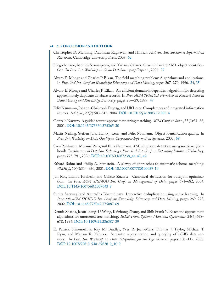- <span id="page-83-0"></span>Christopher D. Manning, Prabhakar Raghavan, and Hinrich Schütze. *Introduction to Information Retrieval*. Cambridge University Press, 2008. [62](#page-71-0)
- Diego Milano, Monica Scannapieco, and Tiziana Catarci. Structure aware XML object identification. In *Proc. Int. Workshop on Clean Databases*, page Paper 1, 2006. [37](#page-46-0)
- Alvaro E. Monge and Charles P. Elkan. The field matching problem: Algorithms and applications. In *Proc. 2nd Int. Conf. on Knowledge Discovery and Data Mining*, pages 267–270, 1996. [24,](#page-33-0) [35](#page-44-0)
- Alvaro E. Monge and Charles P. Elkan. An efficient domain-independent algorithm for detecting approximately duplicate database records. In *Proc. ACM SIGMOD Workshop on Research Issues in Data Mining and Knowledge Discovery*, pages 23—29, 1997. [47](#page-56-0)
- Felix Naumann, Johann-Christoph Freytag, and Ulf Leser. Completeness of integrated information sources. *Inf. Syst.*, 29(7):583–615, 2004. [DOI: 10.1016/j.is.2003.12.005](http://dx.doi.org/10.1016/j.is.2003.12.005) [4](#page-13-0)
- Gonzalo Navarro. A guided tour to approximate string matching. *ACM Comput. Surv.*, 33(1):31–88, 2001. [DOI: 10.1145/375360.375365](http://dx.doi.org/10.1145/375360.375365) [30](#page-39-0)
- Mattis Neiling, Steffen Jurk, Hans-J. Lenz, and Felix Naumann. Object identification quality. In *Proc. Int. Workshop on Data Quality in Cooperative Information Systsems*, 2003. [68](#page-77-0)
- Sven Puhlmann, Melanie Weis, and Felix Naumann. XML duplicate detection using sorted neigborhoods. In *Advances in Database Technology, Proc. 10th Int. Conf. on Extending Database Technology*, pages 773–791, 2006. [DOI: 10.1007/11687238\\_46](http://dx.doi.org/10.1007/11687238_46) [47,](#page-56-0) [49](#page-58-0)
- Erhard Rahm and Philip A. Bernstein. A survey of approaches to automatic schema matching. *VLDB J.*, 10(4):334–350, 2001. [DOI: 10.1007/s007780100057](http://dx.doi.org/10.1007/s007780100057) [10](#page-19-0)
- Jun Rao, Hamid Pirahesh, and Calisto Zuzarte. Canonical abstraction for outerjoin optimization. In *Proc. ACM SIGMOD Int. Conf. on Management of Data*, pages 671–682, 2004. [DOI: 10.1145/1007568.1007643](http://dx.doi.org/10.1145/1007568.1007643) [8](#page-17-0)
- Sunita Sarawagi and Anuradha Bhamidipaty. Interactive deduplication using active learning. In *Proc. 8th ACM SIGKDD Int. Conf. on Knowledge Discovery and Data Mining*, pages 269–278, 2002. [DOI: 10.1145/775047.775087](http://dx.doi.org/10.1145/775047.775087) [69](#page-78-0)
- Dennis Shasha, Jason Tsong-Li Wang, Kaizhong Zhang, and Shih Frank Y. Exact and approximate algorithms for unordered tree matching. *IEEE Trans. Systems, Man, and Cybernetics*, 24(4):668– 678, 1994. [DOI: 10.1109/21.286387](http://dx.doi.org/10.1109/21.286387) [39](#page-48-0)
- E. Patrick Shironoshita, Ray M. Bradley, Yves R. Jean-Mary, Thomas J. Taylor, Michael T. Ryan, and Mansur R. Kabuka. Semantic representation and querying of caBIG data services. In *Proc. Int. Workshop on Data Integration for the Life Sciences*, pages 108–115, 2008. [DOI: 10.1007/978-3-540-69828-9\\_10](http://dx.doi.org/10.1007/978-3-540-69828-9_10) [9](#page-18-0)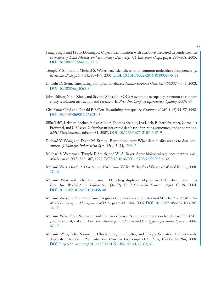- <span id="page-84-0"></span>Parag Singla and Pedro Domingos. Object identification with attribute-mediated dependences. In *Principles of Data Mining and Knowledge Discovery, 9th European Conf.*, pages 297–308, 2005. [DOI: 10.1007/11564126\\_31](http://dx.doi.org/10.1007/11564126_31) [65](#page-74-0)
- Temple F. Smith and Michael S. Waterman. Identification of common molecular subsequences. *J. Molecular Biology*, 147(1):195–197, 2001. [DOI: 10.1016/0022-2836\(81\)90087-5](http://dx.doi.org/10.1016/0022-2836(81)90087-5) [31](#page-40-0)
- Lincoln D. Stein. Integrating biological databases. *Nature Reviews Genetics*, 4(5):337 345, 2003. [DOI: 10.1038/nrg1065](http://dx.doi.org/10.1038/nrg1065) [9](#page-18-0)
- John Talburt, Yinle Zhou, and Savitha Shivaiah. SOG: A synthetic occupancy generator to support entity resolution instruction and research. In *Proc. Int. Conf. on Information Quality*, 2009. [67](#page-76-0)
- Giri Kumar Tayi and Donald P. Ballou. Examining data quality. *Commun. ACM*, 41(2):54–57, 1998. [DOI: 10.1145/269012.269021](http://dx.doi.org/10.1145/269012.269021) [3](#page-12-0)
- Silke Trißl, Kristian Rother, Heiko Müller, Thomas Steinke, Ina Koch, Robert Preissner, Cornelius Frömmel, and Ulf Leser. Columba: an integrated database of proteins, structures, and annotations. *BMC Bioinformatics*, 6:Paper 81, 2005. [DOI: 10.1186/1471-2105-6-81](http://dx.doi.org/10.1186/1471-2105-6-81) [9](#page-18-0)
- Richard Y. Wang and Diane M. Strong. Beyond accuracy: What data quality means to data consumers. *J. Manage. Information Syst.*, 12(4):5–34, 1996. [3](#page-12-0)
- Michael S. Waterman, Temple F. Smith, and W. A. Beyer. Some biological sequence metrics. *Adv. Mathematics*, 20(3):367–387, 1976. [DOI: 10.1016/0001-8708\(76\)90202-4](http://dx.doi.org/10.1016/0001-8708(76)90202-4) [32](#page-41-0)
- Melanie Weis. *Duplicate Detection in XML Data*. WiKu-Verlag fuer Wissenschaft und Kultur, 2008. [37,](#page-46-0) [49](#page-58-0)
- Melanie Weis and Felix Naumann. Detecting duplicate objects in XML documents. In *Proc. Int. Workshop on Information Quality for Information Systems*, pages 10–19, 2004. [DOI: 10.1145/1012453.1012456](http://dx.doi.org/10.1145/1012453.1012456) [48](#page-57-0)
- Melanie Weis and Felix Naumann. DogmatiX tracks down duplicates in XML. In *Proc. ACM SIG-MOD Int. Conf. on Management of Data*, pages 431–442, 2005. [DOI: 10.1145/1066157.1066207](http://dx.doi.org/10.1145/1066157.1066207) [34,](#page-43-0) [38](#page-47-0)
- Melanie Weis, Felix Naumann, and Franziska Brosy. A duplicate detection benchmark for XML (and relational) data. In *Proc. Int. Workshop on Information Quality for Information Systems*, 2006. [67,](#page-76-0) [68](#page-77-0)
- Melanie Weis, Felix Naumann, Ulrich Jehle, Jens Lufter, and Holger Schuster. Industry-scale duplicate detection. *Proc. 34th Int. Conf. on Very Large Data Bases*, 1(2):1253–1264, 2008. [DOI: http://doi.acm.org/10.1145/1454159.1454165](http://doi.acm.org/10.1145/1454159.1454165) [40,](#page-49-0) [42,](#page-51-0) [62,](#page-71-0) [63](#page-72-0)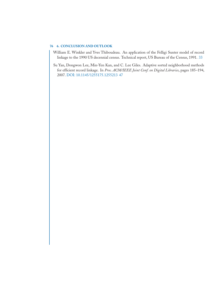- William E. Winkler and Yves Thiboudeau. An application of the Felligi Sunter model of record linkage to the 1990 US decennial census. Technical report, US Bureau of the Census, 1991. [33](#page-42-0)
- Su Yan, Dongwon Lee, Min-Yen Kan, and C. Lee Giles. Adaptive sorted neighborhood methods for efficient record linkage. In *Proc. ACM/IEEE Joint Conf. on Digital Libraries*, pages 185–194, 2007. [DOI: 10.1145/1255175.1255213](http://dx.doi.org/10.1145/1255175.1255213) [47](#page-56-0)